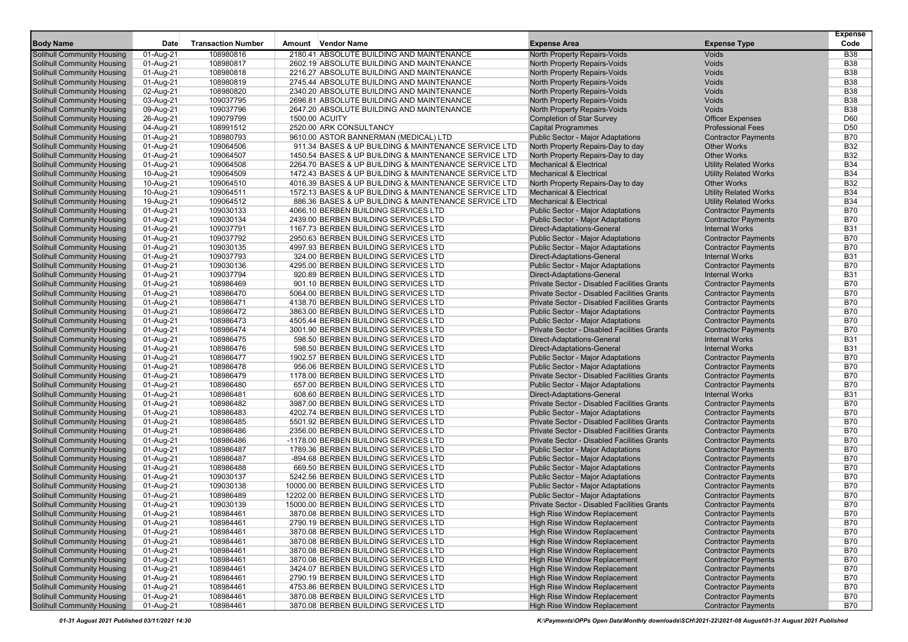|                                                          |                        |                           |                                                                             |                                                                                         |                                                          | <b>Expense</b>           |
|----------------------------------------------------------|------------------------|---------------------------|-----------------------------------------------------------------------------|-----------------------------------------------------------------------------------------|----------------------------------------------------------|--------------------------|
| <b>Body Name</b>                                         | Date                   | <b>Transaction Number</b> | Amount Vendor Name                                                          | <b>Expense Area</b>                                                                     | <b>Expense Type</b>                                      | Code                     |
| Solihull Community Housing                               | 01-Aug-21              | 108980816                 | 2180.41 ABSOLUTE BUILDING AND MAINTENANCE                                   | North Property Repairs-Voids                                                            | <b>Voids</b>                                             | <b>B38</b>               |
| Solihull Community Housing                               | 01-Aug-21              | 108980817                 | 2602.19 ABSOLUTE BUILDING AND MAINTENANCE                                   | North Property Repairs-Voids                                                            | Voids                                                    | <b>B38</b>               |
| Solihull Community Housing                               | 01-Aug-21              | 108980818                 | 2216.27 ABSOLUTE BUILDING AND MAINTENANCE                                   | North Property Repairs-Voids                                                            | Voids                                                    | <b>B38</b>               |
| Solihull Community Housing                               | 01-Aug-21              | 108980819                 | 2745.44 ABSOLUTE BUILDING AND MAINTENANCE                                   | North Property Repairs-Voids                                                            | Voids                                                    | <b>B38</b>               |
| <b>Solihull Community Housing</b>                        | 02-Aug-21              | 108980820                 | 2340.20 ABSOLUTE BUILDING AND MAINTENANCE                                   | North Property Repairs-Voids                                                            | Voids                                                    | <b>B38</b>               |
| <b>Solihull Community Housing</b>                        | 03-Aug-21              | 109037795                 | 2696.81 ABSOLUTE BUILDING AND MAINTENANCE                                   | North Property Repairs-Voids                                                            | Voids                                                    | <b>B38</b>               |
| Solihull Community Housing                               | 09-Aug-21              | 109037796                 | 2647.20 ABSOLUTE BUILDING AND MAINTENANCE                                   | North Property Repairs-Voids                                                            | Voids                                                    | <b>B38</b>               |
| Solihull Community Housing                               | 26-Aug-21              | 109079799                 | 1500.00 ACUITY                                                              | <b>Completion of Star Survey</b>                                                        | <b>Officer Expenses</b>                                  | D60                      |
| Solihull Community Housing                               | 04-Aug-21              | 108991512                 | 2520.00 ARK CONSULTANCY                                                     | <b>Capital Programmes</b>                                                               | <b>Professional Fees</b>                                 | D <sub>50</sub>          |
| <b>Solihull Community Housing</b>                        | 01-Aug-21              | 108980793                 | 9610.00 ASTOR BANNERMAN (MEDICAL) LTD                                       | <b>Public Sector - Major Adaptations</b>                                                | <b>Contractor Payments</b>                               | <b>B70</b>               |
| <b>Solihull Community Housing</b>                        | 01-Aug-21              | 109064506                 | 911.34 BASES & UP BUILDING & MAINTENANCE SERVICE LTD                        | North Property Repairs-Day to day                                                       | <b>Other Works</b>                                       | <b>B32</b>               |
| Solihull Community Housing                               | 01-Aug-21              | 109064507                 | 1450.54 BASES & UP BUILDING & MAINTENANCE SERVICE LTD                       | North Property Repairs-Day to day                                                       | <b>Other Works</b>                                       | <b>B32</b>               |
| Solihull Community Housing                               | 01-Aug-21              | 109064508                 | 2264.70 BASES & UP BUILDING & MAINTENANCE SERVICE LTD                       | <b>Mechanical &amp; Electrical</b>                                                      | <b>Utility Related Works</b>                             | <b>B34</b>               |
| Solihull Community Housing                               | 10-Aug-21              | 109064509                 | 1472.43 BASES & UP BUILDING & MAINTENANCE SERVICE LTD                       | <b>Mechanical &amp; Electrical</b>                                                      | <b>Utility Related Works</b>                             | <b>B34</b>               |
| <b>Solihull Community Housing</b>                        | 10-Aug-21              | 109064510                 | 4016.39 BASES & UP BUILDING & MAINTENANCE SERVICE LTD                       | North Property Repairs-Day to day                                                       | <b>Other Works</b>                                       | <b>B32</b>               |
| Solihull Community Housing                               | 10-Aug-21              | 109064511                 | 1572.13 BASES & UP BUILDING & MAINTENANCE SERVICE LTD                       | <b>Mechanical &amp; Electrical</b>                                                      | <b>Utility Related Works</b>                             | <b>B34</b>               |
| <b>Solihull Community Housing</b>                        | 19-Aug-21              | 109064512                 | 886.36 BASES & UP BUILDING & MAINTENANCE SERVICE LTD                        | <b>Mechanical &amp; Electrical</b>                                                      | <b>Utility Related Works</b>                             | <b>B34</b>               |
| <b>Solihull Community Housing</b>                        | 01-Aug-21              | 109030133                 | 4066.10 BERBEN BUILDING SERVICES LTD                                        | <b>Public Sector - Major Adaptations</b>                                                | <b>Contractor Payments</b>                               | <b>B70</b>               |
| Solihull Community Housing                               | 01-Aug-21              | 109030134                 | 2439.00 BERBEN BUILDING SERVICES LTD                                        | <b>Public Sector - Major Adaptations</b>                                                | <b>Contractor Payments</b>                               | <b>B70</b>               |
| Solihull Community Housing                               | 01-Aug-21              | 109037791                 | 1167.73 BERBEN BUILDING SERVICES LTD                                        | Direct-Adaptations-General                                                              | <b>Internal Works</b>                                    | <b>B31</b>               |
| <b>Solihull Community Housing</b>                        | 01-Aug-21              | 109037792                 | 2950.63 BERBEN BUILDING SERVICES LTD                                        | <b>Public Sector - Major Adaptations</b>                                                | <b>Contractor Payments</b>                               | <b>B70</b>               |
| <b>Solihull Community Housing</b>                        | 01-Aug-21              | 109030135                 | 4997.93 BERBEN BUILDING SERVICES LTD                                        | <b>Public Sector - Major Adaptations</b>                                                | <b>Contractor Payments</b>                               | <b>B70</b>               |
| <b>Solihull Community Housing</b>                        | 01-Aug-21              | 109037793                 | 324.00 BERBEN BUILDING SERVICES LTD                                         | Direct-Adaptations-General                                                              | <b>Internal Works</b>                                    | <b>B31</b>               |
| <b>Solihull Community Housing</b>                        | 01-Aug-21              | 109030136                 | 4295.00 BERBEN BUILDING SERVICES LTD                                        | <b>Public Sector - Major Adaptations</b>                                                | <b>Contractor Payments</b>                               | <b>B70</b>               |
| Solihull Community Housing                               | 01-Aug-21              | 109037794                 | 920.89 BERBEN BUILDING SERVICES LTD                                         | Direct-Adaptations-General                                                              | <b>Internal Works</b>                                    | <b>B31</b>               |
| Solihull Community Housing                               | 01-Aug-21              | 108986469                 | 901.10 BERBEN BUILDING SERVICES LTD                                         | Private Sector - Disabled Facilities Grants                                             | <b>Contractor Payments</b>                               | <b>B70</b>               |
| <b>Solihull Community Housing</b>                        | 01-Aug-21              | 108986470                 | 5064.00 BERBEN BUILDING SERVICES LTD                                        | Private Sector - Disabled Facilities Grants                                             | <b>Contractor Payments</b>                               | <b>B70</b>               |
| <b>Solihull Community Housing</b>                        | 01-Aug-21              | 108986471                 | 4138.70 BERBEN BUILDING SERVICES LTD                                        | Private Sector - Disabled Facilities Grants                                             | <b>Contractor Payments</b>                               | <b>B70</b>               |
| <b>Solihull Community Housing</b>                        | 01-Aug-21              | 108986472                 | 3863.00 BERBEN BUILDING SERVICES LTD                                        | <b>Public Sector - Major Adaptations</b>                                                | <b>Contractor Payments</b>                               | <b>B70</b>               |
| <b>Solihull Community Housing</b>                        | 01-Aug-21              | 108986473                 | 4505.44 BERBEN BUILDING SERVICES LTD                                        | <b>Public Sector - Major Adaptations</b>                                                | <b>Contractor Payments</b>                               | <b>B70</b>               |
| Solihull Community Housing                               | 01-Aug-21              | 108986474                 | 3001.90 BERBEN BUILDING SERVICES LTD                                        | Private Sector - Disabled Facilities Grants                                             | <b>Contractor Payments</b>                               | <b>B70</b>               |
| Solihull Community Housing                               | 01-Aug-21              | 108986475                 | 598.50 BERBEN BUILDING SERVICES LTD                                         | Direct-Adaptations-General                                                              | <b>Internal Works</b>                                    | <b>B31</b>               |
| Solihull Community Housing                               | 01-Aug-21              | 108986476                 | 598.50 BERBEN BUILDING SERVICES LTD                                         | Direct-Adaptations-General                                                              | <b>Internal Works</b>                                    | <b>B31</b>               |
| Solihull Community Housing                               | 01-Aug-21              | 108986477                 | 1902.57 BERBEN BUILDING SERVICES LTD                                        | <b>Public Sector - Major Adaptations</b>                                                | <b>Contractor Payments</b>                               | <b>B70</b><br><b>B70</b> |
| Solihull Community Housing                               | 01-Aug-21              | 108986478<br>108986479    | 956.06 BERBEN BUILDING SERVICES LTD<br>1178.00 BERBEN BUILDING SERVICES LTD | <b>Public Sector - Major Adaptations</b><br>Private Sector - Disabled Facilities Grants | <b>Contractor Payments</b>                               | <b>B70</b>               |
| <b>Solihull Community Housing</b>                        | 01-Aug-21              |                           | 657.00 BERBEN BUILDING SERVICES LTD                                         |                                                                                         | <b>Contractor Payments</b><br><b>Contractor Payments</b> | <b>B70</b>               |
| Solihull Community Housing                               | 01-Aug-21              | 108986480<br>108986481    | 608.60 BERBEN BUILDING SERVICES LTD                                         | <b>Public Sector - Major Adaptations</b><br>Direct-Adaptations-General                  | <b>Internal Works</b>                                    | <b>B31</b>               |
| Solihull Community Housing<br>Solihull Community Housing | 01-Aug-21<br>01-Aug-21 | 108986482                 | 3987.00 BERBEN BUILDING SERVICES LTD                                        | Private Sector - Disabled Facilities Grants                                             | <b>Contractor Payments</b>                               | <b>B70</b>               |
| <b>Solihull Community Housing</b>                        | 01-Aug-21              | 108986483                 | 4202.74 BERBEN BUILDING SERVICES LTD                                        | <b>Public Sector - Major Adaptations</b>                                                | <b>Contractor Payments</b>                               | <b>B70</b>               |
| <b>Solihull Community Housing</b>                        | 01-Aug-21              | 108986485                 | 5501.92 BERBEN BUILDING SERVICES LTD                                        | Private Sector - Disabled Facilities Grants                                             | <b>Contractor Payments</b>                               | <b>B70</b>               |
| <b>Solihull Community Housing</b>                        | 01-Aug-21              | 108986486                 | 2356.00 BERBEN BUILDING SERVICES LTD                                        | Private Sector - Disabled Facilities Grants                                             | <b>Contractor Payments</b>                               | <b>B70</b>               |
| <b>Solihull Community Housing</b>                        | 01-Aug-21              | 108986486                 | -1178.00 BERBEN BUILDING SERVICES LTD                                       | Private Sector - Disabled Facilities Grants                                             | <b>Contractor Payments</b>                               | <b>B70</b>               |
| Solihull Community Housing                               | 01-Aug-21              | 108986487                 | 1789.36 BERBEN BUILDING SERVICES LTD                                        | <b>Public Sector - Major Adaptations</b>                                                | <b>Contractor Payments</b>                               | <b>B70</b>               |
| Solihull Community Housing                               | 01-Aug-21              | 108986487                 | -894.68 BERBEN BUILDING SERVICES LTD                                        | Public Sector - Major Adaptations                                                       | <b>Contractor Payments</b>                               | <b>B70</b>               |
| <b>Solihull Community Housing</b>                        | 01-Aug-21              | 108986488                 | 669.50 BERBEN BUILDING SERVICES LTD                                         | Public Sector - Major Adaptations                                                       | <b>Contractor Payments</b>                               | <b>B70</b>               |
| Solihull Community Housing                               | 01-Aug-21              | 109030137                 | 5242.56 BERBEN BUILDING SERVICES LTD                                        | <b>Public Sector - Major Adaptations</b>                                                | <b>Contractor Payments</b>                               | <b>B70</b>               |
| <b>Solihull Community Housing</b>                        | 01-Aug-21              | 109030138                 | 10000.00 BERBEN BUILDING SERVICES LTD                                       | <b>Public Sector - Major Adaptations</b>                                                | <b>Contractor Payments</b>                               | <b>B70</b>               |
| Solihull Community Housing                               | 01-Aug-21              | 108986489                 | 12202.00 BERBEN BUILDING SERVICES LTD                                       | <b>Public Sector - Major Adaptations</b>                                                | <b>Contractor Payments</b>                               | <b>B70</b>               |
| Solihull Community Housing                               | 01-Aug-21              | 109030139                 | 15000.00 BERBEN BUILDING SERVICES LTD                                       | Private Sector - Disabled Facilities Grants                                             | <b>Contractor Payments</b>                               | <b>B70</b>               |
| <b>Solihull Community Housing</b>                        | 01-Aug-21              | 108984461                 | 3870.08 BERBEN BUILDING SERVICES LTD                                        | High Rise Window Replacement                                                            | <b>Contractor Payments</b>                               | <b>B70</b>               |
| Solihull Community Housing                               | 01-Aug-21              | 108984461                 | 2790.19 BERBEN BUILDING SERVICES LTD                                        | High Rise Window Replacement                                                            | <b>Contractor Payments</b>                               | <b>B70</b>               |
| <b>Solihull Community Housing</b>                        | 01-Aug-21              | 108984461                 | 3870.08 BERBEN BUILDING SERVICES LTD                                        | High Rise Window Replacement                                                            | <b>Contractor Payments</b>                               | <b>B70</b>               |
| <b>Solihull Community Housing</b>                        | 01-Aug-21              | 108984461                 | 3870.08 BERBEN BUILDING SERVICES LTD                                        | <b>High Rise Window Replacement</b>                                                     | <b>Contractor Payments</b>                               | <b>B70</b>               |
| <b>Solihull Community Housing</b>                        | 01-Aug-21              | 108984461                 | 3870.08 BERBEN BUILDING SERVICES LTD                                        | <b>High Rise Window Replacement</b>                                                     | <b>Contractor Payments</b>                               | <b>B70</b>               |
| <b>Solihull Community Housing</b>                        | 01-Aug-21              | 108984461                 | 3870.08 BERBEN BUILDING SERVICES LTD                                        | <b>High Rise Window Replacement</b>                                                     | <b>Contractor Payments</b>                               | <b>B70</b>               |
| Solihull Community Housing                               | 01-Aug-21              | 108984461                 | 3424.07 BERBEN BUILDING SERVICES LTD                                        | High Rise Window Replacement                                                            | <b>Contractor Payments</b>                               | <b>B70</b>               |
| <b>Solihull Community Housing</b>                        | 01-Aug-21              | 108984461                 | 2790.19 BERBEN BUILDING SERVICES LTD                                        | High Rise Window Replacement                                                            | <b>Contractor Payments</b>                               | <b>B70</b>               |
| <b>Solihull Community Housing</b>                        | 01-Aug-21              | 108984461                 | 4753.86 BERBEN BUILDING SERVICES LTD                                        | High Rise Window Replacement                                                            | <b>Contractor Payments</b>                               | <b>B70</b>               |
| <b>Solihull Community Housing</b>                        | 01-Aug-21              | 108984461                 | 3870.08 BERBEN BUILDING SERVICES LTD                                        | High Rise Window Replacement                                                            | <b>Contractor Payments</b>                               | <b>B70</b>               |
| <b>Solihull Community Housing</b>                        | 01-Aug-21              | 108984461                 | 3870.08 BERBEN BUILDING SERVICES LTD                                        | <b>High Rise Window Replacement</b>                                                     | <b>Contractor Payments</b>                               | <b>B70</b>               |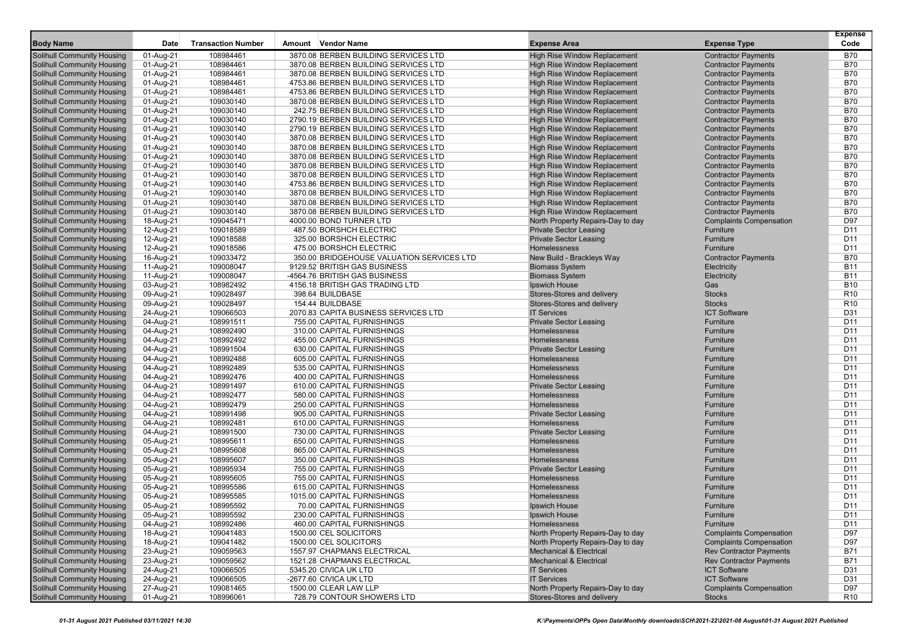|                                                                        |                        | <b>Transaction Number</b> |        | <b>Vendor Name</b>                                                           | <b>Expense Area</b>                                                        |                                                          | <b>Expense</b><br>Code   |
|------------------------------------------------------------------------|------------------------|---------------------------|--------|------------------------------------------------------------------------------|----------------------------------------------------------------------------|----------------------------------------------------------|--------------------------|
| <b>Body Name</b>                                                       | Date                   |                           | Amount |                                                                              |                                                                            | <b>Expense Type</b>                                      |                          |
| <b>Solihull Community Housing</b>                                      | 01-Aug-21              | 108984461                 |        | 3870.08 BERBEN BUILDING SERVICES LTD                                         | <b>High Rise Window Replacement</b>                                        | <b>Contractor Payments</b>                               | <b>B70</b>               |
| <b>Solihull Community Housing</b>                                      | 01-Aug-21              | 108984461                 |        | 3870.08 BERBEN BUILDING SERVICES LTD                                         | <b>High Rise Window Replacement</b>                                        | <b>Contractor Payments</b>                               | <b>B70</b>               |
| <b>Solihull Community Housing</b>                                      | 01-Aug-21              | 108984461<br>108984461    |        | 3870.08 BERBEN BUILDING SERVICES LTD<br>4753.86 BERBEN BUILDING SERVICES LTD | <b>High Rise Window Replacement</b><br><b>High Rise Window Replacement</b> | <b>Contractor Payments</b><br><b>Contractor Payments</b> | <b>B70</b><br><b>B70</b> |
| <b>Solihull Community Housing</b><br><b>Solihull Community Housing</b> | 01-Aug-21<br>01-Aug-21 | 108984461                 |        | 4753.86 BERBEN BUILDING SERVICES LTD                                         | <b>High Rise Window Replacement</b>                                        | <b>Contractor Payments</b>                               | <b>B70</b>               |
| <b>Solihull Community Housing</b>                                      | 01-Aug-21              | 109030140                 |        | 3870.08 BERBEN BUILDING SERVICES LTD                                         | <b>High Rise Window Replacement</b>                                        | <b>Contractor Payments</b>                               | <b>B70</b>               |
| <b>Solihull Community Housing</b>                                      | 01-Aug-21              | 109030140                 |        | 242.75 BERBEN BUILDING SERVICES LTD                                          | <b>High Rise Window Replacement</b>                                        | <b>Contractor Payments</b>                               | <b>B70</b>               |
| <b>Solihull Community Housing</b>                                      | 01-Aug-21              | 109030140                 |        | 2790.19 BERBEN BUILDING SERVICES LTD                                         | <b>High Rise Window Replacement</b>                                        | <b>Contractor Payments</b>                               | <b>B70</b>               |
| <b>Solihull Community Housing</b>                                      | 01-Aug-21              | 109030140                 |        | 2790.19 BERBEN BUILDING SERVICES LTD                                         | <b>High Rise Window Replacement</b>                                        | <b>Contractor Payments</b>                               | <b>B70</b>               |
| <b>Solihull Community Housing</b>                                      | 01-Aug-21              | 109030140                 |        | 3870.08 BERBEN BUILDING SERVICES LTD                                         | <b>High Rise Window Replacement</b>                                        | <b>Contractor Payments</b>                               | <b>B70</b>               |
| <b>Solihull Community Housing</b>                                      | 01-Aug-21              | 109030140                 |        | 3870.08 BERBEN BUILDING SERVICES LTD                                         | <b>High Rise Window Replacement</b>                                        | <b>Contractor Payments</b>                               | <b>B70</b>               |
| <b>Solihull Community Housing</b>                                      | 01-Aug-21              | 109030140                 |        | 3870.08 BERBEN BUILDING SERVICES LTD                                         | <b>High Rise Window Replacement</b>                                        | <b>Contractor Payments</b>                               | <b>B70</b>               |
| <b>Solihull Community Housing</b>                                      | 01-Aug-21              | 109030140                 |        | 3870.08 BERBEN BUILDING SERVICES LTD                                         | <b>High Rise Window Replacement</b>                                        | <b>Contractor Payments</b>                               | <b>B70</b>               |
| <b>Solihull Community Housing</b>                                      | 01-Aug-21              | 109030140                 |        | 3870.08 BERBEN BUILDING SERVICES LTD                                         | <b>High Rise Window Replacement</b>                                        | <b>Contractor Payments</b>                               | <b>B70</b>               |
| <b>Solihull Community Housing</b>                                      | 01-Aug-21              | 109030140                 |        | 4753.86 BERBEN BUILDING SERVICES LTD                                         | <b>High Rise Window Replacement</b>                                        | <b>Contractor Payments</b>                               | <b>B70</b>               |
| <b>Solihull Community Housing</b>                                      | 01-Aug-21              | 109030140                 |        | 3870.08 BERBEN BUILDING SERVICES LTD                                         | <b>High Rise Window Replacement</b>                                        | <b>Contractor Payments</b>                               | <b>B70</b>               |
| <b>Solihull Community Housing</b>                                      | 01-Aug-21              | 109030140                 |        | 3870.08 BERBEN BUILDING SERVICES LTD                                         | <b>High Rise Window Replacement</b>                                        | <b>Contractor Payments</b>                               | <b>B70</b>               |
| <b>Solihull Community Housing</b>                                      | 01-Aug-21              | 109030140                 |        | 3870.08 BERBEN BUILDING SERVICES LTD                                         | <b>High Rise Window Replacement</b>                                        | <b>Contractor Payments</b>                               | <b>B70</b>               |
| <b>Solihull Community Housing</b>                                      | 18-Aug-21              | 109045471                 |        | 4000.00 BOND TURNER LTD                                                      | North Property Repairs-Day to day                                          | <b>Complaints Compensation</b>                           | D97                      |
| <b>Solihull Community Housing</b>                                      | 12-Aug-21              | 109018589                 |        | 487.50 BORSHCH ELECTRIC                                                      | <b>Private Sector Leasing</b>                                              | Furniture                                                | D11                      |
| <b>Solihull Community Housing</b>                                      | 12-Aug-21              | 109018588                 |        | 325.00 BORSHCH ELECTRIC                                                      | <b>Private Sector Leasing</b>                                              | Furniture                                                | D11                      |
| <b>Solihull Community Housing</b>                                      | 12-Aug-21              | 109018586                 |        | 475.00 BORSHCH ELECTRIC                                                      | Homelessness                                                               | Furniture                                                | D11                      |
| <b>Solihull Community Housing</b>                                      | 16-Aug-21              | 109033472                 |        | 350.00 BRIDGEHOUSE VALUATION SERVICES LTD                                    | New Build - Brackleys Way                                                  | <b>Contractor Payments</b>                               | <b>B70</b>               |
| <b>Solihull Community Housing</b>                                      | 11-Aug-21              | 109008047                 |        | 9129.52 BRITISH GAS BUSINESS                                                 | <b>Biomass System</b>                                                      | Electricity                                              | <b>B11</b>               |
| <b>Solihull Community Housing</b>                                      | 11-Aug-21              | 109008047                 |        | -4564.76 BRITISH GAS BUSINESS                                                | <b>Biomass System</b>                                                      | Electricity                                              | <b>B11</b>               |
| <b>Solihull Community Housing</b>                                      | 03-Aug-21              | 108982492                 |        | 4156.18 BRITISH GAS TRADING LTD                                              | Ipswich House                                                              | Gas                                                      | <b>B10</b>               |
| <b>Solihull Community Housing</b>                                      | 09-Aug-21              | 109028497                 |        | 398.64 BUILDBASE                                                             | Stores-Stores and delivery                                                 | <b>Stocks</b>                                            | R <sub>10</sub>          |
| <b>Solihull Community Housing</b>                                      | 09-Aug-21              | 109028497                 |        | 154.44 BUILDBASE                                                             | Stores-Stores and delivery                                                 | <b>Stocks</b>                                            | R <sub>10</sub>          |
| <b>Solihull Community Housing</b>                                      | 24-Aug-21              | 109066503                 |        | 2070.83 CAPITA BUSINESS SERVICES LTD                                         | <b>IT Services</b>                                                         | <b>ICT Software</b>                                      | D31                      |
| <b>Solihull Community Housing</b>                                      | 04-Aug-21              | 108991511                 |        | 755.00 CAPITAL FURNISHINGS                                                   | <b>Private Sector Leasing</b>                                              | Furniture                                                | D11                      |
| <b>Solihull Community Housing</b>                                      | 04-Aug-21              | 108992490                 |        | 310.00 CAPITAL FURNISHINGS                                                   | Homelessness                                                               | Furniture                                                | D11                      |
| <b>Solihull Community Housing</b>                                      | 04-Aug-21              | 108992492                 |        | 455.00 CAPITAL FURNISHINGS                                                   | <b>Homelessness</b>                                                        | Furniture                                                | D <sub>11</sub>          |
| <b>Solihull Community Housing</b>                                      | 04-Aug-21              | 108991504                 |        | 630.00 CAPITAL FURNISHINGS                                                   | <b>Private Sector Leasing</b>                                              | Furniture                                                | D <sub>11</sub>          |
| <b>Solihull Community Housing</b>                                      | 04-Aug-21              | 108992488                 |        | 605.00 CAPITAL FURNISHINGS                                                   | Homelessness                                                               | Furniture                                                | D11                      |
| <b>Solihull Community Housing</b>                                      | 04-Aug-21              | 108992489                 |        | 535.00 CAPITAL FURNISHINGS                                                   | <b>Homelessness</b>                                                        | <b>Furniture</b>                                         | D <sub>11</sub>          |
| <b>Solihull Community Housing</b>                                      | 04-Aug-21              | 108992476                 |        | 400.00 CAPITAL FURNISHINGS                                                   | Homelessness                                                               | Furniture                                                | D <sub>11</sub>          |
| <b>Solihull Community Housing</b>                                      | 04-Aug-21              | 108991497                 |        | 610.00 CAPITAL FURNISHINGS                                                   | <b>Private Sector Leasing</b>                                              | Furniture                                                | D11                      |
| <b>Solihull Community Housing</b>                                      | 04-Aug-21              | 108992477                 |        | 580.00 CAPITAL FURNISHINGS                                                   | Homelessness                                                               | Furniture                                                | D11                      |
| <b>Solihull Community Housing</b>                                      | 04-Aug-21              | 108992479                 |        | 250.00 CAPITAL FURNISHINGS                                                   | Homelessness                                                               | Furniture                                                | D11                      |
| <b>Solihull Community Housing</b>                                      | 04-Aug-21              | 108991498                 |        | 905.00 CAPITAL FURNISHINGS                                                   | <b>Private Sector Leasing</b>                                              | Furniture                                                | D <sub>11</sub>          |
| <b>Solihull Community Housing</b>                                      | 04-Aug-21              | 108992481                 |        | 610.00 CAPITAL FURNISHINGS                                                   | Homelessness                                                               | Furniture                                                | D11                      |
| <b>Solihull Community Housing</b>                                      | 04-Aug-21              | 108991500                 |        | 730.00 CAPITAL FURNISHINGS                                                   | <b>Private Sector Leasing</b>                                              | Furniture                                                | D <sub>11</sub>          |
| <b>Solihull Community Housing</b><br><b>Solihull Community Housing</b> | 05-Aug-21              | 108995611                 |        | 650.00 CAPITAL FURNISHINGS                                                   | Homelessness<br><b>Homelessness</b>                                        | Furniture<br>Furniture                                   | D <sub>11</sub><br>D11   |
| <b>Solihull Community Housing</b>                                      | 05-Aug-21<br>05-Aug-21 | 108995608<br>108995607    |        | 865.00 CAPITAL FURNISHINGS<br>350.00 CAPITAL FURNISHINGS                     | Homelessness                                                               | Furniture                                                | D11                      |
| <b>Solihull Community Housing</b>                                      | 05-Aug-21              | 108995934                 |        | 755.00 CAPITAL FURNISHINGS                                                   | <b>Private Sector Leasing</b>                                              | Furniture                                                | D11                      |
| <b>Solihull Community Housing</b>                                      | 05-Aug-21              | 108995605                 |        | 755.00 CAPITAL FURNISHINGS                                                   | Homelessness                                                               | Furniture                                                | D <sub>11</sub>          |
| <b>Solihull Community Housing</b>                                      | 05-Aug-21              | 108995586                 |        | 615.00 CAPITAL FURNISHINGS                                                   | Homelessness                                                               | Furniture                                                | D <sub>11</sub>          |
| <b>Solihull Community Housing</b>                                      | 05-Aug-21              | 108995585                 |        | 1015.00 CAPITAL FURNISHINGS                                                  | Homelessness                                                               | Furniture                                                | D11                      |
| <b>Solihull Community Housing</b>                                      | 05-Aug-21              | 108995592                 |        | 70.00 CAPITAL FURNISHINGS                                                    | Ipswich House                                                              | Furniture                                                | D <sub>11</sub>          |
| <b>Solihull Community Housing</b>                                      | 05-Aug-21              | 108995592                 |        | 230.00 CAPITAL FURNISHINGS                                                   | <b>Ipswich House</b>                                                       | <b>Furniture</b>                                         | D11                      |
| <b>Solihull Community Housing</b>                                      | 04-Aug-21              | 108992486                 |        | 460.00 CAPITAL FURNISHINGS                                                   | Homelessness                                                               | Furniture                                                | D11                      |
| <b>Solihull Community Housing</b>                                      | 18-Aug-21              | 109041483                 |        | 1500.00 CEL SOLICITORS                                                       | North Property Repairs-Day to day                                          | <b>Complaints Compensation</b>                           | D97                      |
| <b>Solihull Community Housing</b>                                      | 18-Aug-21              | 109041482                 |        | 1500.00 CEL SOLICITORS                                                       | North Property Repairs-Day to day                                          | <b>Complaints Compensation</b>                           | D97                      |
| <b>Solihull Community Housing</b>                                      | 23-Aug-21              | 109059563                 |        | 1557.97 CHAPMANS ELECTRICAL                                                  | <b>Mechanical &amp; Electrical</b>                                         | <b>Rev Contractor Payments</b>                           | <b>B71</b>               |
| <b>Solihull Community Housing</b>                                      | 23-Aug-21              | 109059562                 |        | 1521.28 CHAPMANS ELECTRICAL                                                  | <b>Mechanical &amp; Electrical</b>                                         | <b>Rev Contractor Payments</b>                           | <b>B71</b>               |
| <b>Solihull Community Housing</b>                                      | 24-Aug-21              | 109066505                 |        | 5345.20 CIVICA UK LTD                                                        | <b>IT Services</b>                                                         | <b>ICT Software</b>                                      | D31                      |
| <b>Solihull Community Housing</b>                                      | 24-Aug-21              | 109066505                 |        | -2677.60 CIVICA UK LTD                                                       | <b>IT Services</b>                                                         | <b>ICT Software</b>                                      | D31                      |
| <b>Solihull Community Housing</b>                                      | 27-Aug-21              | 109081465                 |        | 1500.00 CLEAR LAW LLP                                                        | North Property Repairs-Day to day                                          | <b>Complaints Compensation</b>                           | D97                      |
| <b>Solihull Community Housing</b>                                      | 01-Aug-21              | 108996061                 |        | 728.79 CONTOUR SHOWERS LTD                                                   | Stores-Stores and delivery                                                 | <b>Stocks</b>                                            | R <sub>10</sub>          |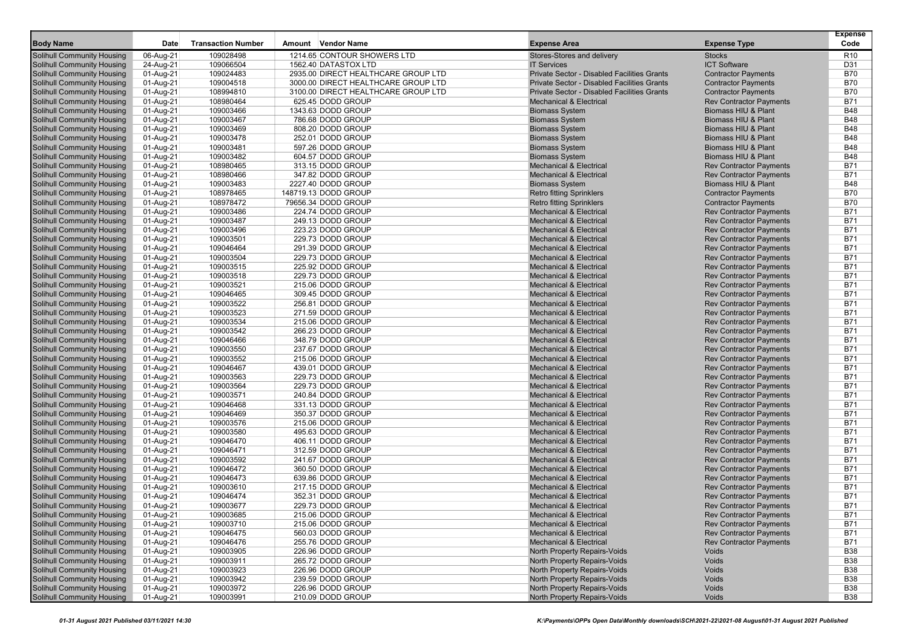| <b>Transaction Number</b><br><b>Body Name</b><br>Date<br>Amount Vendor Name<br><b>Expense Area</b><br><b>Expense Type</b><br>06-Aug-21<br>109028498<br>1214.65 CONTOUR SHOWERS LTD<br>Stores-Stores and delivery<br><b>Solihull Community Housing</b><br><b>Stocks</b><br>24-Aug-21<br><b>ICT Software</b><br><b>Solihull Community Housing</b><br>109066504<br>1562.40 DATASTOX LTD<br><b>IT Services</b><br>2935.00 DIRECT HEALTHCARE GROUP LTD<br>Solihull Community Housing<br>01-Aug-21<br>109024483<br>Private Sector - Disabled Facilities Grants<br><b>Contractor Payments</b><br>Private Sector - Disabled Facilities Grants<br>Solihull Community Housing<br>01-Aug-21<br>109004518<br>3000.00 DIRECT HEALTHCARE GROUP LTD<br><b>Contractor Payments</b><br>Private Sector - Disabled Facilities Grants<br>Solihull Community Housing<br>01-Aug-21<br>108994810<br>3100.00 DIRECT HEALTHCARE GROUP LTD<br><b>Contractor Payments</b><br>108980464<br>625.45 DODD GROUP<br><b>Mechanical &amp; Electrical</b><br><b>Rev Contractor Payments</b><br>Solihull Community Housing<br>01-Aug-21<br>1343.63 DODD GROUP<br>Solihull Community Housing<br>01-Aug-21<br>109003466<br><b>Biomass System</b><br>Biomass HIU & Plant<br>109003467<br><b>Solihull Community Housing</b><br>01-Aug-21<br>786.68 DODD GROUP<br><b>Biomass System</b><br>Biomass HIU & Plant<br>109003469<br><b>Biomass System</b><br><b>Solihull Community Housing</b><br>01-Aug-21<br>808.20 DODD GROUP<br>Biomass HIU & Plant<br>109003478<br>252.01 DODD GROUP<br>Solihull Community Housing<br>01-Aug-21<br><b>Biomass System</b><br>Biomass HIU & Plant<br><b>Solihull Community Housing</b><br>01-Aug-21<br>109003481<br>597.26 DODD GROUP<br><b>Biomass System</b><br>Biomass HIU & Plant<br>109003482<br>604.57 DODD GROUP<br><b>Biomass System</b><br>Solihull Community Housing<br>01-Aug-21<br>Biomass HIU & Plant<br>108980465<br><b>Mechanical &amp; Electrical</b><br>Solihull Community Housing<br>01-Aug-21<br>313.15 DODD GROUP<br><b>Rev Contractor Payments</b><br><b>Mechanical &amp; Electrical</b><br><b>Solihull Community Housing</b><br>01-Aug-21<br>108980466<br>347.82 DODD GROUP<br><b>Rev Contractor Payments</b><br>109003483<br>Solihull Community Housing<br>01-Aug-21<br>2227.40 DODD GROUP<br><b>Biomass System</b><br>Biomass HIU & Plant<br>108978465<br>Solihull Community Housing<br>01-Aug-21<br>148719.13 DODD GROUP<br><b>Retro fitting Sprinklers</b><br><b>Contractor Payments</b><br>Solihull Community Housing<br>01-Aug-21<br>108978472<br>79656.34 DODD GROUP<br><b>Retro fitting Sprinklers</b><br><b>Contractor Payments</b> | <b>Expense</b><br>Code   |
|---------------------------------------------------------------------------------------------------------------------------------------------------------------------------------------------------------------------------------------------------------------------------------------------------------------------------------------------------------------------------------------------------------------------------------------------------------------------------------------------------------------------------------------------------------------------------------------------------------------------------------------------------------------------------------------------------------------------------------------------------------------------------------------------------------------------------------------------------------------------------------------------------------------------------------------------------------------------------------------------------------------------------------------------------------------------------------------------------------------------------------------------------------------------------------------------------------------------------------------------------------------------------------------------------------------------------------------------------------------------------------------------------------------------------------------------------------------------------------------------------------------------------------------------------------------------------------------------------------------------------------------------------------------------------------------------------------------------------------------------------------------------------------------------------------------------------------------------------------------------------------------------------------------------------------------------------------------------------------------------------------------------------------------------------------------------------------------------------------------------------------------------------------------------------------------------------------------------------------------------------------------------------------------------------------------------------------------------------------------------------------------------------------------------------------------------------------------------------------------------------------------------------------------------------------------------------------------------------------------------------------------------------------|--------------------------|
|                                                                                                                                                                                                                                                                                                                                                                                                                                                                                                                                                                                                                                                                                                                                                                                                                                                                                                                                                                                                                                                                                                                                                                                                                                                                                                                                                                                                                                                                                                                                                                                                                                                                                                                                                                                                                                                                                                                                                                                                                                                                                                                                                                                                                                                                                                                                                                                                                                                                                                                                                                                                                                                         |                          |
|                                                                                                                                                                                                                                                                                                                                                                                                                                                                                                                                                                                                                                                                                                                                                                                                                                                                                                                                                                                                                                                                                                                                                                                                                                                                                                                                                                                                                                                                                                                                                                                                                                                                                                                                                                                                                                                                                                                                                                                                                                                                                                                                                                                                                                                                                                                                                                                                                                                                                                                                                                                                                                                         | R <sub>10</sub>          |
|                                                                                                                                                                                                                                                                                                                                                                                                                                                                                                                                                                                                                                                                                                                                                                                                                                                                                                                                                                                                                                                                                                                                                                                                                                                                                                                                                                                                                                                                                                                                                                                                                                                                                                                                                                                                                                                                                                                                                                                                                                                                                                                                                                                                                                                                                                                                                                                                                                                                                                                                                                                                                                                         | D31                      |
|                                                                                                                                                                                                                                                                                                                                                                                                                                                                                                                                                                                                                                                                                                                                                                                                                                                                                                                                                                                                                                                                                                                                                                                                                                                                                                                                                                                                                                                                                                                                                                                                                                                                                                                                                                                                                                                                                                                                                                                                                                                                                                                                                                                                                                                                                                                                                                                                                                                                                                                                                                                                                                                         | <b>B70</b>               |
|                                                                                                                                                                                                                                                                                                                                                                                                                                                                                                                                                                                                                                                                                                                                                                                                                                                                                                                                                                                                                                                                                                                                                                                                                                                                                                                                                                                                                                                                                                                                                                                                                                                                                                                                                                                                                                                                                                                                                                                                                                                                                                                                                                                                                                                                                                                                                                                                                                                                                                                                                                                                                                                         | <b>B70</b><br><b>B70</b> |
|                                                                                                                                                                                                                                                                                                                                                                                                                                                                                                                                                                                                                                                                                                                                                                                                                                                                                                                                                                                                                                                                                                                                                                                                                                                                                                                                                                                                                                                                                                                                                                                                                                                                                                                                                                                                                                                                                                                                                                                                                                                                                                                                                                                                                                                                                                                                                                                                                                                                                                                                                                                                                                                         | <b>B71</b>               |
|                                                                                                                                                                                                                                                                                                                                                                                                                                                                                                                                                                                                                                                                                                                                                                                                                                                                                                                                                                                                                                                                                                                                                                                                                                                                                                                                                                                                                                                                                                                                                                                                                                                                                                                                                                                                                                                                                                                                                                                                                                                                                                                                                                                                                                                                                                                                                                                                                                                                                                                                                                                                                                                         | <b>B48</b>               |
|                                                                                                                                                                                                                                                                                                                                                                                                                                                                                                                                                                                                                                                                                                                                                                                                                                                                                                                                                                                                                                                                                                                                                                                                                                                                                                                                                                                                                                                                                                                                                                                                                                                                                                                                                                                                                                                                                                                                                                                                                                                                                                                                                                                                                                                                                                                                                                                                                                                                                                                                                                                                                                                         | <b>B48</b>               |
|                                                                                                                                                                                                                                                                                                                                                                                                                                                                                                                                                                                                                                                                                                                                                                                                                                                                                                                                                                                                                                                                                                                                                                                                                                                                                                                                                                                                                                                                                                                                                                                                                                                                                                                                                                                                                                                                                                                                                                                                                                                                                                                                                                                                                                                                                                                                                                                                                                                                                                                                                                                                                                                         | <b>B48</b>               |
|                                                                                                                                                                                                                                                                                                                                                                                                                                                                                                                                                                                                                                                                                                                                                                                                                                                                                                                                                                                                                                                                                                                                                                                                                                                                                                                                                                                                                                                                                                                                                                                                                                                                                                                                                                                                                                                                                                                                                                                                                                                                                                                                                                                                                                                                                                                                                                                                                                                                                                                                                                                                                                                         | <b>B48</b>               |
|                                                                                                                                                                                                                                                                                                                                                                                                                                                                                                                                                                                                                                                                                                                                                                                                                                                                                                                                                                                                                                                                                                                                                                                                                                                                                                                                                                                                                                                                                                                                                                                                                                                                                                                                                                                                                                                                                                                                                                                                                                                                                                                                                                                                                                                                                                                                                                                                                                                                                                                                                                                                                                                         | <b>B48</b>               |
|                                                                                                                                                                                                                                                                                                                                                                                                                                                                                                                                                                                                                                                                                                                                                                                                                                                                                                                                                                                                                                                                                                                                                                                                                                                                                                                                                                                                                                                                                                                                                                                                                                                                                                                                                                                                                                                                                                                                                                                                                                                                                                                                                                                                                                                                                                                                                                                                                                                                                                                                                                                                                                                         | <b>B48</b>               |
|                                                                                                                                                                                                                                                                                                                                                                                                                                                                                                                                                                                                                                                                                                                                                                                                                                                                                                                                                                                                                                                                                                                                                                                                                                                                                                                                                                                                                                                                                                                                                                                                                                                                                                                                                                                                                                                                                                                                                                                                                                                                                                                                                                                                                                                                                                                                                                                                                                                                                                                                                                                                                                                         | <b>B71</b>               |
|                                                                                                                                                                                                                                                                                                                                                                                                                                                                                                                                                                                                                                                                                                                                                                                                                                                                                                                                                                                                                                                                                                                                                                                                                                                                                                                                                                                                                                                                                                                                                                                                                                                                                                                                                                                                                                                                                                                                                                                                                                                                                                                                                                                                                                                                                                                                                                                                                                                                                                                                                                                                                                                         | <b>B71</b>               |
|                                                                                                                                                                                                                                                                                                                                                                                                                                                                                                                                                                                                                                                                                                                                                                                                                                                                                                                                                                                                                                                                                                                                                                                                                                                                                                                                                                                                                                                                                                                                                                                                                                                                                                                                                                                                                                                                                                                                                                                                                                                                                                                                                                                                                                                                                                                                                                                                                                                                                                                                                                                                                                                         | <b>B48</b>               |
|                                                                                                                                                                                                                                                                                                                                                                                                                                                                                                                                                                                                                                                                                                                                                                                                                                                                                                                                                                                                                                                                                                                                                                                                                                                                                                                                                                                                                                                                                                                                                                                                                                                                                                                                                                                                                                                                                                                                                                                                                                                                                                                                                                                                                                                                                                                                                                                                                                                                                                                                                                                                                                                         | <b>B70</b>               |
|                                                                                                                                                                                                                                                                                                                                                                                                                                                                                                                                                                                                                                                                                                                                                                                                                                                                                                                                                                                                                                                                                                                                                                                                                                                                                                                                                                                                                                                                                                                                                                                                                                                                                                                                                                                                                                                                                                                                                                                                                                                                                                                                                                                                                                                                                                                                                                                                                                                                                                                                                                                                                                                         | <b>B70</b>               |
| 109003486<br>Solihull Community Housing<br>01-Aug-21<br>224.74 DODD GROUP<br><b>Mechanical &amp; Electrical</b><br><b>Rev Contractor Payments</b>                                                                                                                                                                                                                                                                                                                                                                                                                                                                                                                                                                                                                                                                                                                                                                                                                                                                                                                                                                                                                                                                                                                                                                                                                                                                                                                                                                                                                                                                                                                                                                                                                                                                                                                                                                                                                                                                                                                                                                                                                                                                                                                                                                                                                                                                                                                                                                                                                                                                                                       | <b>B71</b>               |
| 109003487<br>Solihull Community Housing<br>01-Aug-21<br>249.13 DODD GROUP<br><b>Mechanical &amp; Electrical</b><br><b>Rev Contractor Payments</b>                                                                                                                                                                                                                                                                                                                                                                                                                                                                                                                                                                                                                                                                                                                                                                                                                                                                                                                                                                                                                                                                                                                                                                                                                                                                                                                                                                                                                                                                                                                                                                                                                                                                                                                                                                                                                                                                                                                                                                                                                                                                                                                                                                                                                                                                                                                                                                                                                                                                                                       | <b>B71</b>               |
| 109003496<br>Solihull Community Housing<br>01-Aug-21<br>223.23 DODD GROUP<br><b>Mechanical &amp; Electrical</b><br><b>Rev Contractor Payments</b>                                                                                                                                                                                                                                                                                                                                                                                                                                                                                                                                                                                                                                                                                                                                                                                                                                                                                                                                                                                                                                                                                                                                                                                                                                                                                                                                                                                                                                                                                                                                                                                                                                                                                                                                                                                                                                                                                                                                                                                                                                                                                                                                                                                                                                                                                                                                                                                                                                                                                                       | <b>B71</b>               |
| 109003501<br>229.73 DODD GROUP<br><b>Rev Contractor Payments</b><br><b>Solihull Community Housing</b><br>01-Aug-21<br><b>Mechanical &amp; Electrical</b>                                                                                                                                                                                                                                                                                                                                                                                                                                                                                                                                                                                                                                                                                                                                                                                                                                                                                                                                                                                                                                                                                                                                                                                                                                                                                                                                                                                                                                                                                                                                                                                                                                                                                                                                                                                                                                                                                                                                                                                                                                                                                                                                                                                                                                                                                                                                                                                                                                                                                                | <b>B71</b>               |
| Solihull Community Housing<br>01-Aug-21<br>109046464<br>291.39 DODD GROUP<br><b>Mechanical &amp; Electrical</b><br><b>Rev Contractor Payments</b>                                                                                                                                                                                                                                                                                                                                                                                                                                                                                                                                                                                                                                                                                                                                                                                                                                                                                                                                                                                                                                                                                                                                                                                                                                                                                                                                                                                                                                                                                                                                                                                                                                                                                                                                                                                                                                                                                                                                                                                                                                                                                                                                                                                                                                                                                                                                                                                                                                                                                                       | <b>B71</b>               |
| Solihull Community Housing<br>01-Aug-21<br>109003504<br>229.73 DODD GROUP<br><b>Mechanical &amp; Electrical</b><br><b>Rev Contractor Payments</b>                                                                                                                                                                                                                                                                                                                                                                                                                                                                                                                                                                                                                                                                                                                                                                                                                                                                                                                                                                                                                                                                                                                                                                                                                                                                                                                                                                                                                                                                                                                                                                                                                                                                                                                                                                                                                                                                                                                                                                                                                                                                                                                                                                                                                                                                                                                                                                                                                                                                                                       | <b>B71</b>               |
| <b>Rev Contractor Payments</b><br>Solihull Community Housing<br>01-Aug-21<br>109003515<br>225.92 DODD GROUP<br><b>Mechanical &amp; Electrical</b>                                                                                                                                                                                                                                                                                                                                                                                                                                                                                                                                                                                                                                                                                                                                                                                                                                                                                                                                                                                                                                                                                                                                                                                                                                                                                                                                                                                                                                                                                                                                                                                                                                                                                                                                                                                                                                                                                                                                                                                                                                                                                                                                                                                                                                                                                                                                                                                                                                                                                                       | <b>B71</b>               |
| 109003518<br>Solihull Community Housing<br>01-Aug-21<br>229.73 DODD GROUP<br><b>Mechanical &amp; Electrical</b><br><b>Rev Contractor Payments</b>                                                                                                                                                                                                                                                                                                                                                                                                                                                                                                                                                                                                                                                                                                                                                                                                                                                                                                                                                                                                                                                                                                                                                                                                                                                                                                                                                                                                                                                                                                                                                                                                                                                                                                                                                                                                                                                                                                                                                                                                                                                                                                                                                                                                                                                                                                                                                                                                                                                                                                       | <b>B71</b>               |
| 109003521<br>Solihull Community Housing<br>01-Aug-21<br>215.06 DODD GROUP<br><b>Mechanical &amp; Electrical</b><br><b>Rev Contractor Payments</b>                                                                                                                                                                                                                                                                                                                                                                                                                                                                                                                                                                                                                                                                                                                                                                                                                                                                                                                                                                                                                                                                                                                                                                                                                                                                                                                                                                                                                                                                                                                                                                                                                                                                                                                                                                                                                                                                                                                                                                                                                                                                                                                                                                                                                                                                                                                                                                                                                                                                                                       | <b>B71</b>               |
| 109046465<br>309.45 DODD GROUP<br><b>Solihull Community Housing</b><br>01-Aug-21<br><b>Mechanical &amp; Electrical</b><br><b>Rev Contractor Payments</b>                                                                                                                                                                                                                                                                                                                                                                                                                                                                                                                                                                                                                                                                                                                                                                                                                                                                                                                                                                                                                                                                                                                                                                                                                                                                                                                                                                                                                                                                                                                                                                                                                                                                                                                                                                                                                                                                                                                                                                                                                                                                                                                                                                                                                                                                                                                                                                                                                                                                                                | <b>B71</b>               |
| 109003522<br>256.81 DODD GROUP<br><b>Rev Contractor Payments</b><br><b>Solihull Community Housing</b><br>01-Aug-21<br><b>Mechanical &amp; Electrical</b>                                                                                                                                                                                                                                                                                                                                                                                                                                                                                                                                                                                                                                                                                                                                                                                                                                                                                                                                                                                                                                                                                                                                                                                                                                                                                                                                                                                                                                                                                                                                                                                                                                                                                                                                                                                                                                                                                                                                                                                                                                                                                                                                                                                                                                                                                                                                                                                                                                                                                                | <b>B71</b>               |
| Solihull Community Housing<br>01-Aug-21<br>109003523<br>271.59 DODD GROUP<br><b>Mechanical &amp; Electrical</b><br><b>Rev Contractor Payments</b>                                                                                                                                                                                                                                                                                                                                                                                                                                                                                                                                                                                                                                                                                                                                                                                                                                                                                                                                                                                                                                                                                                                                                                                                                                                                                                                                                                                                                                                                                                                                                                                                                                                                                                                                                                                                                                                                                                                                                                                                                                                                                                                                                                                                                                                                                                                                                                                                                                                                                                       | <b>B71</b>               |
| 109003534<br><b>Solihull Community Housing</b><br>01-Aug-21<br>215.06 DODD GROUP<br><b>Mechanical &amp; Electrical</b><br><b>Rev Contractor Payments</b>                                                                                                                                                                                                                                                                                                                                                                                                                                                                                                                                                                                                                                                                                                                                                                                                                                                                                                                                                                                                                                                                                                                                                                                                                                                                                                                                                                                                                                                                                                                                                                                                                                                                                                                                                                                                                                                                                                                                                                                                                                                                                                                                                                                                                                                                                                                                                                                                                                                                                                | <b>B71</b>               |
| Solihull Community Housing<br>109003542<br>266.23 DODD GROUP<br><b>Rev Contractor Payments</b><br>01-Aug-21<br><b>Mechanical &amp; Electrical</b>                                                                                                                                                                                                                                                                                                                                                                                                                                                                                                                                                                                                                                                                                                                                                                                                                                                                                                                                                                                                                                                                                                                                                                                                                                                                                                                                                                                                                                                                                                                                                                                                                                                                                                                                                                                                                                                                                                                                                                                                                                                                                                                                                                                                                                                                                                                                                                                                                                                                                                       | <b>B71</b>               |
| 109046466<br><b>Solihull Community Housing</b><br>01-Aug-21<br>348.79 DODD GROUP<br><b>Mechanical &amp; Electrical</b><br><b>Rev Contractor Payments</b>                                                                                                                                                                                                                                                                                                                                                                                                                                                                                                                                                                                                                                                                                                                                                                                                                                                                                                                                                                                                                                                                                                                                                                                                                                                                                                                                                                                                                                                                                                                                                                                                                                                                                                                                                                                                                                                                                                                                                                                                                                                                                                                                                                                                                                                                                                                                                                                                                                                                                                | <b>B71</b><br><b>B71</b> |
| <b>Solihull Community Housing</b><br>01-Aug-21<br>109003550<br>237.67 DODD GROUP<br><b>Mechanical &amp; Electrical</b><br><b>Rev Contractor Payments</b><br>109003552<br>215.06 DODD GROUP<br><b>Mechanical &amp; Electrical</b><br>Solihull Community Housing<br>01-Aug-21<br><b>Rev Contractor Payments</b>                                                                                                                                                                                                                                                                                                                                                                                                                                                                                                                                                                                                                                                                                                                                                                                                                                                                                                                                                                                                                                                                                                                                                                                                                                                                                                                                                                                                                                                                                                                                                                                                                                                                                                                                                                                                                                                                                                                                                                                                                                                                                                                                                                                                                                                                                                                                           | <b>B71</b>               |
| <b>Solihull Community Housing</b><br>109046467<br><b>Rev Contractor Payments</b><br>01-Aug-21<br>439.01 DODD GROUP<br><b>Mechanical &amp; Electrical</b>                                                                                                                                                                                                                                                                                                                                                                                                                                                                                                                                                                                                                                                                                                                                                                                                                                                                                                                                                                                                                                                                                                                                                                                                                                                                                                                                                                                                                                                                                                                                                                                                                                                                                                                                                                                                                                                                                                                                                                                                                                                                                                                                                                                                                                                                                                                                                                                                                                                                                                | <b>B71</b>               |
| Solihull Community Housing<br>01-Aug-21<br>109003563<br>229.73 DODD GROUP<br><b>Mechanical &amp; Electrical</b><br><b>Rev Contractor Payments</b>                                                                                                                                                                                                                                                                                                                                                                                                                                                                                                                                                                                                                                                                                                                                                                                                                                                                                                                                                                                                                                                                                                                                                                                                                                                                                                                                                                                                                                                                                                                                                                                                                                                                                                                                                                                                                                                                                                                                                                                                                                                                                                                                                                                                                                                                                                                                                                                                                                                                                                       | <b>B71</b>               |
| 109003564<br>229.73 DODD GROUP<br>Solihull Community Housing<br>01-Aug-21<br><b>Mechanical &amp; Electrical</b><br><b>Rev Contractor Payments</b>                                                                                                                                                                                                                                                                                                                                                                                                                                                                                                                                                                                                                                                                                                                                                                                                                                                                                                                                                                                                                                                                                                                                                                                                                                                                                                                                                                                                                                                                                                                                                                                                                                                                                                                                                                                                                                                                                                                                                                                                                                                                                                                                                                                                                                                                                                                                                                                                                                                                                                       | <b>B71</b>               |
| 109003571<br>240.84 DODD GROUP<br><b>Rev Contractor Payments</b><br>Solihull Community Housing<br>01-Aug-21<br><b>Mechanical &amp; Electrical</b>                                                                                                                                                                                                                                                                                                                                                                                                                                                                                                                                                                                                                                                                                                                                                                                                                                                                                                                                                                                                                                                                                                                                                                                                                                                                                                                                                                                                                                                                                                                                                                                                                                                                                                                                                                                                                                                                                                                                                                                                                                                                                                                                                                                                                                                                                                                                                                                                                                                                                                       | <b>B71</b>               |
| <b>Solihull Community Housing</b><br>01-Aug-21<br>109046468<br>331.13 DODD GROUP<br><b>Mechanical &amp; Electrical</b><br><b>Rev Contractor Payments</b>                                                                                                                                                                                                                                                                                                                                                                                                                                                                                                                                                                                                                                                                                                                                                                                                                                                                                                                                                                                                                                                                                                                                                                                                                                                                                                                                                                                                                                                                                                                                                                                                                                                                                                                                                                                                                                                                                                                                                                                                                                                                                                                                                                                                                                                                                                                                                                                                                                                                                                | <b>B71</b>               |
| 109046469<br><b>Solihull Community Housing</b><br>01-Aug-21<br>350.37 DODD GROUP<br><b>Mechanical &amp; Electrical</b><br><b>Rev Contractor Payments</b>                                                                                                                                                                                                                                                                                                                                                                                                                                                                                                                                                                                                                                                                                                                                                                                                                                                                                                                                                                                                                                                                                                                                                                                                                                                                                                                                                                                                                                                                                                                                                                                                                                                                                                                                                                                                                                                                                                                                                                                                                                                                                                                                                                                                                                                                                                                                                                                                                                                                                                | <b>B71</b>               |
| 109003576<br>Solihull Community Housing<br>01-Aug-21<br>215.06 DODD GROUP<br><b>Mechanical &amp; Electrical</b><br><b>Rev Contractor Payments</b>                                                                                                                                                                                                                                                                                                                                                                                                                                                                                                                                                                                                                                                                                                                                                                                                                                                                                                                                                                                                                                                                                                                                                                                                                                                                                                                                                                                                                                                                                                                                                                                                                                                                                                                                                                                                                                                                                                                                                                                                                                                                                                                                                                                                                                                                                                                                                                                                                                                                                                       | <b>B71</b>               |
| <b>Solihull Community Housing</b><br>01-Aug-21<br>109003580<br>495.63 DODD GROUP<br><b>Mechanical &amp; Electrical</b><br><b>Rev Contractor Payments</b>                                                                                                                                                                                                                                                                                                                                                                                                                                                                                                                                                                                                                                                                                                                                                                                                                                                                                                                                                                                                                                                                                                                                                                                                                                                                                                                                                                                                                                                                                                                                                                                                                                                                                                                                                                                                                                                                                                                                                                                                                                                                                                                                                                                                                                                                                                                                                                                                                                                                                                | <b>B71</b>               |
| Solihull Community Housing<br>01-Aug-21<br>109046470<br>406.11 DODD GROUP<br><b>Mechanical &amp; Electrical</b><br><b>Rev Contractor Payments</b>                                                                                                                                                                                                                                                                                                                                                                                                                                                                                                                                                                                                                                                                                                                                                                                                                                                                                                                                                                                                                                                                                                                                                                                                                                                                                                                                                                                                                                                                                                                                                                                                                                                                                                                                                                                                                                                                                                                                                                                                                                                                                                                                                                                                                                                                                                                                                                                                                                                                                                       | <b>B71</b>               |
| 312.59 DODD GROUP<br>Solihull Community Housing<br>01-Aug-21<br>109046471<br><b>Mechanical &amp; Electrical</b><br><b>Rev Contractor Payments</b>                                                                                                                                                                                                                                                                                                                                                                                                                                                                                                                                                                                                                                                                                                                                                                                                                                                                                                                                                                                                                                                                                                                                                                                                                                                                                                                                                                                                                                                                                                                                                                                                                                                                                                                                                                                                                                                                                                                                                                                                                                                                                                                                                                                                                                                                                                                                                                                                                                                                                                       | <b>B71</b>               |
| Solihull Community Housing<br>01-Aug-21<br>109003592<br>241.67 DODD GROUP<br><b>Mechanical &amp; Electrical</b><br><b>Rev Contractor Payments</b>                                                                                                                                                                                                                                                                                                                                                                                                                                                                                                                                                                                                                                                                                                                                                                                                                                                                                                                                                                                                                                                                                                                                                                                                                                                                                                                                                                                                                                                                                                                                                                                                                                                                                                                                                                                                                                                                                                                                                                                                                                                                                                                                                                                                                                                                                                                                                                                                                                                                                                       | <b>B71</b>               |
| 109046472<br><b>Solihull Community Housing</b><br>01-Aug-21<br>360.50 DODD GROUP<br><b>Mechanical &amp; Electrical</b><br><b>Rev Contractor Payments</b>                                                                                                                                                                                                                                                                                                                                                                                                                                                                                                                                                                                                                                                                                                                                                                                                                                                                                                                                                                                                                                                                                                                                                                                                                                                                                                                                                                                                                                                                                                                                                                                                                                                                                                                                                                                                                                                                                                                                                                                                                                                                                                                                                                                                                                                                                                                                                                                                                                                                                                | <b>B71</b>               |
| Solihull Community Housing<br>01-Aug-21<br>109046473<br>639.86 DODD GROUP<br><b>Mechanical &amp; Electrical</b><br><b>Rev Contractor Payments</b>                                                                                                                                                                                                                                                                                                                                                                                                                                                                                                                                                                                                                                                                                                                                                                                                                                                                                                                                                                                                                                                                                                                                                                                                                                                                                                                                                                                                                                                                                                                                                                                                                                                                                                                                                                                                                                                                                                                                                                                                                                                                                                                                                                                                                                                                                                                                                                                                                                                                                                       | <b>B71</b>               |
| Solihull Community Housing<br>01-Aug-21<br>109003610<br>217.15 DODD GROUP<br><b>Mechanical &amp; Electrical</b><br><b>Rev Contractor Payments</b>                                                                                                                                                                                                                                                                                                                                                                                                                                                                                                                                                                                                                                                                                                                                                                                                                                                                                                                                                                                                                                                                                                                                                                                                                                                                                                                                                                                                                                                                                                                                                                                                                                                                                                                                                                                                                                                                                                                                                                                                                                                                                                                                                                                                                                                                                                                                                                                                                                                                                                       | <b>B71</b>               |
| <b>Solihull Community Housing</b><br>01-Aug-21<br>109046474<br>352.31 DODD GROUP<br><b>Mechanical &amp; Electrical</b><br><b>Rev Contractor Payments</b>                                                                                                                                                                                                                                                                                                                                                                                                                                                                                                                                                                                                                                                                                                                                                                                                                                                                                                                                                                                                                                                                                                                                                                                                                                                                                                                                                                                                                                                                                                                                                                                                                                                                                                                                                                                                                                                                                                                                                                                                                                                                                                                                                                                                                                                                                                                                                                                                                                                                                                | <b>B71</b>               |
| <b>Solihull Community Housing</b><br>109003677<br>229.73 DODD GROUP<br><b>Rev Contractor Payments</b><br>01-Aug-21<br><b>Mechanical &amp; Electrical</b>                                                                                                                                                                                                                                                                                                                                                                                                                                                                                                                                                                                                                                                                                                                                                                                                                                                                                                                                                                                                                                                                                                                                                                                                                                                                                                                                                                                                                                                                                                                                                                                                                                                                                                                                                                                                                                                                                                                                                                                                                                                                                                                                                                                                                                                                                                                                                                                                                                                                                                | <b>B71</b>               |
| 01-Aug-21<br><b>Solihull Community Housing</b><br>109003685<br>215.06 DODD GROUP<br><b>Mechanical &amp; Electrical</b><br><b>Rev Contractor Payments</b>                                                                                                                                                                                                                                                                                                                                                                                                                                                                                                                                                                                                                                                                                                                                                                                                                                                                                                                                                                                                                                                                                                                                                                                                                                                                                                                                                                                                                                                                                                                                                                                                                                                                                                                                                                                                                                                                                                                                                                                                                                                                                                                                                                                                                                                                                                                                                                                                                                                                                                | <b>B71</b>               |
| Solihull Community Housing<br>01-Aug-21<br>109003710<br>215.06 DODD GROUP<br><b>Mechanical &amp; Electrical</b><br><b>Rev Contractor Payments</b>                                                                                                                                                                                                                                                                                                                                                                                                                                                                                                                                                                                                                                                                                                                                                                                                                                                                                                                                                                                                                                                                                                                                                                                                                                                                                                                                                                                                                                                                                                                                                                                                                                                                                                                                                                                                                                                                                                                                                                                                                                                                                                                                                                                                                                                                                                                                                                                                                                                                                                       | <b>B71</b>               |
| <b>Solihull Community Housing</b><br>01-Aug-21<br>109046475<br>560.03 DODD GROUP<br><b>Mechanical &amp; Electrical</b><br><b>Rev Contractor Payments</b>                                                                                                                                                                                                                                                                                                                                                                                                                                                                                                                                                                                                                                                                                                                                                                                                                                                                                                                                                                                                                                                                                                                                                                                                                                                                                                                                                                                                                                                                                                                                                                                                                                                                                                                                                                                                                                                                                                                                                                                                                                                                                                                                                                                                                                                                                                                                                                                                                                                                                                | <b>B71</b>               |
| <b>Solihull Community Housing</b><br>01-Aug-21<br>109046476<br>255.76 DODD GROUP<br><b>Mechanical &amp; Electrical</b><br><b>Rev Contractor Payments</b>                                                                                                                                                                                                                                                                                                                                                                                                                                                                                                                                                                                                                                                                                                                                                                                                                                                                                                                                                                                                                                                                                                                                                                                                                                                                                                                                                                                                                                                                                                                                                                                                                                                                                                                                                                                                                                                                                                                                                                                                                                                                                                                                                                                                                                                                                                                                                                                                                                                                                                | <b>B71</b>               |
| <b>Solihull Community Housing</b><br>01-Aug-21<br>109003905<br>226.96 DODD GROUP<br>North Property Repairs-Voids<br>Voids                                                                                                                                                                                                                                                                                                                                                                                                                                                                                                                                                                                                                                                                                                                                                                                                                                                                                                                                                                                                                                                                                                                                                                                                                                                                                                                                                                                                                                                                                                                                                                                                                                                                                                                                                                                                                                                                                                                                                                                                                                                                                                                                                                                                                                                                                                                                                                                                                                                                                                                               | <b>B38</b>               |
| <b>Solihull Community Housing</b><br>01-Aug-21<br>109003911<br>265.72 DODD GROUP<br>North Property Repairs-Voids<br>Voids                                                                                                                                                                                                                                                                                                                                                                                                                                                                                                                                                                                                                                                                                                                                                                                                                                                                                                                                                                                                                                                                                                                                                                                                                                                                                                                                                                                                                                                                                                                                                                                                                                                                                                                                                                                                                                                                                                                                                                                                                                                                                                                                                                                                                                                                                                                                                                                                                                                                                                                               | <b>B38</b>               |
| Solihull Community Housing<br>109003923<br>226.96 DODD GROUP<br>North Property Repairs-Voids<br>01-Aug-21<br>Voids<br>109003942<br>North Property Repairs-Voids<br>Solihull Community Housing<br>239.59 DODD GROUP<br>Voids                                                                                                                                                                                                                                                                                                                                                                                                                                                                                                                                                                                                                                                                                                                                                                                                                                                                                                                                                                                                                                                                                                                                                                                                                                                                                                                                                                                                                                                                                                                                                                                                                                                                                                                                                                                                                                                                                                                                                                                                                                                                                                                                                                                                                                                                                                                                                                                                                             | <b>B38</b><br><b>B38</b> |
| 01-Aug-21<br>Solihull Community Housing<br>109003972<br>North Property Repairs-Voids<br>01-Aug-21<br>226.96 DODD GROUP<br>Voids                                                                                                                                                                                                                                                                                                                                                                                                                                                                                                                                                                                                                                                                                                                                                                                                                                                                                                                                                                                                                                                                                                                                                                                                                                                                                                                                                                                                                                                                                                                                                                                                                                                                                                                                                                                                                                                                                                                                                                                                                                                                                                                                                                                                                                                                                                                                                                                                                                                                                                                         | <b>B38</b>               |
| <b>Solihull Community Housing</b><br>01-Aug-21<br>109003991<br>210.09 DODD GROUP<br>North Property Repairs-Voids<br>Voids                                                                                                                                                                                                                                                                                                                                                                                                                                                                                                                                                                                                                                                                                                                                                                                                                                                                                                                                                                                                                                                                                                                                                                                                                                                                                                                                                                                                                                                                                                                                                                                                                                                                                                                                                                                                                                                                                                                                                                                                                                                                                                                                                                                                                                                                                                                                                                                                                                                                                                                               | <b>B38</b>               |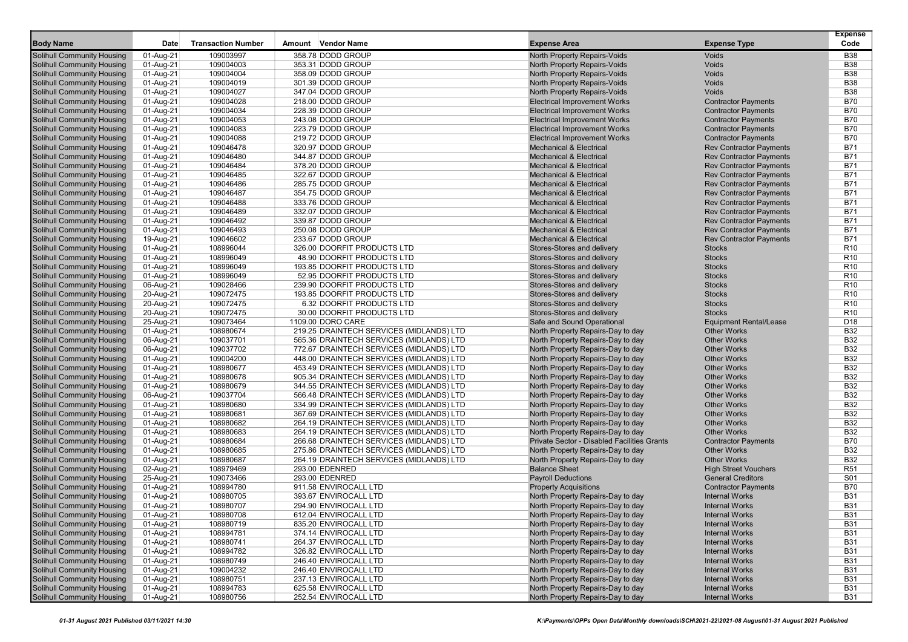|                                                                 |                        |                           |                                                            |                                                                        |                                                  | <b>Expense</b>           |
|-----------------------------------------------------------------|------------------------|---------------------------|------------------------------------------------------------|------------------------------------------------------------------------|--------------------------------------------------|--------------------------|
| <b>Body Name</b>                                                | <b>Date</b>            | <b>Transaction Number</b> | Amount Vendor Name                                         | <b>Expense Area</b>                                                    | <b>Expense Type</b>                              | Code                     |
| <b>Solihull Community Housing</b>                               | 01-Aug-21              | 109003997                 | 358.78 DODD GROUP                                          | North Property Repairs-Voids                                           | Voids                                            | <b>B38</b>               |
| <b>Solihull Community Housing</b>                               | 01-Aug-21              | 109004003                 | 353.31 DODD GROUP                                          | <b>North Property Repairs-Voids</b>                                    | Voids                                            | <b>B38</b>               |
| <b>Solihull Community Housing</b>                               | 01-Aug-21              | 109004004                 | 358.09 DODD GROUP                                          | North Property Repairs-Voids                                           | Voids                                            | <b>B38</b>               |
| <b>Solihull Community Housing</b>                               | 01-Aug-21              | 109004019                 | 301.39 DODD GROUP                                          | North Property Repairs-Voids                                           | Voids                                            | <b>B38</b>               |
| <b>Solihull Community Housing</b>                               | 01-Aug-21              | 109004027                 | 347.04 DODD GROUP                                          | North Property Repairs-Voids                                           | Voids                                            | <b>B38</b>               |
| <b>Solihull Community Housing</b>                               | 01-Aug-21              | 109004028                 | 218.00 DODD GROUP                                          | <b>Electrical Improvement Works</b>                                    | <b>Contractor Payments</b>                       | <b>B70</b>               |
| <b>Solihull Community Housing</b>                               | 01-Aug-21              | 109004034                 | 228.39 DODD GROUP                                          | <b>Electrical Improvement Works</b>                                    | <b>Contractor Payments</b>                       | <b>B70</b>               |
| <b>Solihull Community Housing</b>                               | 01-Aug-21              | 109004053                 | 243.08 DODD GROUP                                          | <b>Electrical Improvement Works</b>                                    | <b>Contractor Payments</b>                       | <b>B70</b>               |
| <b>Solihull Community Housing</b>                               | 01-Aug-21              | 109004083                 | 223.79 DODD GROUP                                          | <b>Electrical Improvement Works</b>                                    | <b>Contractor Payments</b>                       | <b>B70</b>               |
| <b>Solihull Community Housing</b>                               | 01-Aug-21              | 109004088                 | 219.72 DODD GROUP                                          | <b>Electrical Improvement Works</b>                                    | <b>Contractor Payments</b>                       | <b>B70</b>               |
| <b>Solihull Community Housing</b>                               | 01-Aug-21              | 109046478                 | 320.97 DODD GROUP                                          | <b>Mechanical &amp; Electrical</b>                                     | <b>Rev Contractor Payments</b>                   | <b>B71</b>               |
| <b>Solihull Community Housing</b>                               | 01-Aug-21              | 109046480                 | 344.87 DODD GROUP                                          | <b>Mechanical &amp; Electrical</b>                                     | <b>Rev Contractor Payments</b>                   | <b>B71</b>               |
| <b>Solihull Community Housing</b>                               | 01-Aug-21              | 109046484                 | 378.20 DODD GROUP                                          | <b>Mechanical &amp; Electrical</b>                                     | <b>Rev Contractor Payments</b>                   | <b>B71</b>               |
| <b>Solihull Community Housing</b>                               | 01-Aug-21              | 109046485                 | 322.67 DODD GROUP                                          | <b>Mechanical &amp; Electrical</b>                                     | <b>Rev Contractor Payments</b>                   | <b>B71</b>               |
| <b>Solihull Community Housing</b>                               | 01-Aug-21              | 109046486                 | 285.75 DODD GROUP                                          | <b>Mechanical &amp; Electrical</b>                                     | <b>Rev Contractor Payments</b>                   | <b>B71</b>               |
| <b>Solihull Community Housing</b>                               | 01-Aug-21              | 109046487                 | 354.75 DODD GROUP                                          | <b>Mechanical &amp; Electrical</b>                                     | <b>Rev Contractor Payments</b>                   | <b>B71</b>               |
| <b>Solihull Community Housing</b>                               | 01-Aug-21              | 109046488                 | 333.76 DODD GROUP                                          | <b>Mechanical &amp; Electrical</b>                                     | <b>Rev Contractor Payments</b>                   | B71                      |
| <b>Solihull Community Housing</b>                               | 01-Aug-21              | 109046489                 | 332.07 DODD GROUP                                          | <b>Mechanical &amp; Electrical</b>                                     | <b>Rev Contractor Payments</b>                   | <b>B71</b>               |
| <b>Solihull Community Housing</b>                               | 01-Aug-21              | 109046492                 | 339.87 DODD GROUP                                          | <b>Mechanical &amp; Electrical</b>                                     | <b>Rev Contractor Payments</b>                   | <b>B71</b>               |
| <b>Solihull Community Housing</b>                               | 01-Aug-21              | 109046493                 | 250.08 DODD GROUP                                          | <b>Mechanical &amp; Electrical</b>                                     | <b>Rev Contractor Payments</b>                   | <b>B71</b>               |
| <b>Solihull Community Housing</b>                               | 19-Aug-21              | 109046602                 | 233.67 DODD GROUP                                          | <b>Mechanical &amp; Electrical</b>                                     | <b>Rev Contractor Payments</b>                   | <b>B71</b>               |
| <b>Solihull Community Housing</b>                               | 01-Aug-21              | 108996044                 | 326.00 DOORFIT PRODUCTS LTD                                | Stores-Stores and delivery                                             | <b>Stocks</b>                                    | R <sub>10</sub>          |
| <b>Solihull Community Housing</b>                               | 01-Aug-21              | 108996049                 | 48.90 DOORFIT PRODUCTS LTD                                 | Stores-Stores and delivery                                             | <b>Stocks</b>                                    | R <sub>10</sub>          |
| <b>Solihull Community Housing</b>                               | 01-Aug-21              | 108996049                 | 193.85 DOORFIT PRODUCTS LTD                                | Stores-Stores and delivery                                             | <b>Stocks</b>                                    | R <sub>10</sub>          |
| <b>Solihull Community Housing</b>                               | 01-Aug-21              | 108996049                 | 52.95 DOORFIT PRODUCTS LTD                                 | Stores-Stores and delivery                                             | <b>Stocks</b>                                    | R <sub>10</sub>          |
| <b>Solihull Community Housing</b>                               | 06-Aug-21              | 109028466                 | 239.90 DOORFIT PRODUCTS LTD                                | Stores-Stores and delivery                                             | <b>Stocks</b>                                    | R <sub>10</sub>          |
| <b>Solihull Community Housing</b>                               | 20-Aug-21              | 109072475                 | 193.85 DOORFIT PRODUCTS LTD                                | Stores-Stores and delivery                                             | <b>Stocks</b>                                    | R <sub>10</sub>          |
| Solihull Community Housing                                      | 20-Aug-21              | 109072475                 | 6.32 DOORFIT PRODUCTS LTD                                  | Stores-Stores and delivery                                             | <b>Stocks</b>                                    | R <sub>10</sub>          |
| <b>Solihull Community Housing</b>                               | 20-Aug-21              | 109072475                 | 30.00 DOORFIT PRODUCTS LTD                                 | Stores-Stores and delivery                                             | <b>Stocks</b>                                    | R <sub>10</sub>          |
| Solihull Community Housing                                      | 25-Aug-21              | 109073464                 | 1109.00 DORO CARE                                          | Safe and Sound Operational                                             | <b>Equipment Rental/Lease</b>                    | D18                      |
| <b>Solihull Community Housing</b>                               | 01-Aug-21              | 108980674                 | 219.25 DRAINTECH SERVICES (MIDLANDS) LTD                   | North Property Repairs-Day to day                                      | <b>Other Works</b>                               | <b>B32</b>               |
| <b>Solihull Community Housing</b>                               | 06-Aug-21              | 109037701                 | 565.36 DRAINTECH SERVICES (MIDLANDS) LTD                   | North Property Repairs-Day to day                                      | <b>Other Works</b>                               | <b>B32</b>               |
| <b>Solihull Community Housing</b>                               | 06-Aug-21              | 109037702                 | 772.67 DRAINTECH SERVICES (MIDLANDS) LTD                   | North Property Repairs-Day to day                                      | <b>Other Works</b>                               | <b>B32</b>               |
| <b>Solihull Community Housing</b>                               | 01-Aug-21              | 109004200                 | 448.00 DRAINTECH SERVICES (MIDLANDS) LTD                   | North Property Repairs-Day to day                                      | <b>Other Works</b>                               | <b>B32</b>               |
| <b>Solihull Community Housing</b>                               | 01-Aug-21              | 108980677                 | 453.49 DRAINTECH SERVICES (MIDLANDS) LTD                   | North Property Repairs-Day to day                                      | <b>Other Works</b>                               | <b>B32</b>               |
| <b>Solihull Community Housing</b>                               | 01-Aug-21              | 108980678                 | 905.34 DRAINTECH SERVICES (MIDLANDS) LTD                   | North Property Repairs-Day to day                                      | <b>Other Works</b>                               | <b>B32</b>               |
| <b>Solihull Community Housing</b>                               | 01-Aug-21              | 108980679                 | 344.55 DRAINTECH SERVICES (MIDLANDS) LTD                   | North Property Repairs-Day to day                                      | <b>Other Works</b>                               | <b>B32</b>               |
| <b>Solihull Community Housing</b>                               | 06-Aug-21              | 109037704                 | 566.48 DRAINTECH SERVICES (MIDLANDS) LTD                   | North Property Repairs-Day to day                                      | <b>Other Works</b>                               | <b>B32</b>               |
| <b>Solihull Community Housing</b>                               | 01-Aug-21              | 108980680                 | 334.99 DRAINTECH SERVICES (MIDLANDS) LTD                   | North Property Repairs-Day to day                                      | <b>Other Works</b>                               | <b>B32</b>               |
| <b>Solihull Community Housing</b>                               | 01-Aug-21              | 108980681                 | 367.69 DRAINTECH SERVICES (MIDLANDS) LTD                   | North Property Repairs-Day to day                                      | <b>Other Works</b>                               | <b>B32</b>               |
| <b>Solihull Community Housing</b>                               | 01-Aug-21              | 108980682                 | 264.19 DRAINTECH SERVICES (MIDLANDS) LTD                   | North Property Repairs-Day to day                                      | <b>Other Works</b>                               | <b>B32</b>               |
| <b>Solihull Community Housing</b>                               | 01-Aug-21              | 108980683                 | 264.19 DRAINTECH SERVICES (MIDLANDS) LTD                   | North Property Repairs-Day to day                                      | <b>Other Works</b>                               | <b>B32</b>               |
| <b>Solihull Community Housing</b>                               | 01-Aug-21              | 108980684                 | 266.68 DRAINTECH SERVICES (MIDLANDS) LTD                   | Private Sector - Disabled Facilities Grants                            | <b>Contractor Payments</b><br><b>Other Works</b> | <b>B70</b>               |
| Solihull Community Housing<br><b>Solihull Community Housing</b> | 01-Aug-21              | 108980685                 | 275.86 DRAINTECH SERVICES (MIDLANDS) LTD                   | North Property Repairs-Day to day                                      | <b>Other Works</b>                               | <b>B32</b><br><b>B32</b> |
| <b>Solihull Community Housing</b>                               | 01-Aug-21<br>02-Aug-21 | 108980687                 | 264.19 DRAINTECH SERVICES (MIDLANDS) LTD<br>293.00 EDENRED | North Property Repairs-Day to day<br><b>Balance Sheet</b>              | <b>High Street Vouchers</b>                      | R <sub>51</sub>          |
| <b>Solihull Community Housing</b>                               |                        | 108979469<br>109073466    | 293.00 EDENRED                                             | <b>Payroll Deductions</b>                                              | <b>General Creditors</b>                         | S01                      |
| <b>Solihull Community Housing</b>                               | 25-Aug-21<br>01-Aug-21 | 108994780                 | 911.58 ENVIROCALL LTD                                      | <b>Property Acquisitions</b>                                           | <b>Contractor Payments</b>                       | <b>B70</b>               |
| <b>Solihull Community Housing</b>                               | 01-Aug-21              | 108980705                 | 393.67 ENVIROCALL LTD                                      | North Property Repairs-Day to day                                      | <b>Internal Works</b>                            | <b>B31</b>               |
| <b>Solihull Community Housing</b>                               | 01-Aug-21              | 108980707                 | 294.90 ENVIROCALL LTD                                      | North Property Repairs-Day to day                                      | <b>Internal Works</b>                            | <b>B31</b>               |
|                                                                 |                        |                           |                                                            |                                                                        |                                                  | <b>B31</b>               |
| Solihull Community Housing<br><b>Solihull Community Housing</b> | 01-Aug-21<br>01-Aug-21 | 108980708<br>108980719    | 612.04 ENVIROCALL LTD<br>835.20 ENVIROCALL LTD             | North Property Repairs-Day to day<br>North Property Repairs-Day to day | <b>Internal Works</b><br>Internal Works          | <b>B31</b>               |
| <b>Solihull Community Housing</b>                               | 01-Aug-21              | 108994781                 | 374.14 ENVIROCALL LTD                                      | North Property Repairs-Day to day                                      | <b>Internal Works</b>                            | <b>B31</b>               |
| Solihull Community Housing                                      | 01-Aug-21              | 108980741                 | 264.37 ENVIROCALL LTD                                      | North Property Repairs-Day to day                                      | <b>Internal Works</b>                            | <b>B31</b>               |
| <b>Solihull Community Housing</b>                               | 01-Aug-21              | 108994782                 | 326.82 ENVIROCALL LTD                                      | North Property Repairs-Day to day                                      | <b>Internal Works</b>                            | <b>B31</b>               |
| <b>Solihull Community Housing</b>                               | 01-Aug-21              | 108980749                 | 246.40 ENVIROCALL LTD                                      | North Property Repairs-Day to day                                      | <b>Internal Works</b>                            | <b>B31</b>               |
| <b>Solihull Community Housing</b>                               | 01-Aug-21              | 109004232                 | 246.40 ENVIROCALL LTD                                      | North Property Repairs-Day to day                                      | <b>Internal Works</b>                            | <b>B31</b>               |
| <b>Solihull Community Housing</b>                               | 01-Aug-21              | 108980751                 | 237.13 ENVIROCALL LTD                                      | North Property Repairs-Day to day                                      | <b>Internal Works</b>                            | <b>B31</b>               |
| Solihull Community Housing                                      | 01-Aug-21              | 108994783                 | 625.58 ENVIROCALL LTD                                      | North Property Repairs-Day to day                                      | <b>Internal Works</b>                            | <b>B31</b>               |
| <b>Solihull Community Housing</b>                               | 01-Aug-21              | 108980756                 | 252.54 ENVIROCALL LTD                                      | North Property Repairs-Day to day                                      | <b>Internal Works</b>                            | <b>B31</b>               |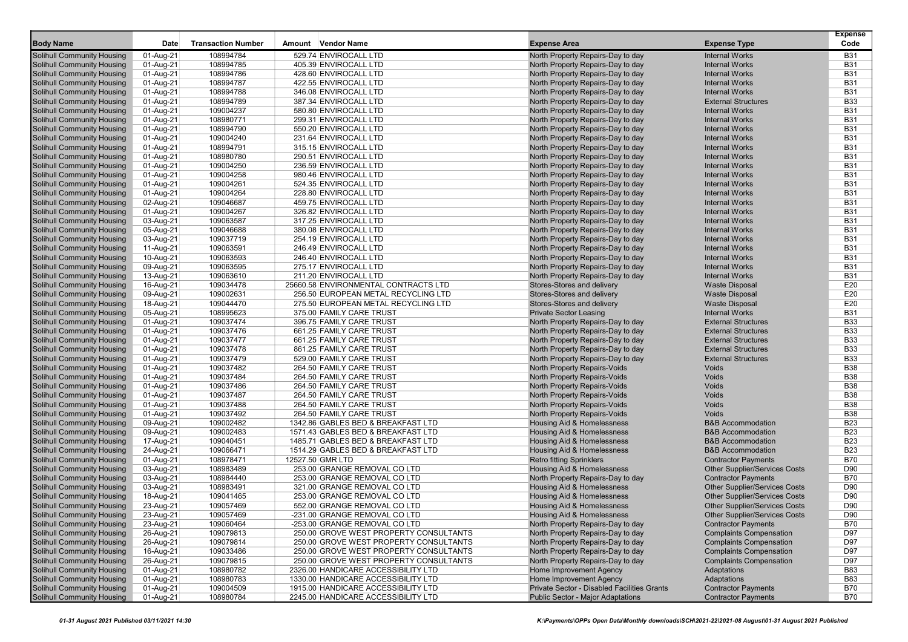|                                                                        |                        | <b>Transaction Number</b> | Amount Vendor Name                             |                                                                        |                                                | <b>Expense</b><br>Code   |
|------------------------------------------------------------------------|------------------------|---------------------------|------------------------------------------------|------------------------------------------------------------------------|------------------------------------------------|--------------------------|
| <b>Body Name</b>                                                       | Date                   |                           |                                                | <b>Expense Area</b>                                                    | <b>Expense Type</b>                            |                          |
| <b>Solihull Community Housing</b>                                      | 01-Aug-21              | 108994784                 | 529.74 ENVIROCALL LTD                          | North Property Repairs-Day to day                                      | <b>Internal Works</b>                          | <b>B31</b>               |
| <b>Solihull Community Housing</b>                                      | 01-Aug-21              | 108994785                 | 405.39 ENVIROCALL LTD                          | North Property Repairs-Day to day                                      | <b>Internal Works</b>                          | <b>B31</b>               |
| <b>Solihull Community Housing</b>                                      | 01-Aug-21              | 108994786                 | 428.60 ENVIROCALL LTD                          | North Property Repairs-Day to day                                      | <b>Internal Works</b>                          | <b>B31</b>               |
| <b>Solihull Community Housing</b>                                      | 01-Aug-21              | 108994787                 | 422.55 ENVIROCALL LTD                          | North Property Repairs-Day to day                                      | <b>Internal Works</b>                          | <b>B31</b>               |
| <b>Solihull Community Housing</b>                                      | 01-Aug-21              | 108994788                 | 346.08 ENVIROCALL LTD                          | North Property Repairs-Day to day                                      | <b>Internal Works</b>                          | <b>B31</b>               |
| <b>Solihull Community Housing</b>                                      | 01-Aug-21              | 108994789                 | 387.34 ENVIROCALL LTD                          | North Property Repairs-Day to day                                      | <b>External Structures</b>                     | <b>B33</b>               |
| <b>Solihull Community Housing</b>                                      | 01-Aug-21              | 109004237                 | 580.80 ENVIROCALL LTD                          | North Property Repairs-Day to day                                      | <b>Internal Works</b>                          | <b>B31</b><br><b>B31</b> |
| <b>Solihull Community Housing</b>                                      | 01-Aug-21              | 108980771                 | 299.31 ENVIROCALL LTD                          | North Property Repairs-Day to day                                      | <b>Internal Works</b>                          |                          |
| <b>Solihull Community Housing</b><br><b>Solihull Community Housing</b> | 01-Aug-21              | 108994790<br>109004240    | 550.20 ENVIROCALL LTD<br>231.64 ENVIROCALL LTD | North Property Repairs-Day to day                                      | <b>Internal Works</b><br><b>Internal Works</b> | <b>B31</b><br><b>B31</b> |
| <b>Solihull Community Housing</b>                                      | 01-Aug-21              | 108994791                 | 315.15 ENVIROCALL LTD                          | North Property Repairs-Day to day<br>North Property Repairs-Day to day | <b>Internal Works</b>                          | <b>B31</b>               |
| <b>Solihull Community Housing</b>                                      | 01-Aug-21              | 108980780                 | 290.51 ENVIROCALL LTD                          | North Property Repairs-Day to day                                      | <b>Internal Works</b>                          | <b>B31</b>               |
| <b>Solihull Community Housing</b>                                      | 01-Aug-21              | 109004250                 | 236.59 ENVIROCALL LTD                          | North Property Repairs-Day to day                                      | <b>Internal Works</b>                          | <b>B31</b>               |
| <b>Solihull Community Housing</b>                                      | 01-Aug-21<br>01-Aug-21 | 109004258                 | 980.46 ENVIROCALL LTD                          | North Property Repairs-Day to day                                      | <b>Internal Works</b>                          | <b>B31</b>               |
| <b>Solihull Community Housing</b>                                      | 01-Aug-21              | 109004261                 | 524.35 ENVIROCALL LTD                          | North Property Repairs-Day to day                                      | <b>Internal Works</b>                          | <b>B31</b>               |
| <b>Solihull Community Housing</b>                                      | 01-Aug-21              | 109004264                 | 228.80 ENVIROCALL LTD                          | North Property Repairs-Day to day                                      | <b>Internal Works</b>                          | <b>B31</b>               |
| <b>Solihull Community Housing</b>                                      | 02-Aug-21              | 109046687                 | 459.75 ENVIROCALL LTD                          | North Property Repairs-Day to day                                      | <b>Internal Works</b>                          | <b>B31</b>               |
| <b>Solihull Community Housing</b>                                      | 01-Aug-21              | 109004267                 | 326.82 ENVIROCALL LTD                          | North Property Repairs-Day to day                                      | <b>Internal Works</b>                          | <b>B31</b>               |
| <b>Solihull Community Housing</b>                                      | 03-Aug-21              | 109063587                 | 317.25 ENVIROCALL LTD                          | North Property Repairs-Day to day                                      | <b>Internal Works</b>                          | <b>B31</b>               |
| <b>Solihull Community Housing</b>                                      | 05-Aug-21              | 109046688                 | 380.08 ENVIROCALL LTD                          | North Property Repairs-Day to day                                      | <b>Internal Works</b>                          | <b>B31</b>               |
| <b>Solihull Community Housing</b>                                      | 03-Aug-21              | 109037719                 | 254.19 ENVIROCALL LTD                          | North Property Repairs-Day to day                                      | <b>Internal Works</b>                          | <b>B31</b>               |
| <b>Solihull Community Housing</b>                                      | 11-Aug-21              | 109063591                 | 246.49 ENVIROCALL LTD                          | North Property Repairs-Day to day                                      | <b>Internal Works</b>                          | <b>B31</b>               |
| <b>Solihull Community Housing</b>                                      | 10-Aug-21              | 109063593                 | 246.40 ENVIROCALL LTD                          | North Property Repairs-Day to day                                      | <b>Internal Works</b>                          | <b>B31</b>               |
| <b>Solihull Community Housing</b>                                      | 09-Aug-21              | 109063595                 | 275.17 ENVIROCALL LTD                          | North Property Repairs-Day to day                                      | <b>Internal Works</b>                          | <b>B31</b>               |
| <b>Solihull Community Housing</b>                                      | 13-Aug-21              | 109063610                 | 211.20 ENVIROCALL LTD                          | North Property Repairs-Day to day                                      | <b>Internal Works</b>                          | <b>B31</b>               |
| <b>Solihull Community Housing</b>                                      | 16-Aug-21              | 109034478                 | 25660.58 ENVIRONMENTAL CONTRACTS LTD           | Stores-Stores and delivery                                             | <b>Waste Disposal</b>                          | E20                      |
| <b>Solihull Community Housing</b>                                      | 09-Aug-21              | 109002631                 | 256.50 EUROPEAN METAL RECYCLING LTD            | Stores-Stores and delivery                                             | <b>Waste Disposal</b>                          | E20                      |
| <b>Solihull Community Housing</b>                                      | 18-Aug-21              | 109044470                 | 275.50 EUROPEAN METAL RECYCLING LTD            | Stores-Stores and delivery                                             | <b>Waste Disposal</b>                          | E20                      |
| <b>Solihull Community Housing</b>                                      | 05-Aug-21              | 108995623                 | 375.00 FAMILY CARE TRUST                       | <b>Private Sector Leasing</b>                                          | <b>Internal Works</b>                          | <b>B31</b>               |
| <b>Solihull Community Housing</b>                                      | 01-Aug-21              | 109037474                 | 396.75 FAMILY CARE TRUST                       | North Property Repairs-Day to day                                      | <b>External Structures</b>                     | <b>B33</b>               |
| <b>Solihull Community Housing</b>                                      | 01-Aug-21              | 109037476                 | 661.25 FAMILY CARE TRUST                       | North Property Repairs-Day to day                                      | <b>External Structures</b>                     | <b>B33</b>               |
| <b>Solihull Community Housing</b>                                      | 01-Aug-21              | 109037477                 | 661.25 FAMILY CARE TRUST                       | North Property Repairs-Day to day                                      | <b>External Structures</b>                     | <b>B33</b>               |
| <b>Solihull Community Housing</b>                                      | 01-Aug-21              | 109037478                 | 861.25 FAMILY CARE TRUST                       | North Property Repairs-Day to day                                      | <b>External Structures</b>                     | <b>B33</b>               |
| <b>Solihull Community Housing</b>                                      | 01-Aug-21              | 109037479                 | 529.00 FAMILY CARE TRUST                       | North Property Repairs-Day to day                                      | <b>External Structures</b>                     | <b>B33</b>               |
| <b>Solihull Community Housing</b>                                      | 01-Aug-21              | 109037482                 | 264.50 FAMILY CARE TRUST                       | North Property Repairs-Voids                                           | Voids                                          | <b>B38</b>               |
| <b>Solihull Community Housing</b>                                      | 01-Aug-21              | 109037484                 | 264.50 FAMILY CARE TRUST                       | North Property Repairs-Voids                                           | Voids                                          | <b>B38</b>               |
| <b>Solihull Community Housing</b>                                      | 01-Aug-21              | 109037486                 | 264.50 FAMILY CARE TRUST                       | North Property Repairs-Voids                                           | Voids                                          | <b>B38</b>               |
| <b>Solihull Community Housing</b>                                      | 01-Aug-21              | 109037487                 | 264.50 FAMILY CARE TRUST                       | North Property Repairs-Voids                                           | Voids                                          | <b>B38</b>               |
| <b>Solihull Community Housing</b>                                      | 01-Aug-21              | 109037488                 | 264.50 FAMILY CARE TRUST                       | North Property Repairs-Voids                                           | Voids                                          | <b>B38</b>               |
| <b>Solihull Community Housing</b>                                      | 01-Aug-21              | 109037492                 | 264.50 FAMILY CARE TRUST                       | North Property Repairs-Voids                                           | Voids                                          | <b>B38</b>               |
| <b>Solihull Community Housing</b>                                      | 09-Aug-21              | 109002482                 | 1342.86 GABLES BED & BREAKFAST LTD             | <b>Housing Aid &amp; Homelessness</b>                                  | <b>B&amp;B Accommodation</b>                   | <b>B23</b>               |
| <b>Solihull Community Housing</b>                                      | 09-Aug-21              | 109002483                 | 1571.43 GABLES BED & BREAKFAST LTD             | <b>Housing Aid &amp; Homelessness</b>                                  | <b>B&amp;B Accommodation</b>                   | <b>B23</b>               |
| <b>Solihull Community Housing</b>                                      | 17-Aug-21              | 109040451                 | 1485.71 GABLES BED & BREAKFAST LTD             | Housing Aid & Homelessness                                             | <b>B&amp;B Accommodation</b>                   | <b>B23</b>               |
| <b>Solihull Community Housing</b>                                      | 24-Aug-21              | 109066471                 | 1514.29 GABLES BED & BREAKFAST LTD             | Housing Aid & Homelessness                                             | <b>B&amp;B Accommodation</b>                   | <b>B23</b>               |
| <b>Solihull Community Housing</b>                                      | 01-Aug-21              | 108978471                 | 12527.50 GMR LTD                               | <b>Retro fitting Sprinklers</b>                                        | <b>Contractor Payments</b>                     | <b>B70</b>               |
| <b>Solihull Community Housing</b>                                      | 03-Aug-21              | 108983489                 | 253.00 GRANGE REMOVAL CO LTD                   | <b>Housing Aid &amp; Homelessness</b>                                  | <b>Other Supplier/Services Costs</b>           | D90                      |
| <b>Solihull Community Housing</b>                                      | 03-Aug-21              | 108984440                 | 253.00 GRANGE REMOVAL CO LTD                   | North Property Repairs-Day to day                                      | <b>Contractor Payments</b>                     | <b>B70</b>               |
| <b>Solihull Community Housing</b>                                      | 03-Aug-21              | 108983491                 | 321.00 GRANGE REMOVAL CO LTD                   | Housing Aid & Homelessness                                             | <b>Other Supplier/Services Costs</b>           | D90                      |
| <b>Solihull Community Housing</b>                                      | 18-Aug-21              | 109041465                 | 253.00 GRANGE REMOVAL CO LTD                   | Housing Aid & Homelessness                                             | <b>Other Supplier/Services Costs</b>           | D90                      |
| <b>Solihull Community Housing</b>                                      | 23-Aug-21              | 109057469                 | 552.00 GRANGE REMOVAL CO LTD                   | <b>Housing Aid &amp; Homelessness</b>                                  | <b>Other Supplier/Services Costs</b>           | D90                      |
| Solihull Community Housing                                             | 23-Aug-21              | 109057469                 | -231.00 GRANGE REMOVAL CO LTD                  | Housing Aid & Homelessness                                             | Other Supplier/Services Costs                  | D90                      |
| <b>Solihull Community Housing</b>                                      | 23-Aug-21              | 109060464                 | -253.00 GRANGE REMOVAL CO LTD                  | North Property Repairs-Day to day                                      | <b>Contractor Payments</b>                     | <b>B70</b>               |
| <b>Solihull Community Housing</b>                                      | 26-Aug-21              | 109079813                 | 250.00 GROVE WEST PROPERTY CONSULTANTS         | North Property Repairs-Day to day                                      | <b>Complaints Compensation</b>                 | D97                      |
| <b>Solihull Community Housing</b>                                      | 26-Aug-21              | 109079814                 | 250.00 GROVE WEST PROPERTY CONSULTANTS         | North Property Repairs-Day to day                                      | <b>Complaints Compensation</b>                 | D97                      |
| <b>Solihull Community Housing</b>                                      | 16-Aug-21              | 109033486                 | 250.00 GROVE WEST PROPERTY CONSULTANTS         | North Property Repairs-Day to day                                      | <b>Complaints Compensation</b>                 | D97                      |
| <b>Solihull Community Housing</b>                                      | 26-Aug-21              | 109079815                 | 250.00 GROVE WEST PROPERTY CONSULTANTS         | North Property Repairs-Day to day                                      | <b>Complaints Compensation</b>                 | D97                      |
| <b>Solihull Community Housing</b>                                      | 01-Aug-21              | 108980782                 | 2326.00 HANDICARE ACCESSIBILITY LTD            | Home Improvement Agency                                                | <b>Adaptations</b>                             | <b>B83</b>               |
| <b>Solihull Community Housing</b>                                      | 01-Aug-21              | 108980783                 | 1330.00 HANDICARE ACCESSIBILITY LTD            | Home Improvement Agency                                                | <b>Adaptations</b>                             | <b>B83</b>               |
| <b>Solihull Community Housing</b>                                      | 01-Aug-21              | 109004509                 | 1915.00 HANDICARE ACCESSIBILITY LTD            | Private Sector - Disabled Facilities Grants                            | <b>Contractor Payments</b>                     | <b>B70</b>               |
| <b>Solihull Community Housing</b>                                      | 01-Aug-21              | 108980784                 | 2245.00 HANDICARE ACCESSIBILITY LTD            | Public Sector - Major Adaptations                                      | <b>Contractor Payments</b>                     | <b>B70</b>               |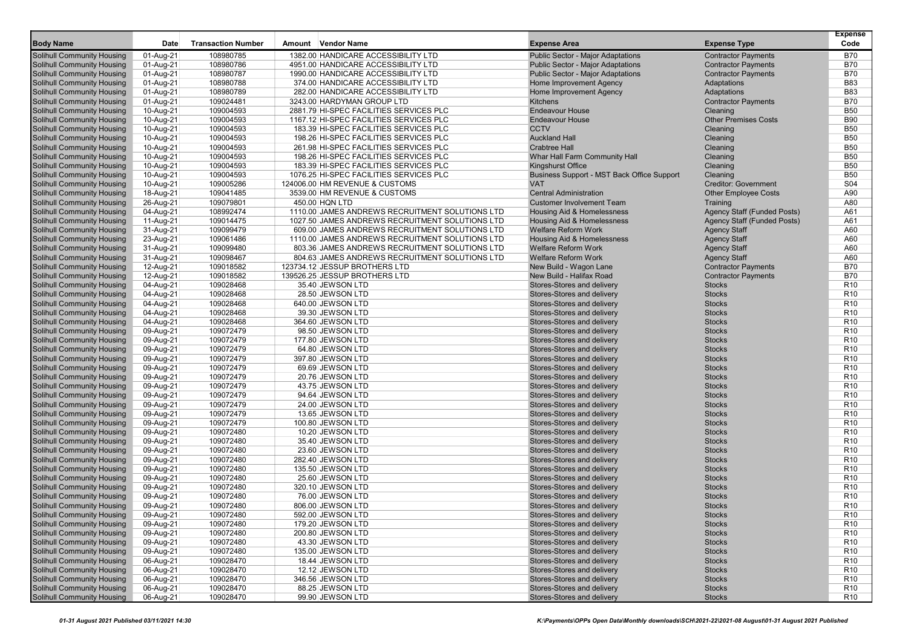|                                                                 |                        |                           |                                                 |                                                          |                                    | <b>Expense</b>                     |
|-----------------------------------------------------------------|------------------------|---------------------------|-------------------------------------------------|----------------------------------------------------------|------------------------------------|------------------------------------|
| <b>Body Name</b>                                                | <b>Date</b>            | <b>Transaction Number</b> | Amount Vendor Name                              | <b>Expense Area</b>                                      | <b>Expense Type</b>                | Code                               |
| <b>Solihull Community Housing</b>                               | 01-Aug-21              | 108980785                 | 1382.00 HANDICARE ACCESSIBILITY LTD             | Public Sector - Major Adaptations                        | <b>Contractor Payments</b>         | <b>B70</b>                         |
| <b>Solihull Community Housing</b>                               | 01-Aug-21              | 108980786                 | 4951.00 HANDICARE ACCESSIBILITY LTD             | Public Sector - Major Adaptations                        | <b>Contractor Payments</b>         | <b>B70</b>                         |
| <b>Solihull Community Housing</b>                               | 01-Aug-21              | 108980787                 | 1990.00 HANDICARE ACCESSIBILITY LTD             | Public Sector - Major Adaptations                        | <b>Contractor Payments</b>         | <b>B70</b>                         |
| <b>Solihull Community Housing</b>                               | 01-Aug-21              | 108980788                 | 374.00 HANDICARE ACCESSIBILITY LTD              | Home Improvement Agency                                  | Adaptations                        | <b>B83</b>                         |
| <b>Solihull Community Housing</b>                               | 01-Aug-21              | 108980789                 | 282.00 HANDICARE ACCESSIBILITY LTD              | Home Improvement Agency                                  | Adaptations                        | <b>B83</b>                         |
| <b>Solihull Community Housing</b>                               | 01-Aug-21              | 109024481                 | 3243.00 HARDYMAN GROUP LTD                      | <b>Kitchens</b>                                          | <b>Contractor Payments</b>         | <b>B70</b>                         |
| <b>Solihull Community Housing</b>                               | 10-Aug-21              | 109004593                 | 2881.79 HI-SPEC FACILITIES SERVICES PLC         | <b>Endeavour House</b>                                   | Cleaning                           | <b>B50</b>                         |
| <b>Solihull Community Housing</b>                               | 10-Aug-21              | 109004593                 | 1167.12 HI-SPEC FACILITIES SERVICES PLC         | <b>Endeavour House</b>                                   | <b>Other Premises Costs</b>        | <b>B90</b>                         |
| <b>Solihull Community Housing</b>                               | 10-Aug-21              | 109004593                 | 183.39 HI-SPEC FACILITIES SERVICES PLC          | <b>CCTV</b>                                              | Cleaning                           | <b>B50</b>                         |
| <b>Solihull Community Housing</b>                               | 10-Aug-21              | 109004593                 | 198.26 HI-SPEC FACILITIES SERVICES PLC          | <b>Auckland Hall</b>                                     | Cleaning                           | <b>B50</b>                         |
| <b>Solihull Community Housing</b>                               | 10-Aug-21              | 109004593                 | 261.98 HI-SPEC FACILITIES SERVICES PLC          | <b>Crabtree Hall</b>                                     | Cleaning                           | <b>B50</b>                         |
| <b>Solihull Community Housing</b>                               | 10-Aug-21              | 109004593                 | 198.26 HI-SPEC FACILITIES SERVICES PLC          | Whar Hall Farm Community Hall                            | Cleaning                           | <b>B50</b>                         |
| <b>Solihull Community Housing</b>                               | 10-Aug-21              | 109004593                 | 183.39 HI-SPEC FACILITIES SERVICES PLC          | Kingshurst Office                                        | Cleaning                           | <b>B50</b>                         |
| <b>Solihull Community Housing</b>                               | 10-Aug-21              | 109004593                 | 1076.25 HI-SPEC FACILITIES SERVICES PLC         | Business Support - MST Back Office Support               | Cleaning                           | <b>B50</b>                         |
| <b>Solihull Community Housing</b>                               | 10-Aug-21              | 109005286                 | 124006.00 HM REVENUE & CUSTOMS                  | <b>VAT</b>                                               | <b>Creditor: Government</b>        | S04                                |
| <b>Solihull Community Housing</b>                               | 18-Aug-21              | 109041485                 | 3539.00 HM REVENUE & CUSTOMS                    | <b>Central Administration</b>                            | <b>Other Employee Costs</b>        | A90                                |
| <b>Solihull Community Housing</b>                               | 26-Aug-21              | 109079801                 | 450.00 HQN LTD                                  | <b>Customer Involvement Team</b>                         | Training                           | A80                                |
| <b>Solihull Community Housing</b>                               | 04-Aug-21              | 108992474                 | 1110.00 JAMES ANDREWS RECRUITMENT SOLUTIONS LTD | Housing Aid & Homelessness                               | <b>Agency Staff (Funded Posts)</b> | A61                                |
| <b>Solihull Community Housing</b>                               | 11-Aug-21              | 109014475                 | 1027.50 JAMES ANDREWS RECRUITMENT SOLUTIONS LTD | Housing Aid & Homelessness                               | <b>Agency Staff (Funded Posts)</b> | A61                                |
| <b>Solihull Community Housing</b>                               | 31-Aug-21              | 109099479                 | 609.00 JAMES ANDREWS RECRUITMENT SOLUTIONS LTD  | <b>Welfare Reform Work</b>                               | <b>Agency Staff</b>                | A60                                |
| <b>Solihull Community Housing</b>                               | 23-Aug-21              | 109061486                 | 1110.00 JAMES ANDREWS RECRUITMENT SOLUTIONS LTD | <b>Housing Aid &amp; Homelessness</b>                    | <b>Agency Staff</b>                | A60                                |
| <b>Solihull Community Housing</b>                               | 31-Aug-21              | 109099480                 | 803.36 JAMES ANDREWS RECRUITMENT SOLUTIONS LTD  | <b>Welfare Reform Work</b>                               | <b>Agency Staff</b>                | A60                                |
| <b>Solihull Community Housing</b>                               | 31-Aug-21              | 109098467                 | 804.63 JAMES ANDREWS RECRUITMENT SOLUTIONS LTD  | <b>Welfare Reform Work</b>                               | <b>Agency Staff</b>                | A60                                |
| <b>Solihull Community Housing</b>                               | 12-Aug-21              | 109018582                 | 123734.12 JESSUP BROTHERS LTD                   | New Build - Wagon Lane                                   | <b>Contractor Payments</b>         | <b>B70</b>                         |
| <b>Solihull Community Housing</b>                               | 12-Aug-21              | 109018582                 | 139526.25 JESSUP BROTHERS LTD                   | New Build - Halifax Road                                 | <b>Contractor Payments</b>         | <b>B70</b>                         |
| <b>Solihull Community Housing</b>                               | 04-Aug-21              | 109028468                 | 35.40 JEWSON LTD                                | Stores-Stores and delivery                               | <b>Stocks</b>                      | R <sub>10</sub>                    |
| <b>Solihull Community Housing</b>                               | 04-Aug-21              | 109028468                 | 28.50 JEWSON LTD                                | Stores-Stores and delivery                               | <b>Stocks</b>                      | R <sub>10</sub>                    |
| <b>Solihull Community Housing</b>                               | 04-Aug-21              | 109028468                 | 640.00 JEWSON LTD                               | Stores-Stores and delivery                               | <b>Stocks</b>                      | R <sub>10</sub>                    |
| <b>Solihull Community Housing</b>                               | 04-Aug-21              | 109028468                 | 39.30 JEWSON LTD                                | Stores-Stores and delivery                               | <b>Stocks</b>                      | R <sub>10</sub>                    |
| Solihull Community Housing                                      | 04-Aug-21              | 109028468                 | 364.60 JEWSON LTD                               | Stores-Stores and delivery                               | <b>Stocks</b>                      | R <sub>10</sub>                    |
| <b>Solihull Community Housing</b>                               | 09-Aug-21              | 109072479                 | 98.50 JEWSON LTD                                | Stores-Stores and delivery                               | <b>Stocks</b>                      | R <sub>10</sub>                    |
| <b>Solihull Community Housing</b>                               | 09-Aug-21              | 109072479                 | 177.80 JEWSON LTD                               | Stores-Stores and delivery                               | <b>Stocks</b>                      | R <sub>10</sub>                    |
| <b>Solihull Community Housing</b>                               | 09-Aug-21              | 109072479                 | 64.80 JEWSON LTD                                | Stores-Stores and delivery                               | <b>Stocks</b>                      | R <sub>10</sub>                    |
| <b>Solihull Community Housing</b>                               | 09-Aug-21              | 109072479                 | 397.80 JEWSON LTD                               | Stores-Stores and delivery                               | <b>Stocks</b>                      | R <sub>10</sub>                    |
| <b>Solihull Community Housing</b>                               | 09-Aug-21              | 109072479                 | 69.69 JEWSON LTD                                | Stores-Stores and delivery                               | <b>Stocks</b>                      | R <sub>10</sub>                    |
| <b>Solihull Community Housing</b>                               | 09-Aug-21              | 109072479                 | 20.76 JEWSON LTD                                | Stores-Stores and delivery                               | <b>Stocks</b>                      | R <sub>10</sub>                    |
| <b>Solihull Community Housing</b>                               | 09-Aug-21              | 109072479                 | 43.75 JEWSON LTD                                | Stores-Stores and delivery                               | <b>Stocks</b>                      | R <sub>10</sub>                    |
| <b>Solihull Community Housing</b>                               | 09-Aug-21              | 109072479                 | 94.64 JEWSON LTD                                | Stores-Stores and delivery                               | <b>Stocks</b>                      | R <sub>10</sub>                    |
| <b>Solihull Community Housing</b>                               | 09-Aug-21              | 109072479                 | 24.00 JEWSON LTD                                | Stores-Stores and delivery                               | <b>Stocks</b>                      | R <sub>10</sub>                    |
| <b>Solihull Community Housing</b>                               | 09-Aug-21              | 109072479                 | 13.65 JEWSON LTD                                | Stores-Stores and delivery                               | <b>Stocks</b>                      | R <sub>10</sub>                    |
| <b>Solihull Community Housing</b>                               | 09-Aug-21              | 109072479                 | 100.80 JEWSON LTD                               | Stores-Stores and delivery                               | <b>Stocks</b>                      | R <sub>10</sub>                    |
| <b>Solihull Community Housing</b>                               | 09-Aug-21              | 109072480                 | 10.20 JEWSON LTD                                | Stores-Stores and delivery                               | <b>Stocks</b>                      | R <sub>10</sub>                    |
| <b>Solihull Community Housing</b>                               | 09-Aug-21              | 109072480                 | 35.40 JEWSON LTD                                | Stores-Stores and delivery                               | <b>Stocks</b><br><b>Stocks</b>     | R <sub>10</sub><br>R <sub>10</sub> |
| <b>Solihull Community Housing</b>                               | 09-Aug-21              | 109072480                 | 23.60 JEWSON LTD                                | Stores-Stores and delivery<br>Stores-Stores and delivery |                                    | R <sub>10</sub>                    |
| <b>Solihull Community Housing</b>                               | 09-Aug-21              | 109072480                 | 282.40 JEWSON LTD                               |                                                          | <b>Stocks</b>                      | R <sub>10</sub>                    |
| <b>Solihull Community Housing</b><br>Solihull Community Housing | 09-Aug-21<br>09-Aug-21 | 109072480<br>109072480    | 135.50 JEWSON LTD<br>25.60 JEWSON LTD           | Stores-Stores and delivery<br>Stores-Stores and delivery | <b>Stocks</b><br><b>Stocks</b>     | R <sub>10</sub>                    |
| <b>Solihull Community Housing</b>                               | 09-Aug-21              | 109072480                 | 320.10 JEWSON LTD                               | Stores-Stores and delivery                               | <b>Stocks</b>                      | R <sub>10</sub>                    |
| <b>Solihull Community Housing</b>                               | 09-Aug-21              | 109072480                 | 76.00 JEWSON LTD                                | Stores-Stores and delivery                               | <b>Stocks</b>                      | R <sub>10</sub>                    |
| <b>Solihull Community Housing</b>                               | 09-Aug-21              | 109072480                 | 806.00 JEWSON LTD                               | Stores-Stores and delivery                               | <b>Stocks</b>                      | R <sub>10</sub>                    |
|                                                                 | 09-Aug-21              |                           | 592.00 JEWSON LTD                               |                                                          | <b>Stocks</b>                      | R <sub>10</sub>                    |
| Solihull Community Housing<br><b>Solihull Community Housing</b> | 09-Aug-21              | 109072480<br>109072480    | 179.20 JEWSON LTD                               | Stores-Stores and delivery<br>Stores-Stores and delivery | <b>Stocks</b>                      | R <sub>10</sub>                    |
| <b>Solihull Community Housing</b>                               | 09-Aug-21              | 109072480                 | 200.80 JEWSON LTD                               | Stores-Stores and delivery                               | <b>Stocks</b>                      | R <sub>10</sub>                    |
| Solihull Community Housing                                      | 09-Aug-21              | 109072480                 | 43.30 JEWSON LTD                                | Stores-Stores and delivery                               | <b>Stocks</b>                      | R <sub>10</sub>                    |
| <b>Solihull Community Housing</b>                               | 09-Aug-21              | 109072480                 | 135.00 JEWSON LTD                               | Stores-Stores and delivery                               | <b>Stocks</b>                      | R <sub>10</sub>                    |
| <b>Solihull Community Housing</b>                               | 06-Aug-21              | 109028470                 | 18.44 JEWSON LTD                                | Stores-Stores and delivery                               | <b>Stocks</b>                      | R <sub>10</sub>                    |
| <b>Solihull Community Housing</b>                               | 06-Aug-21              | 109028470                 | 12.12 JEWSON LTD                                | Stores-Stores and delivery                               | <b>Stocks</b>                      | R <sub>10</sub>                    |
| <b>Solihull Community Housing</b>                               | 06-Aug-21              | 109028470                 | 346.56 JEWSON LTD                               | Stores-Stores and delivery                               | <b>Stocks</b>                      | R <sub>10</sub>                    |
| <b>Solihull Community Housing</b>                               | 06-Aug-21              | 109028470                 | 88.25 JEWSON LTD                                | Stores-Stores and delivery                               | <b>Stocks</b>                      | R <sub>10</sub>                    |
| <b>Solihull Community Housing</b>                               | 06-Aug-21              | 109028470                 | 99.90 JEWSON LTD                                | Stores-Stores and delivery                               | <b>Stocks</b>                      | R <sub>10</sub>                    |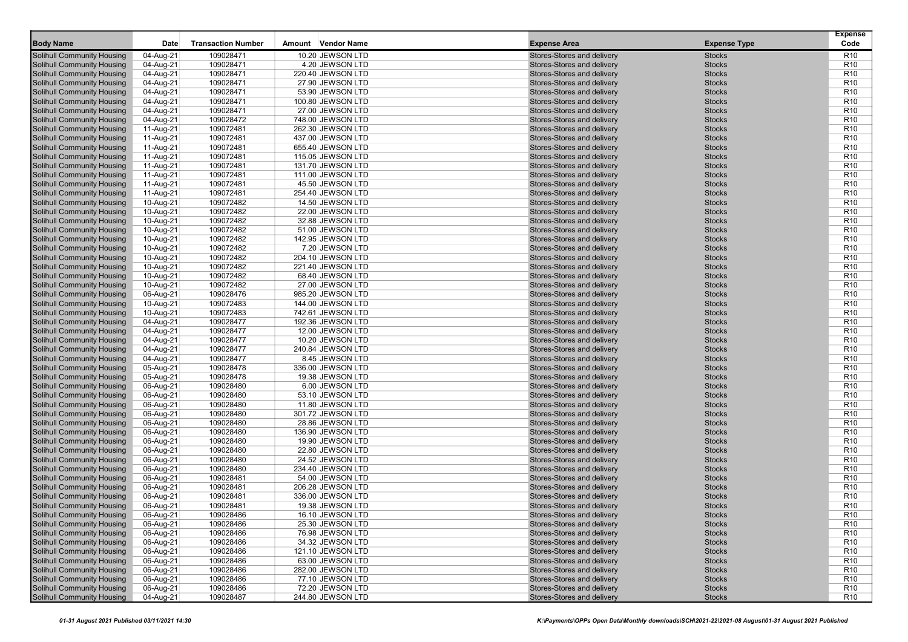| Date<br>Amount Vendor Name<br><b>Expense Area</b><br><b>Expense Type</b><br>04-Aug-21<br>109028471<br>10.20 JEWSON LTD<br>Stores-Stores and delivery<br>R <sub>10</sub><br>Solihull Community Housing<br><b>Stocks</b><br>04-Aug-21<br><b>Stocks</b><br>R <sub>10</sub><br>Solihull Community Housing<br>109028471<br>4.20 JEWSON LTD<br>Stores-Stores and delivery<br>109028471<br>Stores-Stores and delivery<br><b>Stocks</b><br>Solihull Community Housing<br>04-Aug-21<br>220.40 JEWSON LTD<br>R <sub>10</sub><br>109028471<br>Stores-Stores and delivery<br><b>Solihull Community Housing</b><br>04-Aug-21<br>27.90 JEWSON LTD<br><b>Stocks</b><br>R <sub>10</sub><br><b>Stocks</b><br><b>Solihull Community Housing</b><br>04-Aug-21<br>109028471<br>53.90 JEWSON LTD<br>Stores-Stores and delivery<br>R <sub>10</sub><br><b>Stocks</b><br>R <sub>10</sub><br>Solihull Community Housing<br>04-Aug-21<br>109028471<br>100.80 JEWSON LTD<br>Stores-Stores and delivery<br>R <sub>10</sub><br><b>Solihull Community Housing</b><br>04-Aug-21<br>109028471<br>27.00 JEWSON LTD<br>Stores-Stores and delivery<br><b>Stocks</b><br>109028472<br><b>Stocks</b><br>R <sub>10</sub><br>Solihull Community Housing<br>04-Aug-21<br>748.00 JEWSON LTD<br>Stores-Stores and delivery<br>109072481<br>Stores-Stores and delivery<br>R <sub>10</sub><br>Solihull Community Housing<br>11-Aug-21<br>262.30 JEWSON LTD<br><b>Stocks</b><br>109072481<br>Stores-Stores and delivery<br><b>Stocks</b><br>Solihull Community Housing<br>11-Aug-21<br>437.00 JEWSON LTD<br>R <sub>10</sub><br>R <sub>10</sub><br>Solihull Community Housing<br>11-Aug-21<br>109072481<br>655.40 JEWSON LTD<br>Stores-Stores and delivery<br><b>Stocks</b><br><b>Stocks</b><br>R <sub>10</sub><br><b>Solihull Community Housing</b><br>109072481<br>Stores-Stores and delivery<br>11-Aug-21<br>115.05 JEWSON LTD<br>109072481<br>Stores-Stores and delivery<br><b>Stocks</b><br>R <sub>10</sub><br><b>Solihull Community Housing</b><br>11-Aug-21<br>131.70 JEWSON LTD<br>R <sub>10</sub><br>Solihull Community Housing<br>11-Aug-21<br>109072481<br>111.00 JEWSON LTD<br>Stores-Stores and delivery<br><b>Stocks</b><br>109072481<br><b>Stocks</b><br>R <sub>10</sub><br>Solihull Community Housing<br>11-Aug-21<br>45.50 JEWSON LTD<br>Stores-Stores and delivery<br>109072481<br>Stores-Stores and delivery<br>Solihull Community Housing<br>254.40 JEWSON LTD<br><b>Stocks</b><br>R <sub>10</sub><br>11-Aug-21<br>109072482<br>Stores-Stores and delivery<br><b>Stocks</b><br><b>Solihull Community Housing</b><br>10-Aug-21<br>14.50 JEWSON LTD<br>R <sub>10</sub><br>R <sub>10</sub><br>Solihull Community Housing<br>10-Aug-21<br>109072482<br>Stores-Stores and delivery<br><b>Stocks</b><br>22.00 JEWSON LTD<br>109072482<br>Stores-Stores and delivery<br>R <sub>10</sub><br><b>Solihull Community Housing</b><br>10-Aug-21<br>32.88 JEWSON LTD<br><b>Stocks</b><br>109072482<br>Stores-Stores and delivery<br><b>Stocks</b><br>R <sub>10</sub><br><b>Solihull Community Housing</b><br>10-Aug-21<br>51.00 JEWSON LTD<br>109072482<br>Stores-Stores and delivery<br>R <sub>10</sub><br>Solihull Community Housing<br>10-Aug-21<br>142.95 JEWSON LTD<br><b>Stocks</b><br>109072482<br>Stores-Stores and delivery<br>Solihull Community Housing<br>10-Aug-21<br>7.20 JEWSON LTD<br><b>Stocks</b><br>R <sub>10</sub><br>109072482<br>Stores-Stores and delivery<br>R <sub>10</sub><br><b>Solihull Community Housing</b><br>10-Aug-21<br>204.10 JEWSON LTD<br><b>Stocks</b><br>109072482<br><b>Stocks</b><br>R <sub>10</sub><br><b>Solihull Community Housing</b><br>10-Aug-21<br>221.40 JEWSON LTD<br>Stores-Stores and delivery<br>109072482<br><b>Stocks</b><br>R <sub>10</sub><br><b>Solihull Community Housing</b><br>10-Aug-21<br>68.40 JEWSON LTD<br>Stores-Stores and delivery<br>109072482<br>Stores-Stores and delivery<br>R <sub>10</sub><br><b>Solihull Community Housing</b><br>10-Aug-21<br>27.00 JEWSON LTD<br><b>Stocks</b><br>109028476<br>Stores-Stores and delivery<br><b>Stocks</b><br>R <sub>10</sub><br>Solihull Community Housing<br>06-Aug-21<br>985.20 JEWSON LTD<br>109072483<br>Stores-Stores and delivery<br>R <sub>10</sub><br>Solihull Community Housing<br>10-Aug-21<br>144.00 JEWSON LTD<br><b>Stocks</b><br><b>Stocks</b><br><b>Solihull Community Housing</b><br>10-Aug-21<br>109072483<br>742.61 JEWSON LTD<br>Stores-Stores and delivery<br>R <sub>10</sub><br><b>Stocks</b><br>R <sub>10</sub><br>Solihull Community Housing<br>04-Aug-21<br>109028477<br>192.36 JEWSON LTD<br>Stores-Stores and delivery<br>Stores-Stores and delivery<br><b>Stocks</b><br>R <sub>10</sub><br><b>Solihull Community Housing</b><br>04-Aug-21<br>109028477<br>12.00 JEWSON LTD<br>109028477<br>Stores-Stores and delivery<br><b>Stocks</b><br>R <sub>10</sub><br>Solihull Community Housing<br>04-Aug-21<br>10.20 JEWSON LTD<br>R <sub>10</sub><br>Solihull Community Housing<br>04-Aug-21<br>109028477<br>240.84 JEWSON LTD<br>Stores-Stores and delivery<br><b>Stocks</b><br>109028477<br>Stores-Stores and delivery<br><b>Stocks</b><br>R <sub>10</sub><br>Solihull Community Housing<br>04-Aug-21<br>8.45 JEWSON LTD<br>109028478<br>Stores-Stores and delivery<br>R <sub>10</sub><br>Solihull Community Housing<br>05-Aug-21<br>336.00 JEWSON LTD<br><b>Stocks</b><br><b>Stocks</b><br><b>Solihull Community Housing</b><br>05-Aug-21<br>109028478<br>19.38 JEWSON LTD<br>Stores-Stores and delivery<br>R <sub>10</sub><br><b>Stocks</b><br>R <sub>10</sub><br><b>Solihull Community Housing</b><br>06-Aug-21<br>109028480<br>6.00 JEWSON LTD<br>Stores-Stores and delivery<br>109028480<br>Stores-Stores and delivery<br>R <sub>10</sub><br><b>Solihull Community Housing</b><br>06-Aug-21<br>53.10 JEWSON LTD<br><b>Stocks</b><br>109028480<br>Stores-Stores and delivery<br><b>Stocks</b><br>R <sub>10</sub><br>Solihull Community Housing<br>06-Aug-21<br>11.80 JEWSON LTD<br>R <sub>10</sub><br>Solihull Community Housing<br>109028480<br>301.72 JEWSON LTD<br>Stores-Stores and delivery<br><b>Stocks</b><br>06-Aug-21<br>109028480<br>Stores-Stores and delivery<br><b>Stocks</b><br>Solihull Community Housing<br>06-Aug-21<br>28.86 JEWSON LTD<br>R <sub>10</sub><br>109028480<br>Stores-Stores and delivery<br>R <sub>10</sub><br>Solihull Community Housing<br>06-Aug-21<br>136.90 JEWSON LTD<br><b>Stocks</b><br><b>Stocks</b><br>R <sub>10</sub><br><b>Solihull Community Housing</b><br>06-Aug-21<br>109028480<br>19.90 JEWSON LTD<br>Stores-Stores and delivery<br><b>Stocks</b><br>R <sub>10</sub><br><b>Solihull Community Housing</b><br>06-Aug-21<br>109028480<br>22.80 JEWSON LTD<br>Stores-Stores and delivery<br>109028480<br>Stores-Stores and delivery<br>R <sub>10</sub><br><b>Solihull Community Housing</b><br>06-Aug-21<br>24.52 JEWSON LTD<br><b>Stocks</b><br>Stores-Stores and delivery<br><b>Stocks</b><br>R <sub>10</sub><br>Solihull Community Housing<br>06-Aug-21<br>109028480<br>234.40 JEWSON LTD<br>109028481<br>Stores-Stores and delivery<br>Solihull Community Housing<br>54.00 JEWSON LTD<br><b>Stocks</b><br>R <sub>10</sub><br>06-Aug-21<br>109028481<br>Stores-Stores and delivery<br><b>Stocks</b><br><b>Solihull Community Housing</b><br>06-Aug-21<br>206.28 JEWSON LTD<br>R <sub>10</sub><br><b>Stocks</b><br>R <sub>10</sub><br>Solihull Community Housing<br>06-Aug-21<br>109028481<br>336.00 JEWSON LTD<br>Stores-Stores and delivery<br>R <sub>10</sub><br><b>Solihull Community Housing</b><br>06-Aug-21<br>109028481<br>19.38 JEWSON LTD<br>Stores-Stores and delivery<br><b>Stocks</b><br>R <sub>10</sub><br>06-Aug-21<br>Solihull Community Housing<br>109028486<br>16.10 JEWSON LTD<br>Stores-Stores and delivery<br><b>Stocks</b><br>R <sub>10</sub><br>Solihull Community Housing<br>06-Aug-21<br>109028486<br>25.30 JEWSON LTD<br>Stores-Stores and delivery<br><b>Stocks</b><br><b>Solihull Community Housing</b><br>06-Aug-21<br>109028486<br>76.98 JEWSON LTD<br>Stores-Stores and delivery<br><b>Stocks</b><br>R <sub>10</sub><br><b>Solihull Community Housing</b><br>109028486<br>34.32 JEWSON LTD<br>Stores-Stores and delivery<br>06-Aug-21<br><b>Stocks</b><br>R <sub>10</sub><br><b>Solihull Community Housing</b><br>06-Aug-21<br>109028486<br>121.10 JEWSON LTD<br>Stores-Stores and delivery<br><b>Stocks</b><br>R <sub>10</sub><br><b>Solihull Community Housing</b><br>06-Aug-21<br>109028486<br>63.00 JEWSON LTD<br>Stores-Stores and delivery<br><b>Stocks</b><br>R <sub>10</sub><br><b>Solihull Community Housing</b><br>109028486<br>Stores-Stores and delivery<br>R <sub>10</sub><br>06-Aug-21<br>282.00 JEWSON LTD<br><b>Stocks</b><br>Solihull Community Housing<br>06-Aug-21<br>109028486<br>77.10 JEWSON LTD<br>Stores-Stores and delivery<br><b>Stocks</b><br>R <sub>10</sub><br>Solihull Community Housing<br>109028486<br>Stores-Stores and delivery<br>06-Aug-21<br>72.20 JEWSON LTD<br><b>Stocks</b><br>R <sub>10</sub><br><b>Solihull Community Housing</b><br>04-Aug-21<br>109028487<br>Stores-Stores and delivery<br><b>Stocks</b><br>244.80 JEWSON LTD<br>R <sub>10</sub> |                  |                           |  |  | <b>Expense</b> |
|-----------------------------------------------------------------------------------------------------------------------------------------------------------------------------------------------------------------------------------------------------------------------------------------------------------------------------------------------------------------------------------------------------------------------------------------------------------------------------------------------------------------------------------------------------------------------------------------------------------------------------------------------------------------------------------------------------------------------------------------------------------------------------------------------------------------------------------------------------------------------------------------------------------------------------------------------------------------------------------------------------------------------------------------------------------------------------------------------------------------------------------------------------------------------------------------------------------------------------------------------------------------------------------------------------------------------------------------------------------------------------------------------------------------------------------------------------------------------------------------------------------------------------------------------------------------------------------------------------------------------------------------------------------------------------------------------------------------------------------------------------------------------------------------------------------------------------------------------------------------------------------------------------------------------------------------------------------------------------------------------------------------------------------------------------------------------------------------------------------------------------------------------------------------------------------------------------------------------------------------------------------------------------------------------------------------------------------------------------------------------------------------------------------------------------------------------------------------------------------------------------------------------------------------------------------------------------------------------------------------------------------------------------------------------------------------------------------------------------------------------------------------------------------------------------------------------------------------------------------------------------------------------------------------------------------------------------------------------------------------------------------------------------------------------------------------------------------------------------------------------------------------------------------------------------------------------------------------------------------------------------------------------------------------------------------------------------------------------------------------------------------------------------------------------------------------------------------------------------------------------------------------------------------------------------------------------------------------------------------------------------------------------------------------------------------------------------------------------------------------------------------------------------------------------------------------------------------------------------------------------------------------------------------------------------------------------------------------------------------------------------------------------------------------------------------------------------------------------------------------------------------------------------------------------------------------------------------------------------------------------------------------------------------------------------------------------------------------------------------------------------------------------------------------------------------------------------------------------------------------------------------------------------------------------------------------------------------------------------------------------------------------------------------------------------------------------------------------------------------------------------------------------------------------------------------------------------------------------------------------------------------------------------------------------------------------------------------------------------------------------------------------------------------------------------------------------------------------------------------------------------------------------------------------------------------------------------------------------------------------------------------------------------------------------------------------------------------------------------------------------------------------------------------------------------------------------------------------------------------------------------------------------------------------------------------------------------------------------------------------------------------------------------------------------------------------------------------------------------------------------------------------------------------------------------------------------------------------------------------------------------------------------------------------------------------------------------------------------------------------------------------------------------------------------------------------------------------------------------------------------------------------------------------------------------------------------------------------------------------------------------------------------------------------------------------------------------------------------------------------------------------------------------------------------------------------------------------------------------------------------------------------------------------------------------------------------------------------------------------------------------------------------------------------------------------------------------------------------------------------------------------------------------------------------------------------------------------------------------------------------------------------------------------------------------------------------------------------------------------------------------------------------------------------------------------------------------------------------------------------------------------------------------------------------------------------------------------------------------------------------------------------------------------------------------------------------------------------------------------------------------------------------------------------------------------------------------------------------------------------------------------------------------------------------------------------------------------------------------------------------------------------------------------------------------------------------------------------------------------------------------------------------------------------------------------------------------------------------------------------------------------------------------------------------------------------------------------------------------------------------------------------------------------------------------------------------------------------------------------------------------------------------------------------------------------------------------------------------------------------------------------------------------------------------------------------------------------------------------------------------------------------------------------------------------------------------------------------------------------------------------------------------------------------------------------------------------------------------------------------------------------------------------------------------------------------------------------------------------------------------------------------------------------------------------------------------------------------------------------------------------------------------------------------------------------------------------------------------------------------------------------------------------------------------------------------------------------------------------------------------------------------------------------------------------|------------------|---------------------------|--|--|----------------|
|                                                                                                                                                                                                                                                                                                                                                                                                                                                                                                                                                                                                                                                                                                                                                                                                                                                                                                                                                                                                                                                                                                                                                                                                                                                                                                                                                                                                                                                                                                                                                                                                                                                                                                                                                                                                                                                                                                                                                                                                                                                                                                                                                                                                                                                                                                                                                                                                                                                                                                                                                                                                                                                                                                                                                                                                                                                                                                                                                                                                                                                                                                                                                                                                                                                                                                                                                                                                                                                                                                                                                                                                                                                                                                                                                                                                                                                                                                                                                                                                                                                                                                                                                                                                                                                                                                                                                                                                                                                                                                                                                                                                                                                                                                                                                                                                                                                                                                                                                                                                                                                                                                                                                                                                                                                                                                                                                                                                                                                                                                                                                                                                                                                                                                                                                                                                                                                                                                                                                                                                                                                                                                                                                                                                                                                                                                                                                                                                                                                                                                                                                                                                                                                                                                                                                                                                                                                                                                                                                                                                                                                                                                                                                                                                                                                                                                                                                                                                                                                                                                                                                                                                                                                                                                                                                                                                                                                                                                                                                                                                                                                                                                                                                                                                                                                                                                                                                                                                                                                                                                                                                                                                                                                                                                                                                                                                                                                                                                                                                                                                                                                                                                                                                                             | <b>Body Name</b> | <b>Transaction Number</b> |  |  | Code           |
|                                                                                                                                                                                                                                                                                                                                                                                                                                                                                                                                                                                                                                                                                                                                                                                                                                                                                                                                                                                                                                                                                                                                                                                                                                                                                                                                                                                                                                                                                                                                                                                                                                                                                                                                                                                                                                                                                                                                                                                                                                                                                                                                                                                                                                                                                                                                                                                                                                                                                                                                                                                                                                                                                                                                                                                                                                                                                                                                                                                                                                                                                                                                                                                                                                                                                                                                                                                                                                                                                                                                                                                                                                                                                                                                                                                                                                                                                                                                                                                                                                                                                                                                                                                                                                                                                                                                                                                                                                                                                                                                                                                                                                                                                                                                                                                                                                                                                                                                                                                                                                                                                                                                                                                                                                                                                                                                                                                                                                                                                                                                                                                                                                                                                                                                                                                                                                                                                                                                                                                                                                                                                                                                                                                                                                                                                                                                                                                                                                                                                                                                                                                                                                                                                                                                                                                                                                                                                                                                                                                                                                                                                                                                                                                                                                                                                                                                                                                                                                                                                                                                                                                                                                                                                                                                                                                                                                                                                                                                                                                                                                                                                                                                                                                                                                                                                                                                                                                                                                                                                                                                                                                                                                                                                                                                                                                                                                                                                                                                                                                                                                                                                                                                                                             |                  |                           |  |  |                |
|                                                                                                                                                                                                                                                                                                                                                                                                                                                                                                                                                                                                                                                                                                                                                                                                                                                                                                                                                                                                                                                                                                                                                                                                                                                                                                                                                                                                                                                                                                                                                                                                                                                                                                                                                                                                                                                                                                                                                                                                                                                                                                                                                                                                                                                                                                                                                                                                                                                                                                                                                                                                                                                                                                                                                                                                                                                                                                                                                                                                                                                                                                                                                                                                                                                                                                                                                                                                                                                                                                                                                                                                                                                                                                                                                                                                                                                                                                                                                                                                                                                                                                                                                                                                                                                                                                                                                                                                                                                                                                                                                                                                                                                                                                                                                                                                                                                                                                                                                                                                                                                                                                                                                                                                                                                                                                                                                                                                                                                                                                                                                                                                                                                                                                                                                                                                                                                                                                                                                                                                                                                                                                                                                                                                                                                                                                                                                                                                                                                                                                                                                                                                                                                                                                                                                                                                                                                                                                                                                                                                                                                                                                                                                                                                                                                                                                                                                                                                                                                                                                                                                                                                                                                                                                                                                                                                                                                                                                                                                                                                                                                                                                                                                                                                                                                                                                                                                                                                                                                                                                                                                                                                                                                                                                                                                                                                                                                                                                                                                                                                                                                                                                                                                                             |                  |                           |  |  |                |
|                                                                                                                                                                                                                                                                                                                                                                                                                                                                                                                                                                                                                                                                                                                                                                                                                                                                                                                                                                                                                                                                                                                                                                                                                                                                                                                                                                                                                                                                                                                                                                                                                                                                                                                                                                                                                                                                                                                                                                                                                                                                                                                                                                                                                                                                                                                                                                                                                                                                                                                                                                                                                                                                                                                                                                                                                                                                                                                                                                                                                                                                                                                                                                                                                                                                                                                                                                                                                                                                                                                                                                                                                                                                                                                                                                                                                                                                                                                                                                                                                                                                                                                                                                                                                                                                                                                                                                                                                                                                                                                                                                                                                                                                                                                                                                                                                                                                                                                                                                                                                                                                                                                                                                                                                                                                                                                                                                                                                                                                                                                                                                                                                                                                                                                                                                                                                                                                                                                                                                                                                                                                                                                                                                                                                                                                                                                                                                                                                                                                                                                                                                                                                                                                                                                                                                                                                                                                                                                                                                                                                                                                                                                                                                                                                                                                                                                                                                                                                                                                                                                                                                                                                                                                                                                                                                                                                                                                                                                                                                                                                                                                                                                                                                                                                                                                                                                                                                                                                                                                                                                                                                                                                                                                                                                                                                                                                                                                                                                                                                                                                                                                                                                                                                             |                  |                           |  |  |                |
|                                                                                                                                                                                                                                                                                                                                                                                                                                                                                                                                                                                                                                                                                                                                                                                                                                                                                                                                                                                                                                                                                                                                                                                                                                                                                                                                                                                                                                                                                                                                                                                                                                                                                                                                                                                                                                                                                                                                                                                                                                                                                                                                                                                                                                                                                                                                                                                                                                                                                                                                                                                                                                                                                                                                                                                                                                                                                                                                                                                                                                                                                                                                                                                                                                                                                                                                                                                                                                                                                                                                                                                                                                                                                                                                                                                                                                                                                                                                                                                                                                                                                                                                                                                                                                                                                                                                                                                                                                                                                                                                                                                                                                                                                                                                                                                                                                                                                                                                                                                                                                                                                                                                                                                                                                                                                                                                                                                                                                                                                                                                                                                                                                                                                                                                                                                                                                                                                                                                                                                                                                                                                                                                                                                                                                                                                                                                                                                                                                                                                                                                                                                                                                                                                                                                                                                                                                                                                                                                                                                                                                                                                                                                                                                                                                                                                                                                                                                                                                                                                                                                                                                                                                                                                                                                                                                                                                                                                                                                                                                                                                                                                                                                                                                                                                                                                                                                                                                                                                                                                                                                                                                                                                                                                                                                                                                                                                                                                                                                                                                                                                                                                                                                                                             |                  |                           |  |  |                |
|                                                                                                                                                                                                                                                                                                                                                                                                                                                                                                                                                                                                                                                                                                                                                                                                                                                                                                                                                                                                                                                                                                                                                                                                                                                                                                                                                                                                                                                                                                                                                                                                                                                                                                                                                                                                                                                                                                                                                                                                                                                                                                                                                                                                                                                                                                                                                                                                                                                                                                                                                                                                                                                                                                                                                                                                                                                                                                                                                                                                                                                                                                                                                                                                                                                                                                                                                                                                                                                                                                                                                                                                                                                                                                                                                                                                                                                                                                                                                                                                                                                                                                                                                                                                                                                                                                                                                                                                                                                                                                                                                                                                                                                                                                                                                                                                                                                                                                                                                                                                                                                                                                                                                                                                                                                                                                                                                                                                                                                                                                                                                                                                                                                                                                                                                                                                                                                                                                                                                                                                                                                                                                                                                                                                                                                                                                                                                                                                                                                                                                                                                                                                                                                                                                                                                                                                                                                                                                                                                                                                                                                                                                                                                                                                                                                                                                                                                                                                                                                                                                                                                                                                                                                                                                                                                                                                                                                                                                                                                                                                                                                                                                                                                                                                                                                                                                                                                                                                                                                                                                                                                                                                                                                                                                                                                                                                                                                                                                                                                                                                                                                                                                                                                                             |                  |                           |  |  |                |
|                                                                                                                                                                                                                                                                                                                                                                                                                                                                                                                                                                                                                                                                                                                                                                                                                                                                                                                                                                                                                                                                                                                                                                                                                                                                                                                                                                                                                                                                                                                                                                                                                                                                                                                                                                                                                                                                                                                                                                                                                                                                                                                                                                                                                                                                                                                                                                                                                                                                                                                                                                                                                                                                                                                                                                                                                                                                                                                                                                                                                                                                                                                                                                                                                                                                                                                                                                                                                                                                                                                                                                                                                                                                                                                                                                                                                                                                                                                                                                                                                                                                                                                                                                                                                                                                                                                                                                                                                                                                                                                                                                                                                                                                                                                                                                                                                                                                                                                                                                                                                                                                                                                                                                                                                                                                                                                                                                                                                                                                                                                                                                                                                                                                                                                                                                                                                                                                                                                                                                                                                                                                                                                                                                                                                                                                                                                                                                                                                                                                                                                                                                                                                                                                                                                                                                                                                                                                                                                                                                                                                                                                                                                                                                                                                                                                                                                                                                                                                                                                                                                                                                                                                                                                                                                                                                                                                                                                                                                                                                                                                                                                                                                                                                                                                                                                                                                                                                                                                                                                                                                                                                                                                                                                                                                                                                                                                                                                                                                                                                                                                                                                                                                                                                             |                  |                           |  |  |                |
|                                                                                                                                                                                                                                                                                                                                                                                                                                                                                                                                                                                                                                                                                                                                                                                                                                                                                                                                                                                                                                                                                                                                                                                                                                                                                                                                                                                                                                                                                                                                                                                                                                                                                                                                                                                                                                                                                                                                                                                                                                                                                                                                                                                                                                                                                                                                                                                                                                                                                                                                                                                                                                                                                                                                                                                                                                                                                                                                                                                                                                                                                                                                                                                                                                                                                                                                                                                                                                                                                                                                                                                                                                                                                                                                                                                                                                                                                                                                                                                                                                                                                                                                                                                                                                                                                                                                                                                                                                                                                                                                                                                                                                                                                                                                                                                                                                                                                                                                                                                                                                                                                                                                                                                                                                                                                                                                                                                                                                                                                                                                                                                                                                                                                                                                                                                                                                                                                                                                                                                                                                                                                                                                                                                                                                                                                                                                                                                                                                                                                                                                                                                                                                                                                                                                                                                                                                                                                                                                                                                                                                                                                                                                                                                                                                                                                                                                                                                                                                                                                                                                                                                                                                                                                                                                                                                                                                                                                                                                                                                                                                                                                                                                                                                                                                                                                                                                                                                                                                                                                                                                                                                                                                                                                                                                                                                                                                                                                                                                                                                                                                                                                                                                                                             |                  |                           |  |  |                |
|                                                                                                                                                                                                                                                                                                                                                                                                                                                                                                                                                                                                                                                                                                                                                                                                                                                                                                                                                                                                                                                                                                                                                                                                                                                                                                                                                                                                                                                                                                                                                                                                                                                                                                                                                                                                                                                                                                                                                                                                                                                                                                                                                                                                                                                                                                                                                                                                                                                                                                                                                                                                                                                                                                                                                                                                                                                                                                                                                                                                                                                                                                                                                                                                                                                                                                                                                                                                                                                                                                                                                                                                                                                                                                                                                                                                                                                                                                                                                                                                                                                                                                                                                                                                                                                                                                                                                                                                                                                                                                                                                                                                                                                                                                                                                                                                                                                                                                                                                                                                                                                                                                                                                                                                                                                                                                                                                                                                                                                                                                                                                                                                                                                                                                                                                                                                                                                                                                                                                                                                                                                                                                                                                                                                                                                                                                                                                                                                                                                                                                                                                                                                                                                                                                                                                                                                                                                                                                                                                                                                                                                                                                                                                                                                                                                                                                                                                                                                                                                                                                                                                                                                                                                                                                                                                                                                                                                                                                                                                                                                                                                                                                                                                                                                                                                                                                                                                                                                                                                                                                                                                                                                                                                                                                                                                                                                                                                                                                                                                                                                                                                                                                                                                                             |                  |                           |  |  |                |
|                                                                                                                                                                                                                                                                                                                                                                                                                                                                                                                                                                                                                                                                                                                                                                                                                                                                                                                                                                                                                                                                                                                                                                                                                                                                                                                                                                                                                                                                                                                                                                                                                                                                                                                                                                                                                                                                                                                                                                                                                                                                                                                                                                                                                                                                                                                                                                                                                                                                                                                                                                                                                                                                                                                                                                                                                                                                                                                                                                                                                                                                                                                                                                                                                                                                                                                                                                                                                                                                                                                                                                                                                                                                                                                                                                                                                                                                                                                                                                                                                                                                                                                                                                                                                                                                                                                                                                                                                                                                                                                                                                                                                                                                                                                                                                                                                                                                                                                                                                                                                                                                                                                                                                                                                                                                                                                                                                                                                                                                                                                                                                                                                                                                                                                                                                                                                                                                                                                                                                                                                                                                                                                                                                                                                                                                                                                                                                                                                                                                                                                                                                                                                                                                                                                                                                                                                                                                                                                                                                                                                                                                                                                                                                                                                                                                                                                                                                                                                                                                                                                                                                                                                                                                                                                                                                                                                                                                                                                                                                                                                                                                                                                                                                                                                                                                                                                                                                                                                                                                                                                                                                                                                                                                                                                                                                                                                                                                                                                                                                                                                                                                                                                                                                             |                  |                           |  |  |                |
|                                                                                                                                                                                                                                                                                                                                                                                                                                                                                                                                                                                                                                                                                                                                                                                                                                                                                                                                                                                                                                                                                                                                                                                                                                                                                                                                                                                                                                                                                                                                                                                                                                                                                                                                                                                                                                                                                                                                                                                                                                                                                                                                                                                                                                                                                                                                                                                                                                                                                                                                                                                                                                                                                                                                                                                                                                                                                                                                                                                                                                                                                                                                                                                                                                                                                                                                                                                                                                                                                                                                                                                                                                                                                                                                                                                                                                                                                                                                                                                                                                                                                                                                                                                                                                                                                                                                                                                                                                                                                                                                                                                                                                                                                                                                                                                                                                                                                                                                                                                                                                                                                                                                                                                                                                                                                                                                                                                                                                                                                                                                                                                                                                                                                                                                                                                                                                                                                                                                                                                                                                                                                                                                                                                                                                                                                                                                                                                                                                                                                                                                                                                                                                                                                                                                                                                                                                                                                                                                                                                                                                                                                                                                                                                                                                                                                                                                                                                                                                                                                                                                                                                                                                                                                                                                                                                                                                                                                                                                                                                                                                                                                                                                                                                                                                                                                                                                                                                                                                                                                                                                                                                                                                                                                                                                                                                                                                                                                                                                                                                                                                                                                                                                                                             |                  |                           |  |  |                |
|                                                                                                                                                                                                                                                                                                                                                                                                                                                                                                                                                                                                                                                                                                                                                                                                                                                                                                                                                                                                                                                                                                                                                                                                                                                                                                                                                                                                                                                                                                                                                                                                                                                                                                                                                                                                                                                                                                                                                                                                                                                                                                                                                                                                                                                                                                                                                                                                                                                                                                                                                                                                                                                                                                                                                                                                                                                                                                                                                                                                                                                                                                                                                                                                                                                                                                                                                                                                                                                                                                                                                                                                                                                                                                                                                                                                                                                                                                                                                                                                                                                                                                                                                                                                                                                                                                                                                                                                                                                                                                                                                                                                                                                                                                                                                                                                                                                                                                                                                                                                                                                                                                                                                                                                                                                                                                                                                                                                                                                                                                                                                                                                                                                                                                                                                                                                                                                                                                                                                                                                                                                                                                                                                                                                                                                                                                                                                                                                                                                                                                                                                                                                                                                                                                                                                                                                                                                                                                                                                                                                                                                                                                                                                                                                                                                                                                                                                                                                                                                                                                                                                                                                                                                                                                                                                                                                                                                                                                                                                                                                                                                                                                                                                                                                                                                                                                                                                                                                                                                                                                                                                                                                                                                                                                                                                                                                                                                                                                                                                                                                                                                                                                                                                                             |                  |                           |  |  |                |
|                                                                                                                                                                                                                                                                                                                                                                                                                                                                                                                                                                                                                                                                                                                                                                                                                                                                                                                                                                                                                                                                                                                                                                                                                                                                                                                                                                                                                                                                                                                                                                                                                                                                                                                                                                                                                                                                                                                                                                                                                                                                                                                                                                                                                                                                                                                                                                                                                                                                                                                                                                                                                                                                                                                                                                                                                                                                                                                                                                                                                                                                                                                                                                                                                                                                                                                                                                                                                                                                                                                                                                                                                                                                                                                                                                                                                                                                                                                                                                                                                                                                                                                                                                                                                                                                                                                                                                                                                                                                                                                                                                                                                                                                                                                                                                                                                                                                                                                                                                                                                                                                                                                                                                                                                                                                                                                                                                                                                                                                                                                                                                                                                                                                                                                                                                                                                                                                                                                                                                                                                                                                                                                                                                                                                                                                                                                                                                                                                                                                                                                                                                                                                                                                                                                                                                                                                                                                                                                                                                                                                                                                                                                                                                                                                                                                                                                                                                                                                                                                                                                                                                                                                                                                                                                                                                                                                                                                                                                                                                                                                                                                                                                                                                                                                                                                                                                                                                                                                                                                                                                                                                                                                                                                                                                                                                                                                                                                                                                                                                                                                                                                                                                                                                             |                  |                           |  |  |                |
|                                                                                                                                                                                                                                                                                                                                                                                                                                                                                                                                                                                                                                                                                                                                                                                                                                                                                                                                                                                                                                                                                                                                                                                                                                                                                                                                                                                                                                                                                                                                                                                                                                                                                                                                                                                                                                                                                                                                                                                                                                                                                                                                                                                                                                                                                                                                                                                                                                                                                                                                                                                                                                                                                                                                                                                                                                                                                                                                                                                                                                                                                                                                                                                                                                                                                                                                                                                                                                                                                                                                                                                                                                                                                                                                                                                                                                                                                                                                                                                                                                                                                                                                                                                                                                                                                                                                                                                                                                                                                                                                                                                                                                                                                                                                                                                                                                                                                                                                                                                                                                                                                                                                                                                                                                                                                                                                                                                                                                                                                                                                                                                                                                                                                                                                                                                                                                                                                                                                                                                                                                                                                                                                                                                                                                                                                                                                                                                                                                                                                                                                                                                                                                                                                                                                                                                                                                                                                                                                                                                                                                                                                                                                                                                                                                                                                                                                                                                                                                                                                                                                                                                                                                                                                                                                                                                                                                                                                                                                                                                                                                                                                                                                                                                                                                                                                                                                                                                                                                                                                                                                                                                                                                                                                                                                                                                                                                                                                                                                                                                                                                                                                                                                                                             |                  |                           |  |  |                |
|                                                                                                                                                                                                                                                                                                                                                                                                                                                                                                                                                                                                                                                                                                                                                                                                                                                                                                                                                                                                                                                                                                                                                                                                                                                                                                                                                                                                                                                                                                                                                                                                                                                                                                                                                                                                                                                                                                                                                                                                                                                                                                                                                                                                                                                                                                                                                                                                                                                                                                                                                                                                                                                                                                                                                                                                                                                                                                                                                                                                                                                                                                                                                                                                                                                                                                                                                                                                                                                                                                                                                                                                                                                                                                                                                                                                                                                                                                                                                                                                                                                                                                                                                                                                                                                                                                                                                                                                                                                                                                                                                                                                                                                                                                                                                                                                                                                                                                                                                                                                                                                                                                                                                                                                                                                                                                                                                                                                                                                                                                                                                                                                                                                                                                                                                                                                                                                                                                                                                                                                                                                                                                                                                                                                                                                                                                                                                                                                                                                                                                                                                                                                                                                                                                                                                                                                                                                                                                                                                                                                                                                                                                                                                                                                                                                                                                                                                                                                                                                                                                                                                                                                                                                                                                                                                                                                                                                                                                                                                                                                                                                                                                                                                                                                                                                                                                                                                                                                                                                                                                                                                                                                                                                                                                                                                                                                                                                                                                                                                                                                                                                                                                                                                                             |                  |                           |  |  |                |
|                                                                                                                                                                                                                                                                                                                                                                                                                                                                                                                                                                                                                                                                                                                                                                                                                                                                                                                                                                                                                                                                                                                                                                                                                                                                                                                                                                                                                                                                                                                                                                                                                                                                                                                                                                                                                                                                                                                                                                                                                                                                                                                                                                                                                                                                                                                                                                                                                                                                                                                                                                                                                                                                                                                                                                                                                                                                                                                                                                                                                                                                                                                                                                                                                                                                                                                                                                                                                                                                                                                                                                                                                                                                                                                                                                                                                                                                                                                                                                                                                                                                                                                                                                                                                                                                                                                                                                                                                                                                                                                                                                                                                                                                                                                                                                                                                                                                                                                                                                                                                                                                                                                                                                                                                                                                                                                                                                                                                                                                                                                                                                                                                                                                                                                                                                                                                                                                                                                                                                                                                                                                                                                                                                                                                                                                                                                                                                                                                                                                                                                                                                                                                                                                                                                                                                                                                                                                                                                                                                                                                                                                                                                                                                                                                                                                                                                                                                                                                                                                                                                                                                                                                                                                                                                                                                                                                                                                                                                                                                                                                                                                                                                                                                                                                                                                                                                                                                                                                                                                                                                                                                                                                                                                                                                                                                                                                                                                                                                                                                                                                                                                                                                                                                             |                  |                           |  |  |                |
|                                                                                                                                                                                                                                                                                                                                                                                                                                                                                                                                                                                                                                                                                                                                                                                                                                                                                                                                                                                                                                                                                                                                                                                                                                                                                                                                                                                                                                                                                                                                                                                                                                                                                                                                                                                                                                                                                                                                                                                                                                                                                                                                                                                                                                                                                                                                                                                                                                                                                                                                                                                                                                                                                                                                                                                                                                                                                                                                                                                                                                                                                                                                                                                                                                                                                                                                                                                                                                                                                                                                                                                                                                                                                                                                                                                                                                                                                                                                                                                                                                                                                                                                                                                                                                                                                                                                                                                                                                                                                                                                                                                                                                                                                                                                                                                                                                                                                                                                                                                                                                                                                                                                                                                                                                                                                                                                                                                                                                                                                                                                                                                                                                                                                                                                                                                                                                                                                                                                                                                                                                                                                                                                                                                                                                                                                                                                                                                                                                                                                                                                                                                                                                                                                                                                                                                                                                                                                                                                                                                                                                                                                                                                                                                                                                                                                                                                                                                                                                                                                                                                                                                                                                                                                                                                                                                                                                                                                                                                                                                                                                                                                                                                                                                                                                                                                                                                                                                                                                                                                                                                                                                                                                                                                                                                                                                                                                                                                                                                                                                                                                                                                                                                                                             |                  |                           |  |  |                |
|                                                                                                                                                                                                                                                                                                                                                                                                                                                                                                                                                                                                                                                                                                                                                                                                                                                                                                                                                                                                                                                                                                                                                                                                                                                                                                                                                                                                                                                                                                                                                                                                                                                                                                                                                                                                                                                                                                                                                                                                                                                                                                                                                                                                                                                                                                                                                                                                                                                                                                                                                                                                                                                                                                                                                                                                                                                                                                                                                                                                                                                                                                                                                                                                                                                                                                                                                                                                                                                                                                                                                                                                                                                                                                                                                                                                                                                                                                                                                                                                                                                                                                                                                                                                                                                                                                                                                                                                                                                                                                                                                                                                                                                                                                                                                                                                                                                                                                                                                                                                                                                                                                                                                                                                                                                                                                                                                                                                                                                                                                                                                                                                                                                                                                                                                                                                                                                                                                                                                                                                                                                                                                                                                                                                                                                                                                                                                                                                                                                                                                                                                                                                                                                                                                                                                                                                                                                                                                                                                                                                                                                                                                                                                                                                                                                                                                                                                                                                                                                                                                                                                                                                                                                                                                                                                                                                                                                                                                                                                                                                                                                                                                                                                                                                                                                                                                                                                                                                                                                                                                                                                                                                                                                                                                                                                                                                                                                                                                                                                                                                                                                                                                                                                                             |                  |                           |  |  |                |
|                                                                                                                                                                                                                                                                                                                                                                                                                                                                                                                                                                                                                                                                                                                                                                                                                                                                                                                                                                                                                                                                                                                                                                                                                                                                                                                                                                                                                                                                                                                                                                                                                                                                                                                                                                                                                                                                                                                                                                                                                                                                                                                                                                                                                                                                                                                                                                                                                                                                                                                                                                                                                                                                                                                                                                                                                                                                                                                                                                                                                                                                                                                                                                                                                                                                                                                                                                                                                                                                                                                                                                                                                                                                                                                                                                                                                                                                                                                                                                                                                                                                                                                                                                                                                                                                                                                                                                                                                                                                                                                                                                                                                                                                                                                                                                                                                                                                                                                                                                                                                                                                                                                                                                                                                                                                                                                                                                                                                                                                                                                                                                                                                                                                                                                                                                                                                                                                                                                                                                                                                                                                                                                                                                                                                                                                                                                                                                                                                                                                                                                                                                                                                                                                                                                                                                                                                                                                                                                                                                                                                                                                                                                                                                                                                                                                                                                                                                                                                                                                                                                                                                                                                                                                                                                                                                                                                                                                                                                                                                                                                                                                                                                                                                                                                                                                                                                                                                                                                                                                                                                                                                                                                                                                                                                                                                                                                                                                                                                                                                                                                                                                                                                                                                             |                  |                           |  |  |                |
|                                                                                                                                                                                                                                                                                                                                                                                                                                                                                                                                                                                                                                                                                                                                                                                                                                                                                                                                                                                                                                                                                                                                                                                                                                                                                                                                                                                                                                                                                                                                                                                                                                                                                                                                                                                                                                                                                                                                                                                                                                                                                                                                                                                                                                                                                                                                                                                                                                                                                                                                                                                                                                                                                                                                                                                                                                                                                                                                                                                                                                                                                                                                                                                                                                                                                                                                                                                                                                                                                                                                                                                                                                                                                                                                                                                                                                                                                                                                                                                                                                                                                                                                                                                                                                                                                                                                                                                                                                                                                                                                                                                                                                                                                                                                                                                                                                                                                                                                                                                                                                                                                                                                                                                                                                                                                                                                                                                                                                                                                                                                                                                                                                                                                                                                                                                                                                                                                                                                                                                                                                                                                                                                                                                                                                                                                                                                                                                                                                                                                                                                                                                                                                                                                                                                                                                                                                                                                                                                                                                                                                                                                                                                                                                                                                                                                                                                                                                                                                                                                                                                                                                                                                                                                                                                                                                                                                                                                                                                                                                                                                                                                                                                                                                                                                                                                                                                                                                                                                                                                                                                                                                                                                                                                                                                                                                                                                                                                                                                                                                                                                                                                                                                                                             |                  |                           |  |  |                |
|                                                                                                                                                                                                                                                                                                                                                                                                                                                                                                                                                                                                                                                                                                                                                                                                                                                                                                                                                                                                                                                                                                                                                                                                                                                                                                                                                                                                                                                                                                                                                                                                                                                                                                                                                                                                                                                                                                                                                                                                                                                                                                                                                                                                                                                                                                                                                                                                                                                                                                                                                                                                                                                                                                                                                                                                                                                                                                                                                                                                                                                                                                                                                                                                                                                                                                                                                                                                                                                                                                                                                                                                                                                                                                                                                                                                                                                                                                                                                                                                                                                                                                                                                                                                                                                                                                                                                                                                                                                                                                                                                                                                                                                                                                                                                                                                                                                                                                                                                                                                                                                                                                                                                                                                                                                                                                                                                                                                                                                                                                                                                                                                                                                                                                                                                                                                                                                                                                                                                                                                                                                                                                                                                                                                                                                                                                                                                                                                                                                                                                                                                                                                                                                                                                                                                                                                                                                                                                                                                                                                                                                                                                                                                                                                                                                                                                                                                                                                                                                                                                                                                                                                                                                                                                                                                                                                                                                                                                                                                                                                                                                                                                                                                                                                                                                                                                                                                                                                                                                                                                                                                                                                                                                                                                                                                                                                                                                                                                                                                                                                                                                                                                                                                                             |                  |                           |  |  |                |
|                                                                                                                                                                                                                                                                                                                                                                                                                                                                                                                                                                                                                                                                                                                                                                                                                                                                                                                                                                                                                                                                                                                                                                                                                                                                                                                                                                                                                                                                                                                                                                                                                                                                                                                                                                                                                                                                                                                                                                                                                                                                                                                                                                                                                                                                                                                                                                                                                                                                                                                                                                                                                                                                                                                                                                                                                                                                                                                                                                                                                                                                                                                                                                                                                                                                                                                                                                                                                                                                                                                                                                                                                                                                                                                                                                                                                                                                                                                                                                                                                                                                                                                                                                                                                                                                                                                                                                                                                                                                                                                                                                                                                                                                                                                                                                                                                                                                                                                                                                                                                                                                                                                                                                                                                                                                                                                                                                                                                                                                                                                                                                                                                                                                                                                                                                                                                                                                                                                                                                                                                                                                                                                                                                                                                                                                                                                                                                                                                                                                                                                                                                                                                                                                                                                                                                                                                                                                                                                                                                                                                                                                                                                                                                                                                                                                                                                                                                                                                                                                                                                                                                                                                                                                                                                                                                                                                                                                                                                                                                                                                                                                                                                                                                                                                                                                                                                                                                                                                                                                                                                                                                                                                                                                                                                                                                                                                                                                                                                                                                                                                                                                                                                                                                             |                  |                           |  |  |                |
|                                                                                                                                                                                                                                                                                                                                                                                                                                                                                                                                                                                                                                                                                                                                                                                                                                                                                                                                                                                                                                                                                                                                                                                                                                                                                                                                                                                                                                                                                                                                                                                                                                                                                                                                                                                                                                                                                                                                                                                                                                                                                                                                                                                                                                                                                                                                                                                                                                                                                                                                                                                                                                                                                                                                                                                                                                                                                                                                                                                                                                                                                                                                                                                                                                                                                                                                                                                                                                                                                                                                                                                                                                                                                                                                                                                                                                                                                                                                                                                                                                                                                                                                                                                                                                                                                                                                                                                                                                                                                                                                                                                                                                                                                                                                                                                                                                                                                                                                                                                                                                                                                                                                                                                                                                                                                                                                                                                                                                                                                                                                                                                                                                                                                                                                                                                                                                                                                                                                                                                                                                                                                                                                                                                                                                                                                                                                                                                                                                                                                                                                                                                                                                                                                                                                                                                                                                                                                                                                                                                                                                                                                                                                                                                                                                                                                                                                                                                                                                                                                                                                                                                                                                                                                                                                                                                                                                                                                                                                                                                                                                                                                                                                                                                                                                                                                                                                                                                                                                                                                                                                                                                                                                                                                                                                                                                                                                                                                                                                                                                                                                                                                                                                                                             |                  |                           |  |  |                |
|                                                                                                                                                                                                                                                                                                                                                                                                                                                                                                                                                                                                                                                                                                                                                                                                                                                                                                                                                                                                                                                                                                                                                                                                                                                                                                                                                                                                                                                                                                                                                                                                                                                                                                                                                                                                                                                                                                                                                                                                                                                                                                                                                                                                                                                                                                                                                                                                                                                                                                                                                                                                                                                                                                                                                                                                                                                                                                                                                                                                                                                                                                                                                                                                                                                                                                                                                                                                                                                                                                                                                                                                                                                                                                                                                                                                                                                                                                                                                                                                                                                                                                                                                                                                                                                                                                                                                                                                                                                                                                                                                                                                                                                                                                                                                                                                                                                                                                                                                                                                                                                                                                                                                                                                                                                                                                                                                                                                                                                                                                                                                                                                                                                                                                                                                                                                                                                                                                                                                                                                                                                                                                                                                                                                                                                                                                                                                                                                                                                                                                                                                                                                                                                                                                                                                                                                                                                                                                                                                                                                                                                                                                                                                                                                                                                                                                                                                                                                                                                                                                                                                                                                                                                                                                                                                                                                                                                                                                                                                                                                                                                                                                                                                                                                                                                                                                                                                                                                                                                                                                                                                                                                                                                                                                                                                                                                                                                                                                                                                                                                                                                                                                                                                                             |                  |                           |  |  |                |
|                                                                                                                                                                                                                                                                                                                                                                                                                                                                                                                                                                                                                                                                                                                                                                                                                                                                                                                                                                                                                                                                                                                                                                                                                                                                                                                                                                                                                                                                                                                                                                                                                                                                                                                                                                                                                                                                                                                                                                                                                                                                                                                                                                                                                                                                                                                                                                                                                                                                                                                                                                                                                                                                                                                                                                                                                                                                                                                                                                                                                                                                                                                                                                                                                                                                                                                                                                                                                                                                                                                                                                                                                                                                                                                                                                                                                                                                                                                                                                                                                                                                                                                                                                                                                                                                                                                                                                                                                                                                                                                                                                                                                                                                                                                                                                                                                                                                                                                                                                                                                                                                                                                                                                                                                                                                                                                                                                                                                                                                                                                                                                                                                                                                                                                                                                                                                                                                                                                                                                                                                                                                                                                                                                                                                                                                                                                                                                                                                                                                                                                                                                                                                                                                                                                                                                                                                                                                                                                                                                                                                                                                                                                                                                                                                                                                                                                                                                                                                                                                                                                                                                                                                                                                                                                                                                                                                                                                                                                                                                                                                                                                                                                                                                                                                                                                                                                                                                                                                                                                                                                                                                                                                                                                                                                                                                                                                                                                                                                                                                                                                                                                                                                                                                             |                  |                           |  |  |                |
|                                                                                                                                                                                                                                                                                                                                                                                                                                                                                                                                                                                                                                                                                                                                                                                                                                                                                                                                                                                                                                                                                                                                                                                                                                                                                                                                                                                                                                                                                                                                                                                                                                                                                                                                                                                                                                                                                                                                                                                                                                                                                                                                                                                                                                                                                                                                                                                                                                                                                                                                                                                                                                                                                                                                                                                                                                                                                                                                                                                                                                                                                                                                                                                                                                                                                                                                                                                                                                                                                                                                                                                                                                                                                                                                                                                                                                                                                                                                                                                                                                                                                                                                                                                                                                                                                                                                                                                                                                                                                                                                                                                                                                                                                                                                                                                                                                                                                                                                                                                                                                                                                                                                                                                                                                                                                                                                                                                                                                                                                                                                                                                                                                                                                                                                                                                                                                                                                                                                                                                                                                                                                                                                                                                                                                                                                                                                                                                                                                                                                                                                                                                                                                                                                                                                                                                                                                                                                                                                                                                                                                                                                                                                                                                                                                                                                                                                                                                                                                                                                                                                                                                                                                                                                                                                                                                                                                                                                                                                                                                                                                                                                                                                                                                                                                                                                                                                                                                                                                                                                                                                                                                                                                                                                                                                                                                                                                                                                                                                                                                                                                                                                                                                                                             |                  |                           |  |  |                |
|                                                                                                                                                                                                                                                                                                                                                                                                                                                                                                                                                                                                                                                                                                                                                                                                                                                                                                                                                                                                                                                                                                                                                                                                                                                                                                                                                                                                                                                                                                                                                                                                                                                                                                                                                                                                                                                                                                                                                                                                                                                                                                                                                                                                                                                                                                                                                                                                                                                                                                                                                                                                                                                                                                                                                                                                                                                                                                                                                                                                                                                                                                                                                                                                                                                                                                                                                                                                                                                                                                                                                                                                                                                                                                                                                                                                                                                                                                                                                                                                                                                                                                                                                                                                                                                                                                                                                                                                                                                                                                                                                                                                                                                                                                                                                                                                                                                                                                                                                                                                                                                                                                                                                                                                                                                                                                                                                                                                                                                                                                                                                                                                                                                                                                                                                                                                                                                                                                                                                                                                                                                                                                                                                                                                                                                                                                                                                                                                                                                                                                                                                                                                                                                                                                                                                                                                                                                                                                                                                                                                                                                                                                                                                                                                                                                                                                                                                                                                                                                                                                                                                                                                                                                                                                                                                                                                                                                                                                                                                                                                                                                                                                                                                                                                                                                                                                                                                                                                                                                                                                                                                                                                                                                                                                                                                                                                                                                                                                                                                                                                                                                                                                                                                                             |                  |                           |  |  |                |
|                                                                                                                                                                                                                                                                                                                                                                                                                                                                                                                                                                                                                                                                                                                                                                                                                                                                                                                                                                                                                                                                                                                                                                                                                                                                                                                                                                                                                                                                                                                                                                                                                                                                                                                                                                                                                                                                                                                                                                                                                                                                                                                                                                                                                                                                                                                                                                                                                                                                                                                                                                                                                                                                                                                                                                                                                                                                                                                                                                                                                                                                                                                                                                                                                                                                                                                                                                                                                                                                                                                                                                                                                                                                                                                                                                                                                                                                                                                                                                                                                                                                                                                                                                                                                                                                                                                                                                                                                                                                                                                                                                                                                                                                                                                                                                                                                                                                                                                                                                                                                                                                                                                                                                                                                                                                                                                                                                                                                                                                                                                                                                                                                                                                                                                                                                                                                                                                                                                                                                                                                                                                                                                                                                                                                                                                                                                                                                                                                                                                                                                                                                                                                                                                                                                                                                                                                                                                                                                                                                                                                                                                                                                                                                                                                                                                                                                                                                                                                                                                                                                                                                                                                                                                                                                                                                                                                                                                                                                                                                                                                                                                                                                                                                                                                                                                                                                                                                                                                                                                                                                                                                                                                                                                                                                                                                                                                                                                                                                                                                                                                                                                                                                                                                             |                  |                           |  |  |                |
|                                                                                                                                                                                                                                                                                                                                                                                                                                                                                                                                                                                                                                                                                                                                                                                                                                                                                                                                                                                                                                                                                                                                                                                                                                                                                                                                                                                                                                                                                                                                                                                                                                                                                                                                                                                                                                                                                                                                                                                                                                                                                                                                                                                                                                                                                                                                                                                                                                                                                                                                                                                                                                                                                                                                                                                                                                                                                                                                                                                                                                                                                                                                                                                                                                                                                                                                                                                                                                                                                                                                                                                                                                                                                                                                                                                                                                                                                                                                                                                                                                                                                                                                                                                                                                                                                                                                                                                                                                                                                                                                                                                                                                                                                                                                                                                                                                                                                                                                                                                                                                                                                                                                                                                                                                                                                                                                                                                                                                                                                                                                                                                                                                                                                                                                                                                                                                                                                                                                                                                                                                                                                                                                                                                                                                                                                                                                                                                                                                                                                                                                                                                                                                                                                                                                                                                                                                                                                                                                                                                                                                                                                                                                                                                                                                                                                                                                                                                                                                                                                                                                                                                                                                                                                                                                                                                                                                                                                                                                                                                                                                                                                                                                                                                                                                                                                                                                                                                                                                                                                                                                                                                                                                                                                                                                                                                                                                                                                                                                                                                                                                                                                                                                                                             |                  |                           |  |  |                |
|                                                                                                                                                                                                                                                                                                                                                                                                                                                                                                                                                                                                                                                                                                                                                                                                                                                                                                                                                                                                                                                                                                                                                                                                                                                                                                                                                                                                                                                                                                                                                                                                                                                                                                                                                                                                                                                                                                                                                                                                                                                                                                                                                                                                                                                                                                                                                                                                                                                                                                                                                                                                                                                                                                                                                                                                                                                                                                                                                                                                                                                                                                                                                                                                                                                                                                                                                                                                                                                                                                                                                                                                                                                                                                                                                                                                                                                                                                                                                                                                                                                                                                                                                                                                                                                                                                                                                                                                                                                                                                                                                                                                                                                                                                                                                                                                                                                                                                                                                                                                                                                                                                                                                                                                                                                                                                                                                                                                                                                                                                                                                                                                                                                                                                                                                                                                                                                                                                                                                                                                                                                                                                                                                                                                                                                                                                                                                                                                                                                                                                                                                                                                                                                                                                                                                                                                                                                                                                                                                                                                                                                                                                                                                                                                                                                                                                                                                                                                                                                                                                                                                                                                                                                                                                                                                                                                                                                                                                                                                                                                                                                                                                                                                                                                                                                                                                                                                                                                                                                                                                                                                                                                                                                                                                                                                                                                                                                                                                                                                                                                                                                                                                                                                                             |                  |                           |  |  |                |
|                                                                                                                                                                                                                                                                                                                                                                                                                                                                                                                                                                                                                                                                                                                                                                                                                                                                                                                                                                                                                                                                                                                                                                                                                                                                                                                                                                                                                                                                                                                                                                                                                                                                                                                                                                                                                                                                                                                                                                                                                                                                                                                                                                                                                                                                                                                                                                                                                                                                                                                                                                                                                                                                                                                                                                                                                                                                                                                                                                                                                                                                                                                                                                                                                                                                                                                                                                                                                                                                                                                                                                                                                                                                                                                                                                                                                                                                                                                                                                                                                                                                                                                                                                                                                                                                                                                                                                                                                                                                                                                                                                                                                                                                                                                                                                                                                                                                                                                                                                                                                                                                                                                                                                                                                                                                                                                                                                                                                                                                                                                                                                                                                                                                                                                                                                                                                                                                                                                                                                                                                                                                                                                                                                                                                                                                                                                                                                                                                                                                                                                                                                                                                                                                                                                                                                                                                                                                                                                                                                                                                                                                                                                                                                                                                                                                                                                                                                                                                                                                                                                                                                                                                                                                                                                                                                                                                                                                                                                                                                                                                                                                                                                                                                                                                                                                                                                                                                                                                                                                                                                                                                                                                                                                                                                                                                                                                                                                                                                                                                                                                                                                                                                                                                             |                  |                           |  |  |                |
|                                                                                                                                                                                                                                                                                                                                                                                                                                                                                                                                                                                                                                                                                                                                                                                                                                                                                                                                                                                                                                                                                                                                                                                                                                                                                                                                                                                                                                                                                                                                                                                                                                                                                                                                                                                                                                                                                                                                                                                                                                                                                                                                                                                                                                                                                                                                                                                                                                                                                                                                                                                                                                                                                                                                                                                                                                                                                                                                                                                                                                                                                                                                                                                                                                                                                                                                                                                                                                                                                                                                                                                                                                                                                                                                                                                                                                                                                                                                                                                                                                                                                                                                                                                                                                                                                                                                                                                                                                                                                                                                                                                                                                                                                                                                                                                                                                                                                                                                                                                                                                                                                                                                                                                                                                                                                                                                                                                                                                                                                                                                                                                                                                                                                                                                                                                                                                                                                                                                                                                                                                                                                                                                                                                                                                                                                                                                                                                                                                                                                                                                                                                                                                                                                                                                                                                                                                                                                                                                                                                                                                                                                                                                                                                                                                                                                                                                                                                                                                                                                                                                                                                                                                                                                                                                                                                                                                                                                                                                                                                                                                                                                                                                                                                                                                                                                                                                                                                                                                                                                                                                                                                                                                                                                                                                                                                                                                                                                                                                                                                                                                                                                                                                                                             |                  |                           |  |  |                |
|                                                                                                                                                                                                                                                                                                                                                                                                                                                                                                                                                                                                                                                                                                                                                                                                                                                                                                                                                                                                                                                                                                                                                                                                                                                                                                                                                                                                                                                                                                                                                                                                                                                                                                                                                                                                                                                                                                                                                                                                                                                                                                                                                                                                                                                                                                                                                                                                                                                                                                                                                                                                                                                                                                                                                                                                                                                                                                                                                                                                                                                                                                                                                                                                                                                                                                                                                                                                                                                                                                                                                                                                                                                                                                                                                                                                                                                                                                                                                                                                                                                                                                                                                                                                                                                                                                                                                                                                                                                                                                                                                                                                                                                                                                                                                                                                                                                                                                                                                                                                                                                                                                                                                                                                                                                                                                                                                                                                                                                                                                                                                                                                                                                                                                                                                                                                                                                                                                                                                                                                                                                                                                                                                                                                                                                                                                                                                                                                                                                                                                                                                                                                                                                                                                                                                                                                                                                                                                                                                                                                                                                                                                                                                                                                                                                                                                                                                                                                                                                                                                                                                                                                                                                                                                                                                                                                                                                                                                                                                                                                                                                                                                                                                                                                                                                                                                                                                                                                                                                                                                                                                                                                                                                                                                                                                                                                                                                                                                                                                                                                                                                                                                                                                                             |                  |                           |  |  |                |
|                                                                                                                                                                                                                                                                                                                                                                                                                                                                                                                                                                                                                                                                                                                                                                                                                                                                                                                                                                                                                                                                                                                                                                                                                                                                                                                                                                                                                                                                                                                                                                                                                                                                                                                                                                                                                                                                                                                                                                                                                                                                                                                                                                                                                                                                                                                                                                                                                                                                                                                                                                                                                                                                                                                                                                                                                                                                                                                                                                                                                                                                                                                                                                                                                                                                                                                                                                                                                                                                                                                                                                                                                                                                                                                                                                                                                                                                                                                                                                                                                                                                                                                                                                                                                                                                                                                                                                                                                                                                                                                                                                                                                                                                                                                                                                                                                                                                                                                                                                                                                                                                                                                                                                                                                                                                                                                                                                                                                                                                                                                                                                                                                                                                                                                                                                                                                                                                                                                                                                                                                                                                                                                                                                                                                                                                                                                                                                                                                                                                                                                                                                                                                                                                                                                                                                                                                                                                                                                                                                                                                                                                                                                                                                                                                                                                                                                                                                                                                                                                                                                                                                                                                                                                                                                                                                                                                                                                                                                                                                                                                                                                                                                                                                                                                                                                                                                                                                                                                                                                                                                                                                                                                                                                                                                                                                                                                                                                                                                                                                                                                                                                                                                                                                             |                  |                           |  |  |                |
|                                                                                                                                                                                                                                                                                                                                                                                                                                                                                                                                                                                                                                                                                                                                                                                                                                                                                                                                                                                                                                                                                                                                                                                                                                                                                                                                                                                                                                                                                                                                                                                                                                                                                                                                                                                                                                                                                                                                                                                                                                                                                                                                                                                                                                                                                                                                                                                                                                                                                                                                                                                                                                                                                                                                                                                                                                                                                                                                                                                                                                                                                                                                                                                                                                                                                                                                                                                                                                                                                                                                                                                                                                                                                                                                                                                                                                                                                                                                                                                                                                                                                                                                                                                                                                                                                                                                                                                                                                                                                                                                                                                                                                                                                                                                                                                                                                                                                                                                                                                                                                                                                                                                                                                                                                                                                                                                                                                                                                                                                                                                                                                                                                                                                                                                                                                                                                                                                                                                                                                                                                                                                                                                                                                                                                                                                                                                                                                                                                                                                                                                                                                                                                                                                                                                                                                                                                                                                                                                                                                                                                                                                                                                                                                                                                                                                                                                                                                                                                                                                                                                                                                                                                                                                                                                                                                                                                                                                                                                                                                                                                                                                                                                                                                                                                                                                                                                                                                                                                                                                                                                                                                                                                                                                                                                                                                                                                                                                                                                                                                                                                                                                                                                                                             |                  |                           |  |  |                |
|                                                                                                                                                                                                                                                                                                                                                                                                                                                                                                                                                                                                                                                                                                                                                                                                                                                                                                                                                                                                                                                                                                                                                                                                                                                                                                                                                                                                                                                                                                                                                                                                                                                                                                                                                                                                                                                                                                                                                                                                                                                                                                                                                                                                                                                                                                                                                                                                                                                                                                                                                                                                                                                                                                                                                                                                                                                                                                                                                                                                                                                                                                                                                                                                                                                                                                                                                                                                                                                                                                                                                                                                                                                                                                                                                                                                                                                                                                                                                                                                                                                                                                                                                                                                                                                                                                                                                                                                                                                                                                                                                                                                                                                                                                                                                                                                                                                                                                                                                                                                                                                                                                                                                                                                                                                                                                                                                                                                                                                                                                                                                                                                                                                                                                                                                                                                                                                                                                                                                                                                                                                                                                                                                                                                                                                                                                                                                                                                                                                                                                                                                                                                                                                                                                                                                                                                                                                                                                                                                                                                                                                                                                                                                                                                                                                                                                                                                                                                                                                                                                                                                                                                                                                                                                                                                                                                                                                                                                                                                                                                                                                                                                                                                                                                                                                                                                                                                                                                                                                                                                                                                                                                                                                                                                                                                                                                                                                                                                                                                                                                                                                                                                                                                                             |                  |                           |  |  |                |
|                                                                                                                                                                                                                                                                                                                                                                                                                                                                                                                                                                                                                                                                                                                                                                                                                                                                                                                                                                                                                                                                                                                                                                                                                                                                                                                                                                                                                                                                                                                                                                                                                                                                                                                                                                                                                                                                                                                                                                                                                                                                                                                                                                                                                                                                                                                                                                                                                                                                                                                                                                                                                                                                                                                                                                                                                                                                                                                                                                                                                                                                                                                                                                                                                                                                                                                                                                                                                                                                                                                                                                                                                                                                                                                                                                                                                                                                                                                                                                                                                                                                                                                                                                                                                                                                                                                                                                                                                                                                                                                                                                                                                                                                                                                                                                                                                                                                                                                                                                                                                                                                                                                                                                                                                                                                                                                                                                                                                                                                                                                                                                                                                                                                                                                                                                                                                                                                                                                                                                                                                                                                                                                                                                                                                                                                                                                                                                                                                                                                                                                                                                                                                                                                                                                                                                                                                                                                                                                                                                                                                                                                                                                                                                                                                                                                                                                                                                                                                                                                                                                                                                                                                                                                                                                                                                                                                                                                                                                                                                                                                                                                                                                                                                                                                                                                                                                                                                                                                                                                                                                                                                                                                                                                                                                                                                                                                                                                                                                                                                                                                                                                                                                                                                             |                  |                           |  |  |                |
|                                                                                                                                                                                                                                                                                                                                                                                                                                                                                                                                                                                                                                                                                                                                                                                                                                                                                                                                                                                                                                                                                                                                                                                                                                                                                                                                                                                                                                                                                                                                                                                                                                                                                                                                                                                                                                                                                                                                                                                                                                                                                                                                                                                                                                                                                                                                                                                                                                                                                                                                                                                                                                                                                                                                                                                                                                                                                                                                                                                                                                                                                                                                                                                                                                                                                                                                                                                                                                                                                                                                                                                                                                                                                                                                                                                                                                                                                                                                                                                                                                                                                                                                                                                                                                                                                                                                                                                                                                                                                                                                                                                                                                                                                                                                                                                                                                                                                                                                                                                                                                                                                                                                                                                                                                                                                                                                                                                                                                                                                                                                                                                                                                                                                                                                                                                                                                                                                                                                                                                                                                                                                                                                                                                                                                                                                                                                                                                                                                                                                                                                                                                                                                                                                                                                                                                                                                                                                                                                                                                                                                                                                                                                                                                                                                                                                                                                                                                                                                                                                                                                                                                                                                                                                                                                                                                                                                                                                                                                                                                                                                                                                                                                                                                                                                                                                                                                                                                                                                                                                                                                                                                                                                                                                                                                                                                                                                                                                                                                                                                                                                                                                                                                                                             |                  |                           |  |  |                |
|                                                                                                                                                                                                                                                                                                                                                                                                                                                                                                                                                                                                                                                                                                                                                                                                                                                                                                                                                                                                                                                                                                                                                                                                                                                                                                                                                                                                                                                                                                                                                                                                                                                                                                                                                                                                                                                                                                                                                                                                                                                                                                                                                                                                                                                                                                                                                                                                                                                                                                                                                                                                                                                                                                                                                                                                                                                                                                                                                                                                                                                                                                                                                                                                                                                                                                                                                                                                                                                                                                                                                                                                                                                                                                                                                                                                                                                                                                                                                                                                                                                                                                                                                                                                                                                                                                                                                                                                                                                                                                                                                                                                                                                                                                                                                                                                                                                                                                                                                                                                                                                                                                                                                                                                                                                                                                                                                                                                                                                                                                                                                                                                                                                                                                                                                                                                                                                                                                                                                                                                                                                                                                                                                                                                                                                                                                                                                                                                                                                                                                                                                                                                                                                                                                                                                                                                                                                                                                                                                                                                                                                                                                                                                                                                                                                                                                                                                                                                                                                                                                                                                                                                                                                                                                                                                                                                                                                                                                                                                                                                                                                                                                                                                                                                                                                                                                                                                                                                                                                                                                                                                                                                                                                                                                                                                                                                                                                                                                                                                                                                                                                                                                                                                                             |                  |                           |  |  |                |
|                                                                                                                                                                                                                                                                                                                                                                                                                                                                                                                                                                                                                                                                                                                                                                                                                                                                                                                                                                                                                                                                                                                                                                                                                                                                                                                                                                                                                                                                                                                                                                                                                                                                                                                                                                                                                                                                                                                                                                                                                                                                                                                                                                                                                                                                                                                                                                                                                                                                                                                                                                                                                                                                                                                                                                                                                                                                                                                                                                                                                                                                                                                                                                                                                                                                                                                                                                                                                                                                                                                                                                                                                                                                                                                                                                                                                                                                                                                                                                                                                                                                                                                                                                                                                                                                                                                                                                                                                                                                                                                                                                                                                                                                                                                                                                                                                                                                                                                                                                                                                                                                                                                                                                                                                                                                                                                                                                                                                                                                                                                                                                                                                                                                                                                                                                                                                                                                                                                                                                                                                                                                                                                                                                                                                                                                                                                                                                                                                                                                                                                                                                                                                                                                                                                                                                                                                                                                                                                                                                                                                                                                                                                                                                                                                                                                                                                                                                                                                                                                                                                                                                                                                                                                                                                                                                                                                                                                                                                                                                                                                                                                                                                                                                                                                                                                                                                                                                                                                                                                                                                                                                                                                                                                                                                                                                                                                                                                                                                                                                                                                                                                                                                                                                             |                  |                           |  |  |                |
|                                                                                                                                                                                                                                                                                                                                                                                                                                                                                                                                                                                                                                                                                                                                                                                                                                                                                                                                                                                                                                                                                                                                                                                                                                                                                                                                                                                                                                                                                                                                                                                                                                                                                                                                                                                                                                                                                                                                                                                                                                                                                                                                                                                                                                                                                                                                                                                                                                                                                                                                                                                                                                                                                                                                                                                                                                                                                                                                                                                                                                                                                                                                                                                                                                                                                                                                                                                                                                                                                                                                                                                                                                                                                                                                                                                                                                                                                                                                                                                                                                                                                                                                                                                                                                                                                                                                                                                                                                                                                                                                                                                                                                                                                                                                                                                                                                                                                                                                                                                                                                                                                                                                                                                                                                                                                                                                                                                                                                                                                                                                                                                                                                                                                                                                                                                                                                                                                                                                                                                                                                                                                                                                                                                                                                                                                                                                                                                                                                                                                                                                                                                                                                                                                                                                                                                                                                                                                                                                                                                                                                                                                                                                                                                                                                                                                                                                                                                                                                                                                                                                                                                                                                                                                                                                                                                                                                                                                                                                                                                                                                                                                                                                                                                                                                                                                                                                                                                                                                                                                                                                                                                                                                                                                                                                                                                                                                                                                                                                                                                                                                                                                                                                                                             |                  |                           |  |  |                |
|                                                                                                                                                                                                                                                                                                                                                                                                                                                                                                                                                                                                                                                                                                                                                                                                                                                                                                                                                                                                                                                                                                                                                                                                                                                                                                                                                                                                                                                                                                                                                                                                                                                                                                                                                                                                                                                                                                                                                                                                                                                                                                                                                                                                                                                                                                                                                                                                                                                                                                                                                                                                                                                                                                                                                                                                                                                                                                                                                                                                                                                                                                                                                                                                                                                                                                                                                                                                                                                                                                                                                                                                                                                                                                                                                                                                                                                                                                                                                                                                                                                                                                                                                                                                                                                                                                                                                                                                                                                                                                                                                                                                                                                                                                                                                                                                                                                                                                                                                                                                                                                                                                                                                                                                                                                                                                                                                                                                                                                                                                                                                                                                                                                                                                                                                                                                                                                                                                                                                                                                                                                                                                                                                                                                                                                                                                                                                                                                                                                                                                                                                                                                                                                                                                                                                                                                                                                                                                                                                                                                                                                                                                                                                                                                                                                                                                                                                                                                                                                                                                                                                                                                                                                                                                                                                                                                                                                                                                                                                                                                                                                                                                                                                                                                                                                                                                                                                                                                                                                                                                                                                                                                                                                                                                                                                                                                                                                                                                                                                                                                                                                                                                                                                                             |                  |                           |  |  |                |
|                                                                                                                                                                                                                                                                                                                                                                                                                                                                                                                                                                                                                                                                                                                                                                                                                                                                                                                                                                                                                                                                                                                                                                                                                                                                                                                                                                                                                                                                                                                                                                                                                                                                                                                                                                                                                                                                                                                                                                                                                                                                                                                                                                                                                                                                                                                                                                                                                                                                                                                                                                                                                                                                                                                                                                                                                                                                                                                                                                                                                                                                                                                                                                                                                                                                                                                                                                                                                                                                                                                                                                                                                                                                                                                                                                                                                                                                                                                                                                                                                                                                                                                                                                                                                                                                                                                                                                                                                                                                                                                                                                                                                                                                                                                                                                                                                                                                                                                                                                                                                                                                                                                                                                                                                                                                                                                                                                                                                                                                                                                                                                                                                                                                                                                                                                                                                                                                                                                                                                                                                                                                                                                                                                                                                                                                                                                                                                                                                                                                                                                                                                                                                                                                                                                                                                                                                                                                                                                                                                                                                                                                                                                                                                                                                                                                                                                                                                                                                                                                                                                                                                                                                                                                                                                                                                                                                                                                                                                                                                                                                                                                                                                                                                                                                                                                                                                                                                                                                                                                                                                                                                                                                                                                                                                                                                                                                                                                                                                                                                                                                                                                                                                                                                             |                  |                           |  |  |                |
|                                                                                                                                                                                                                                                                                                                                                                                                                                                                                                                                                                                                                                                                                                                                                                                                                                                                                                                                                                                                                                                                                                                                                                                                                                                                                                                                                                                                                                                                                                                                                                                                                                                                                                                                                                                                                                                                                                                                                                                                                                                                                                                                                                                                                                                                                                                                                                                                                                                                                                                                                                                                                                                                                                                                                                                                                                                                                                                                                                                                                                                                                                                                                                                                                                                                                                                                                                                                                                                                                                                                                                                                                                                                                                                                                                                                                                                                                                                                                                                                                                                                                                                                                                                                                                                                                                                                                                                                                                                                                                                                                                                                                                                                                                                                                                                                                                                                                                                                                                                                                                                                                                                                                                                                                                                                                                                                                                                                                                                                                                                                                                                                                                                                                                                                                                                                                                                                                                                                                                                                                                                                                                                                                                                                                                                                                                                                                                                                                                                                                                                                                                                                                                                                                                                                                                                                                                                                                                                                                                                                                                                                                                                                                                                                                                                                                                                                                                                                                                                                                                                                                                                                                                                                                                                                                                                                                                                                                                                                                                                                                                                                                                                                                                                                                                                                                                                                                                                                                                                                                                                                                                                                                                                                                                                                                                                                                                                                                                                                                                                                                                                                                                                                                                             |                  |                           |  |  |                |
|                                                                                                                                                                                                                                                                                                                                                                                                                                                                                                                                                                                                                                                                                                                                                                                                                                                                                                                                                                                                                                                                                                                                                                                                                                                                                                                                                                                                                                                                                                                                                                                                                                                                                                                                                                                                                                                                                                                                                                                                                                                                                                                                                                                                                                                                                                                                                                                                                                                                                                                                                                                                                                                                                                                                                                                                                                                                                                                                                                                                                                                                                                                                                                                                                                                                                                                                                                                                                                                                                                                                                                                                                                                                                                                                                                                                                                                                                                                                                                                                                                                                                                                                                                                                                                                                                                                                                                                                                                                                                                                                                                                                                                                                                                                                                                                                                                                                                                                                                                                                                                                                                                                                                                                                                                                                                                                                                                                                                                                                                                                                                                                                                                                                                                                                                                                                                                                                                                                                                                                                                                                                                                                                                                                                                                                                                                                                                                                                                                                                                                                                                                                                                                                                                                                                                                                                                                                                                                                                                                                                                                                                                                                                                                                                                                                                                                                                                                                                                                                                                                                                                                                                                                                                                                                                                                                                                                                                                                                                                                                                                                                                                                                                                                                                                                                                                                                                                                                                                                                                                                                                                                                                                                                                                                                                                                                                                                                                                                                                                                                                                                                                                                                                                                             |                  |                           |  |  |                |
|                                                                                                                                                                                                                                                                                                                                                                                                                                                                                                                                                                                                                                                                                                                                                                                                                                                                                                                                                                                                                                                                                                                                                                                                                                                                                                                                                                                                                                                                                                                                                                                                                                                                                                                                                                                                                                                                                                                                                                                                                                                                                                                                                                                                                                                                                                                                                                                                                                                                                                                                                                                                                                                                                                                                                                                                                                                                                                                                                                                                                                                                                                                                                                                                                                                                                                                                                                                                                                                                                                                                                                                                                                                                                                                                                                                                                                                                                                                                                                                                                                                                                                                                                                                                                                                                                                                                                                                                                                                                                                                                                                                                                                                                                                                                                                                                                                                                                                                                                                                                                                                                                                                                                                                                                                                                                                                                                                                                                                                                                                                                                                                                                                                                                                                                                                                                                                                                                                                                                                                                                                                                                                                                                                                                                                                                                                                                                                                                                                                                                                                                                                                                                                                                                                                                                                                                                                                                                                                                                                                                                                                                                                                                                                                                                                                                                                                                                                                                                                                                                                                                                                                                                                                                                                                                                                                                                                                                                                                                                                                                                                                                                                                                                                                                                                                                                                                                                                                                                                                                                                                                                                                                                                                                                                                                                                                                                                                                                                                                                                                                                                                                                                                                                                             |                  |                           |  |  |                |
|                                                                                                                                                                                                                                                                                                                                                                                                                                                                                                                                                                                                                                                                                                                                                                                                                                                                                                                                                                                                                                                                                                                                                                                                                                                                                                                                                                                                                                                                                                                                                                                                                                                                                                                                                                                                                                                                                                                                                                                                                                                                                                                                                                                                                                                                                                                                                                                                                                                                                                                                                                                                                                                                                                                                                                                                                                                                                                                                                                                                                                                                                                                                                                                                                                                                                                                                                                                                                                                                                                                                                                                                                                                                                                                                                                                                                                                                                                                                                                                                                                                                                                                                                                                                                                                                                                                                                                                                                                                                                                                                                                                                                                                                                                                                                                                                                                                                                                                                                                                                                                                                                                                                                                                                                                                                                                                                                                                                                                                                                                                                                                                                                                                                                                                                                                                                                                                                                                                                                                                                                                                                                                                                                                                                                                                                                                                                                                                                                                                                                                                                                                                                                                                                                                                                                                                                                                                                                                                                                                                                                                                                                                                                                                                                                                                                                                                                                                                                                                                                                                                                                                                                                                                                                                                                                                                                                                                                                                                                                                                                                                                                                                                                                                                                                                                                                                                                                                                                                                                                                                                                                                                                                                                                                                                                                                                                                                                                                                                                                                                                                                                                                                                                                                             |                  |                           |  |  |                |
|                                                                                                                                                                                                                                                                                                                                                                                                                                                                                                                                                                                                                                                                                                                                                                                                                                                                                                                                                                                                                                                                                                                                                                                                                                                                                                                                                                                                                                                                                                                                                                                                                                                                                                                                                                                                                                                                                                                                                                                                                                                                                                                                                                                                                                                                                                                                                                                                                                                                                                                                                                                                                                                                                                                                                                                                                                                                                                                                                                                                                                                                                                                                                                                                                                                                                                                                                                                                                                                                                                                                                                                                                                                                                                                                                                                                                                                                                                                                                                                                                                                                                                                                                                                                                                                                                                                                                                                                                                                                                                                                                                                                                                                                                                                                                                                                                                                                                                                                                                                                                                                                                                                                                                                                                                                                                                                                                                                                                                                                                                                                                                                                                                                                                                                                                                                                                                                                                                                                                                                                                                                                                                                                                                                                                                                                                                                                                                                                                                                                                                                                                                                                                                                                                                                                                                                                                                                                                                                                                                                                                                                                                                                                                                                                                                                                                                                                                                                                                                                                                                                                                                                                                                                                                                                                                                                                                                                                                                                                                                                                                                                                                                                                                                                                                                                                                                                                                                                                                                                                                                                                                                                                                                                                                                                                                                                                                                                                                                                                                                                                                                                                                                                                                                             |                  |                           |  |  |                |
|                                                                                                                                                                                                                                                                                                                                                                                                                                                                                                                                                                                                                                                                                                                                                                                                                                                                                                                                                                                                                                                                                                                                                                                                                                                                                                                                                                                                                                                                                                                                                                                                                                                                                                                                                                                                                                                                                                                                                                                                                                                                                                                                                                                                                                                                                                                                                                                                                                                                                                                                                                                                                                                                                                                                                                                                                                                                                                                                                                                                                                                                                                                                                                                                                                                                                                                                                                                                                                                                                                                                                                                                                                                                                                                                                                                                                                                                                                                                                                                                                                                                                                                                                                                                                                                                                                                                                                                                                                                                                                                                                                                                                                                                                                                                                                                                                                                                                                                                                                                                                                                                                                                                                                                                                                                                                                                                                                                                                                                                                                                                                                                                                                                                                                                                                                                                                                                                                                                                                                                                                                                                                                                                                                                                                                                                                                                                                                                                                                                                                                                                                                                                                                                                                                                                                                                                                                                                                                                                                                                                                                                                                                                                                                                                                                                                                                                                                                                                                                                                                                                                                                                                                                                                                                                                                                                                                                                                                                                                                                                                                                                                                                                                                                                                                                                                                                                                                                                                                                                                                                                                                                                                                                                                                                                                                                                                                                                                                                                                                                                                                                                                                                                                                                             |                  |                           |  |  |                |
|                                                                                                                                                                                                                                                                                                                                                                                                                                                                                                                                                                                                                                                                                                                                                                                                                                                                                                                                                                                                                                                                                                                                                                                                                                                                                                                                                                                                                                                                                                                                                                                                                                                                                                                                                                                                                                                                                                                                                                                                                                                                                                                                                                                                                                                                                                                                                                                                                                                                                                                                                                                                                                                                                                                                                                                                                                                                                                                                                                                                                                                                                                                                                                                                                                                                                                                                                                                                                                                                                                                                                                                                                                                                                                                                                                                                                                                                                                                                                                                                                                                                                                                                                                                                                                                                                                                                                                                                                                                                                                                                                                                                                                                                                                                                                                                                                                                                                                                                                                                                                                                                                                                                                                                                                                                                                                                                                                                                                                                                                                                                                                                                                                                                                                                                                                                                                                                                                                                                                                                                                                                                                                                                                                                                                                                                                                                                                                                                                                                                                                                                                                                                                                                                                                                                                                                                                                                                                                                                                                                                                                                                                                                                                                                                                                                                                                                                                                                                                                                                                                                                                                                                                                                                                                                                                                                                                                                                                                                                                                                                                                                                                                                                                                                                                                                                                                                                                                                                                                                                                                                                                                                                                                                                                                                                                                                                                                                                                                                                                                                                                                                                                                                                                                             |                  |                           |  |  |                |
|                                                                                                                                                                                                                                                                                                                                                                                                                                                                                                                                                                                                                                                                                                                                                                                                                                                                                                                                                                                                                                                                                                                                                                                                                                                                                                                                                                                                                                                                                                                                                                                                                                                                                                                                                                                                                                                                                                                                                                                                                                                                                                                                                                                                                                                                                                                                                                                                                                                                                                                                                                                                                                                                                                                                                                                                                                                                                                                                                                                                                                                                                                                                                                                                                                                                                                                                                                                                                                                                                                                                                                                                                                                                                                                                                                                                                                                                                                                                                                                                                                                                                                                                                                                                                                                                                                                                                                                                                                                                                                                                                                                                                                                                                                                                                                                                                                                                                                                                                                                                                                                                                                                                                                                                                                                                                                                                                                                                                                                                                                                                                                                                                                                                                                                                                                                                                                                                                                                                                                                                                                                                                                                                                                                                                                                                                                                                                                                                                                                                                                                                                                                                                                                                                                                                                                                                                                                                                                                                                                                                                                                                                                                                                                                                                                                                                                                                                                                                                                                                                                                                                                                                                                                                                                                                                                                                                                                                                                                                                                                                                                                                                                                                                                                                                                                                                                                                                                                                                                                                                                                                                                                                                                                                                                                                                                                                                                                                                                                                                                                                                                                                                                                                                                             |                  |                           |  |  |                |
|                                                                                                                                                                                                                                                                                                                                                                                                                                                                                                                                                                                                                                                                                                                                                                                                                                                                                                                                                                                                                                                                                                                                                                                                                                                                                                                                                                                                                                                                                                                                                                                                                                                                                                                                                                                                                                                                                                                                                                                                                                                                                                                                                                                                                                                                                                                                                                                                                                                                                                                                                                                                                                                                                                                                                                                                                                                                                                                                                                                                                                                                                                                                                                                                                                                                                                                                                                                                                                                                                                                                                                                                                                                                                                                                                                                                                                                                                                                                                                                                                                                                                                                                                                                                                                                                                                                                                                                                                                                                                                                                                                                                                                                                                                                                                                                                                                                                                                                                                                                                                                                                                                                                                                                                                                                                                                                                                                                                                                                                                                                                                                                                                                                                                                                                                                                                                                                                                                                                                                                                                                                                                                                                                                                                                                                                                                                                                                                                                                                                                                                                                                                                                                                                                                                                                                                                                                                                                                                                                                                                                                                                                                                                                                                                                                                                                                                                                                                                                                                                                                                                                                                                                                                                                                                                                                                                                                                                                                                                                                                                                                                                                                                                                                                                                                                                                                                                                                                                                                                                                                                                                                                                                                                                                                                                                                                                                                                                                                                                                                                                                                                                                                                                                                             |                  |                           |  |  |                |
|                                                                                                                                                                                                                                                                                                                                                                                                                                                                                                                                                                                                                                                                                                                                                                                                                                                                                                                                                                                                                                                                                                                                                                                                                                                                                                                                                                                                                                                                                                                                                                                                                                                                                                                                                                                                                                                                                                                                                                                                                                                                                                                                                                                                                                                                                                                                                                                                                                                                                                                                                                                                                                                                                                                                                                                                                                                                                                                                                                                                                                                                                                                                                                                                                                                                                                                                                                                                                                                                                                                                                                                                                                                                                                                                                                                                                                                                                                                                                                                                                                                                                                                                                                                                                                                                                                                                                                                                                                                                                                                                                                                                                                                                                                                                                                                                                                                                                                                                                                                                                                                                                                                                                                                                                                                                                                                                                                                                                                                                                                                                                                                                                                                                                                                                                                                                                                                                                                                                                                                                                                                                                                                                                                                                                                                                                                                                                                                                                                                                                                                                                                                                                                                                                                                                                                                                                                                                                                                                                                                                                                                                                                                                                                                                                                                                                                                                                                                                                                                                                                                                                                                                                                                                                                                                                                                                                                                                                                                                                                                                                                                                                                                                                                                                                                                                                                                                                                                                                                                                                                                                                                                                                                                                                                                                                                                                                                                                                                                                                                                                                                                                                                                                                                             |                  |                           |  |  |                |
|                                                                                                                                                                                                                                                                                                                                                                                                                                                                                                                                                                                                                                                                                                                                                                                                                                                                                                                                                                                                                                                                                                                                                                                                                                                                                                                                                                                                                                                                                                                                                                                                                                                                                                                                                                                                                                                                                                                                                                                                                                                                                                                                                                                                                                                                                                                                                                                                                                                                                                                                                                                                                                                                                                                                                                                                                                                                                                                                                                                                                                                                                                                                                                                                                                                                                                                                                                                                                                                                                                                                                                                                                                                                                                                                                                                                                                                                                                                                                                                                                                                                                                                                                                                                                                                                                                                                                                                                                                                                                                                                                                                                                                                                                                                                                                                                                                                                                                                                                                                                                                                                                                                                                                                                                                                                                                                                                                                                                                                                                                                                                                                                                                                                                                                                                                                                                                                                                                                                                                                                                                                                                                                                                                                                                                                                                                                                                                                                                                                                                                                                                                                                                                                                                                                                                                                                                                                                                                                                                                                                                                                                                                                                                                                                                                                                                                                                                                                                                                                                                                                                                                                                                                                                                                                                                                                                                                                                                                                                                                                                                                                                                                                                                                                                                                                                                                                                                                                                                                                                                                                                                                                                                                                                                                                                                                                                                                                                                                                                                                                                                                                                                                                                                                             |                  |                           |  |  |                |
|                                                                                                                                                                                                                                                                                                                                                                                                                                                                                                                                                                                                                                                                                                                                                                                                                                                                                                                                                                                                                                                                                                                                                                                                                                                                                                                                                                                                                                                                                                                                                                                                                                                                                                                                                                                                                                                                                                                                                                                                                                                                                                                                                                                                                                                                                                                                                                                                                                                                                                                                                                                                                                                                                                                                                                                                                                                                                                                                                                                                                                                                                                                                                                                                                                                                                                                                                                                                                                                                                                                                                                                                                                                                                                                                                                                                                                                                                                                                                                                                                                                                                                                                                                                                                                                                                                                                                                                                                                                                                                                                                                                                                                                                                                                                                                                                                                                                                                                                                                                                                                                                                                                                                                                                                                                                                                                                                                                                                                                                                                                                                                                                                                                                                                                                                                                                                                                                                                                                                                                                                                                                                                                                                                                                                                                                                                                                                                                                                                                                                                                                                                                                                                                                                                                                                                                                                                                                                                                                                                                                                                                                                                                                                                                                                                                                                                                                                                                                                                                                                                                                                                                                                                                                                                                                                                                                                                                                                                                                                                                                                                                                                                                                                                                                                                                                                                                                                                                                                                                                                                                                                                                                                                                                                                                                                                                                                                                                                                                                                                                                                                                                                                                                                                             |                  |                           |  |  |                |
|                                                                                                                                                                                                                                                                                                                                                                                                                                                                                                                                                                                                                                                                                                                                                                                                                                                                                                                                                                                                                                                                                                                                                                                                                                                                                                                                                                                                                                                                                                                                                                                                                                                                                                                                                                                                                                                                                                                                                                                                                                                                                                                                                                                                                                                                                                                                                                                                                                                                                                                                                                                                                                                                                                                                                                                                                                                                                                                                                                                                                                                                                                                                                                                                                                                                                                                                                                                                                                                                                                                                                                                                                                                                                                                                                                                                                                                                                                                                                                                                                                                                                                                                                                                                                                                                                                                                                                                                                                                                                                                                                                                                                                                                                                                                                                                                                                                                                                                                                                                                                                                                                                                                                                                                                                                                                                                                                                                                                                                                                                                                                                                                                                                                                                                                                                                                                                                                                                                                                                                                                                                                                                                                                                                                                                                                                                                                                                                                                                                                                                                                                                                                                                                                                                                                                                                                                                                                                                                                                                                                                                                                                                                                                                                                                                                                                                                                                                                                                                                                                                                                                                                                                                                                                                                                                                                                                                                                                                                                                                                                                                                                                                                                                                                                                                                                                                                                                                                                                                                                                                                                                                                                                                                                                                                                                                                                                                                                                                                                                                                                                                                                                                                                                                             |                  |                           |  |  |                |
|                                                                                                                                                                                                                                                                                                                                                                                                                                                                                                                                                                                                                                                                                                                                                                                                                                                                                                                                                                                                                                                                                                                                                                                                                                                                                                                                                                                                                                                                                                                                                                                                                                                                                                                                                                                                                                                                                                                                                                                                                                                                                                                                                                                                                                                                                                                                                                                                                                                                                                                                                                                                                                                                                                                                                                                                                                                                                                                                                                                                                                                                                                                                                                                                                                                                                                                                                                                                                                                                                                                                                                                                                                                                                                                                                                                                                                                                                                                                                                                                                                                                                                                                                                                                                                                                                                                                                                                                                                                                                                                                                                                                                                                                                                                                                                                                                                                                                                                                                                                                                                                                                                                                                                                                                                                                                                                                                                                                                                                                                                                                                                                                                                                                                                                                                                                                                                                                                                                                                                                                                                                                                                                                                                                                                                                                                                                                                                                                                                                                                                                                                                                                                                                                                                                                                                                                                                                                                                                                                                                                                                                                                                                                                                                                                                                                                                                                                                                                                                                                                                                                                                                                                                                                                                                                                                                                                                                                                                                                                                                                                                                                                                                                                                                                                                                                                                                                                                                                                                                                                                                                                                                                                                                                                                                                                                                                                                                                                                                                                                                                                                                                                                                                                                             |                  |                           |  |  |                |
|                                                                                                                                                                                                                                                                                                                                                                                                                                                                                                                                                                                                                                                                                                                                                                                                                                                                                                                                                                                                                                                                                                                                                                                                                                                                                                                                                                                                                                                                                                                                                                                                                                                                                                                                                                                                                                                                                                                                                                                                                                                                                                                                                                                                                                                                                                                                                                                                                                                                                                                                                                                                                                                                                                                                                                                                                                                                                                                                                                                                                                                                                                                                                                                                                                                                                                                                                                                                                                                                                                                                                                                                                                                                                                                                                                                                                                                                                                                                                                                                                                                                                                                                                                                                                                                                                                                                                                                                                                                                                                                                                                                                                                                                                                                                                                                                                                                                                                                                                                                                                                                                                                                                                                                                                                                                                                                                                                                                                                                                                                                                                                                                                                                                                                                                                                                                                                                                                                                                                                                                                                                                                                                                                                                                                                                                                                                                                                                                                                                                                                                                                                                                                                                                                                                                                                                                                                                                                                                                                                                                                                                                                                                                                                                                                                                                                                                                                                                                                                                                                                                                                                                                                                                                                                                                                                                                                                                                                                                                                                                                                                                                                                                                                                                                                                                                                                                                                                                                                                                                                                                                                                                                                                                                                                                                                                                                                                                                                                                                                                                                                                                                                                                                                                             |                  |                           |  |  |                |
|                                                                                                                                                                                                                                                                                                                                                                                                                                                                                                                                                                                                                                                                                                                                                                                                                                                                                                                                                                                                                                                                                                                                                                                                                                                                                                                                                                                                                                                                                                                                                                                                                                                                                                                                                                                                                                                                                                                                                                                                                                                                                                                                                                                                                                                                                                                                                                                                                                                                                                                                                                                                                                                                                                                                                                                                                                                                                                                                                                                                                                                                                                                                                                                                                                                                                                                                                                                                                                                                                                                                                                                                                                                                                                                                                                                                                                                                                                                                                                                                                                                                                                                                                                                                                                                                                                                                                                                                                                                                                                                                                                                                                                                                                                                                                                                                                                                                                                                                                                                                                                                                                                                                                                                                                                                                                                                                                                                                                                                                                                                                                                                                                                                                                                                                                                                                                                                                                                                                                                                                                                                                                                                                                                                                                                                                                                                                                                                                                                                                                                                                                                                                                                                                                                                                                                                                                                                                                                                                                                                                                                                                                                                                                                                                                                                                                                                                                                                                                                                                                                                                                                                                                                                                                                                                                                                                                                                                                                                                                                                                                                                                                                                                                                                                                                                                                                                                                                                                                                                                                                                                                                                                                                                                                                                                                                                                                                                                                                                                                                                                                                                                                                                                                                             |                  |                           |  |  |                |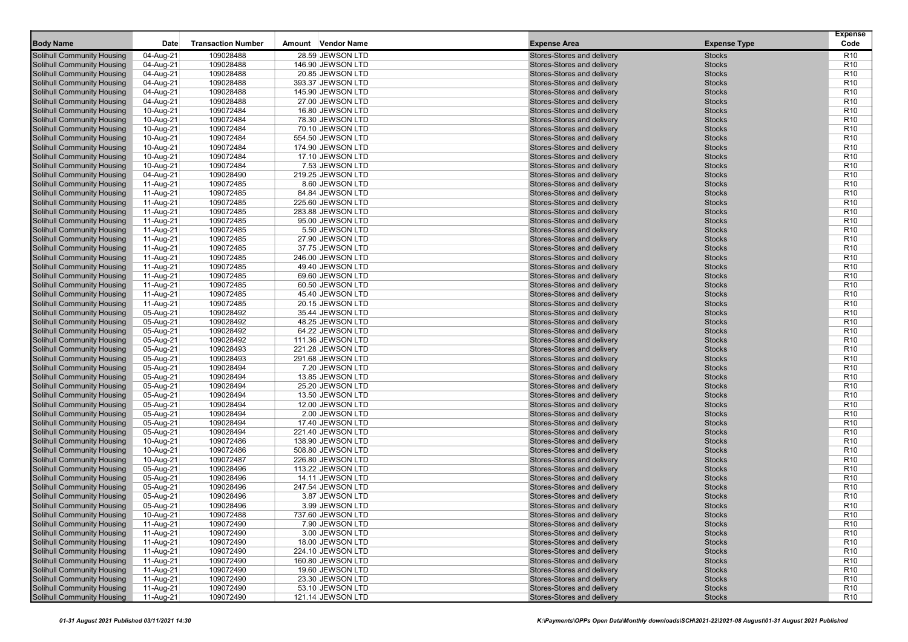|                                                                 |                        |                           |                                      |                                                          |                                | <b>Expense</b>                     |
|-----------------------------------------------------------------|------------------------|---------------------------|--------------------------------------|----------------------------------------------------------|--------------------------------|------------------------------------|
| <b>Body Name</b>                                                | Date                   | <b>Transaction Number</b> | Amount Vendor Name                   | <b>Expense Area</b>                                      | <b>Expense Type</b>            | Code                               |
| Solihull Community Housing                                      | 04-Aug-21              | 109028488                 | 28.59 JEWSON LTD                     | Stores-Stores and delivery                               | <b>Stocks</b>                  | R <sub>10</sub>                    |
| Solihull Community Housing                                      | 04-Aug-21              | 109028488                 | 146.90 JEWSON LTD                    | Stores-Stores and delivery                               | <b>Stocks</b>                  | R <sub>10</sub>                    |
| Solihull Community Housing                                      | 04-Aug-21              | 109028488                 | 20.85 JEWSON LTD                     | Stores-Stores and delivery                               | <b>Stocks</b>                  | R <sub>10</sub>                    |
| <b>Solihull Community Housing</b>                               | 04-Aug-21              | 109028488                 | 393.37 JEWSON LTD                    | Stores-Stores and delivery                               | <b>Stocks</b>                  | R <sub>10</sub>                    |
| <b>Solihull Community Housing</b>                               | 04-Aug-21              | 109028488                 | 145.90 JEWSON LTD                    | Stores-Stores and delivery                               | <b>Stocks</b>                  | R <sub>10</sub>                    |
| Solihull Community Housing                                      | 04-Aug-21              | 109028488                 | 27.00 JEWSON LTD                     | Stores-Stores and delivery                               | <b>Stocks</b>                  | R <sub>10</sub>                    |
| <b>Solihull Community Housing</b>                               | 10-Aug-21              | 109072484                 | 16.80 JEWSON LTD                     | Stores-Stores and delivery                               | <b>Stocks</b>                  | R <sub>10</sub>                    |
| Solihull Community Housing                                      | 10-Aug-21              | 109072484                 | 78.30 JEWSON LTD                     | Stores-Stores and delivery                               | <b>Stocks</b>                  | R <sub>10</sub>                    |
| Solihull Community Housing                                      | 10-Aug-21              | 109072484                 | 70.10 JEWSON LTD                     | Stores-Stores and delivery                               | <b>Stocks</b>                  | R <sub>10</sub>                    |
| Solihull Community Housing                                      | 10-Aug-21              | 109072484                 | 554.50 JEWSON LTD                    | Stores-Stores and delivery                               | <b>Stocks</b>                  | R <sub>10</sub>                    |
| Solihull Community Housing                                      | 10-Aug-21              | 109072484                 | 174.90 JEWSON LTD                    | Stores-Stores and delivery                               | <b>Stocks</b>                  | R <sub>10</sub>                    |
| <b>Solihull Community Housing</b>                               | 10-Aug-21              | 109072484                 | 17.10 JEWSON LTD                     | Stores-Stores and delivery                               | <b>Stocks</b>                  | R <sub>10</sub>                    |
| <b>Solihull Community Housing</b>                               | 10-Aug-21              | 109072484                 | 7.53 JEWSON LTD                      | Stores-Stores and delivery                               | <b>Stocks</b>                  | R <sub>10</sub>                    |
| Solihull Community Housing                                      | 04-Aug-21              | 109028490                 | 219.25 JEWSON LTD                    | Stores-Stores and delivery                               | <b>Stocks</b>                  | R <sub>10</sub>                    |
| Solihull Community Housing                                      | 11-Aug-21              | 109072485                 | 8.60 JEWSON LTD                      | Stores-Stores and delivery                               | <b>Stocks</b>                  | R <sub>10</sub>                    |
| Solihull Community Housing                                      | 11-Aug-21              | 109072485                 | 84.84 JEWSON LTD                     | Stores-Stores and delivery                               | <b>Stocks</b>                  | R <sub>10</sub>                    |
| <b>Solihull Community Housing</b>                               | 11-Aug-21              | 109072485                 | 225.60 JEWSON LTD                    | Stores-Stores and delivery                               | <b>Stocks</b>                  | R <sub>10</sub>                    |
| <b>Solihull Community Housing</b>                               | 11-Aug-21              | 109072485                 | 283.88 JEWSON LTD                    | Stores-Stores and delivery                               | <b>Stocks</b>                  | R <sub>10</sub>                    |
| <b>Solihull Community Housing</b>                               | 11-Aug-21              | 109072485                 | 95.00 JEWSON LTD                     | Stores-Stores and delivery                               | <b>Stocks</b>                  | R <sub>10</sub>                    |
| <b>Solihull Community Housing</b>                               | 11-Aug-21              | 109072485                 | 5.50 JEWSON LTD                      | Stores-Stores and delivery                               | <b>Stocks</b>                  | R <sub>10</sub>                    |
| Solihull Community Housing                                      | 11-Aug-21              | 109072485                 | 27.90 JEWSON LTD                     | Stores-Stores and delivery                               | <b>Stocks</b>                  | R <sub>10</sub>                    |
| Solihull Community Housing                                      | 11-Aug-21              | 109072485                 | 37.75 JEWSON LTD                     | Stores-Stores and delivery                               | <b>Stocks</b>                  | R <sub>10</sub>                    |
| <b>Solihull Community Housing</b>                               | 11-Aug-21              | 109072485                 | 246.00 JEWSON LTD                    | Stores-Stores and delivery                               | <b>Stocks</b>                  | R <sub>10</sub>                    |
| <b>Solihull Community Housing</b>                               | 11-Aug-21              | 109072485                 | 49.40 JEWSON LTD                     | Stores-Stores and delivery                               | <b>Stocks</b>                  | R <sub>10</sub>                    |
| <b>Solihull Community Housing</b>                               | 11-Aug-21              | 109072485                 | 69.60 JEWSON LTD                     | Stores-Stores and delivery                               | <b>Stocks</b>                  | R <sub>10</sub>                    |
| <b>Solihull Community Housing</b>                               | 11-Aug-21              | 109072485                 | 60.50 JEWSON LTD                     | Stores-Stores and delivery                               | <b>Stocks</b>                  | R <sub>10</sub>                    |
| Solihull Community Housing                                      | 11-Aug-21              | 109072485                 | 45.40 JEWSON LTD                     | Stores-Stores and delivery                               | <b>Stocks</b>                  | R <sub>10</sub>                    |
| Solihull Community Housing                                      | 11-Aug-21              | 109072485                 | 20.15 JEWSON LTD                     | Stores-Stores and delivery                               | <b>Stocks</b>                  | R <sub>10</sub>                    |
| <b>Solihull Community Housing</b>                               | 05-Aug-21              | 109028492                 | 35.44 JEWSON LTD                     | Stores-Stores and delivery                               | <b>Stocks</b>                  | R <sub>10</sub>                    |
| Solihull Community Housing                                      | 05-Aug-21              | 109028492                 | 48.25 JEWSON LTD                     | Stores-Stores and delivery                               | <b>Stocks</b>                  | R <sub>10</sub>                    |
| <b>Solihull Community Housing</b>                               | 05-Aug-21              | 109028492                 | 64.22 JEWSON LTD                     | Stores-Stores and delivery                               | <b>Stocks</b>                  | R <sub>10</sub>                    |
| <b>Solihull Community Housing</b>                               | 05-Aug-21              | 109028492                 | 111.36 JEWSON LTD                    | Stores-Stores and delivery                               | <b>Stocks</b>                  | R <sub>10</sub>                    |
| Solihull Community Housing                                      | 05-Aug-21              | 109028493                 | 221.28 JEWSON LTD                    | Stores-Stores and delivery                               | <b>Stocks</b>                  | R <sub>10</sub>                    |
| Solihull Community Housing                                      | 05-Aug-21              | 109028493                 | 291.68 JEWSON LTD                    | Stores-Stores and delivery                               | <b>Stocks</b>                  | R <sub>10</sub>                    |
| Solihull Community Housing<br><b>Solihull Community Housing</b> | 05-Aug-21<br>05-Aug-21 | 109028494<br>109028494    | 7.20 JEWSON LTD<br>13.85 JEWSON LTD  | Stores-Stores and delivery<br>Stores-Stores and delivery | <b>Stocks</b><br><b>Stocks</b> | R <sub>10</sub><br>R <sub>10</sub> |
| <b>Solihull Community Housing</b>                               |                        | 109028494                 |                                      | Stores-Stores and delivery                               | <b>Stocks</b>                  | R <sub>10</sub>                    |
| <b>Solihull Community Housing</b>                               | 05-Aug-21<br>05-Aug-21 | 109028494                 | 25.20 JEWSON LTD<br>13.50 JEWSON LTD | Stores-Stores and delivery                               | <b>Stocks</b>                  | R <sub>10</sub>                    |
| Solihull Community Housing                                      | 05-Aug-21              | 109028494                 | 12.00 JEWSON LTD                     | Stores-Stores and delivery                               | <b>Stocks</b>                  | R <sub>10</sub>                    |
| Solihull Community Housing                                      | 05-Aug-21              | 109028494                 | 2.00 JEWSON LTD                      | Stores-Stores and delivery                               | <b>Stocks</b>                  | R <sub>10</sub>                    |
| Solihull Community Housing                                      | 05-Aug-21              | 109028494                 | 17.40 JEWSON LTD                     | Stores-Stores and delivery                               | <b>Stocks</b>                  | R <sub>10</sub>                    |
| Solihull Community Housing                                      | 05-Aug-21              | 109028494                 | 221.40 JEWSON LTD                    | Stores-Stores and delivery                               | <b>Stocks</b>                  | R <sub>10</sub>                    |
| <b>Solihull Community Housing</b>                               | 10-Aug-21              | 109072486                 | 138.90 JEWSON LTD                    | Stores-Stores and delivery                               | <b>Stocks</b>                  | R <sub>10</sub>                    |
| <b>Solihull Community Housing</b>                               | 10-Aug-21              | 109072486                 | 508.80 JEWSON LTD                    | Stores-Stores and delivery                               | <b>Stocks</b>                  | R <sub>10</sub>                    |
| <b>Solihull Community Housing</b>                               | 10-Aug-21              | 109072487                 | 226.80 JEWSON LTD                    | Stores-Stores and delivery                               | <b>Stocks</b>                  | R <sub>10</sub>                    |
| Solihull Community Housing                                      | 05-Aug-21              | 109028496                 | 113.22 JEWSON LTD                    | Stores-Stores and delivery                               | <b>Stocks</b>                  | R <sub>10</sub>                    |
| Solihull Community Housing                                      | 05-Aug-21              | 109028496                 | 14.11 JEWSON LTD                     | Stores-Stores and delivery                               | <b>Stocks</b>                  | R <sub>10</sub>                    |
| <b>Solihull Community Housing</b>                               | 05-Aug-21              | 109028496                 | 247.54 JEWSON LTD                    | Stores-Stores and delivery                               | <b>Stocks</b>                  | R <sub>10</sub>                    |
| Solihull Community Housing                                      | 05-Aug-21              | 109028496                 | 3.87 JEWSON LTD                      | Stores-Stores and delivery                               | <b>Stocks</b>                  | R <sub>10</sub>                    |
| <b>Solihull Community Housing</b>                               | 05-Aug-21              | 109028496                 | 3.99 JEWSON LTD                      | Stores-Stores and delivery                               | <b>Stocks</b>                  | R <sub>10</sub>                    |
| Solihull Community Housing                                      | 10-Aug-21              | 109072488                 | 737.60 JEWSON LTD                    | Stores-Stores and delivery                               | <b>Stocks</b>                  | R <sub>10</sub>                    |
| Solihull Community Housing                                      | 11-Aug-21              | 109072490                 | 7.90 JEWSON LTD                      | Stores-Stores and delivery                               | <b>Stocks</b>                  | R <sub>10</sub>                    |
| <b>Solihull Community Housing</b>                               | 11-Aug-21              | 109072490                 | 3.00 JEWSON LTD                      | Stores-Stores and delivery                               | <b>Stocks</b>                  | R <sub>10</sub>                    |
| <b>Solihull Community Housing</b>                               | 11-Aug-21              | 109072490                 | 18.00 JEWSON LTD                     | Stores-Stores and delivery                               | <b>Stocks</b>                  | R <sub>10</sub>                    |
| <b>Solihull Community Housing</b>                               | 11-Aug-21              | 109072490                 | 224.10 JEWSON LTD                    | Stores-Stores and delivery                               | <b>Stocks</b>                  | R <sub>10</sub>                    |
| <b>Solihull Community Housing</b>                               | 11-Aug-21              | 109072490                 | 160.80 JEWSON LTD                    | Stores-Stores and delivery                               | <b>Stocks</b>                  | R <sub>10</sub>                    |
| <b>Solihull Community Housing</b>                               | 11-Aug-21              | 109072490                 | 19.60 JEWSON LTD                     | Stores-Stores and delivery                               | <b>Stocks</b>                  | R <sub>10</sub>                    |
| Solihull Community Housing                                      | 11-Aug-21              | 109072490                 | 23.30 JEWSON LTD                     | Stores-Stores and delivery                               | <b>Stocks</b>                  | R <sub>10</sub>                    |
| Solihull Community Housing                                      | 11-Aug-21              | 109072490                 | 53.10 JEWSON LTD                     | Stores-Stores and delivery                               | <b>Stocks</b>                  | R <sub>10</sub>                    |
| <b>Solihull Community Housing</b>                               | 11-Aug-21              | 109072490                 | 121.14 JEWSON LTD                    | Stores-Stores and delivery                               | <b>Stocks</b>                  | R <sub>10</sub>                    |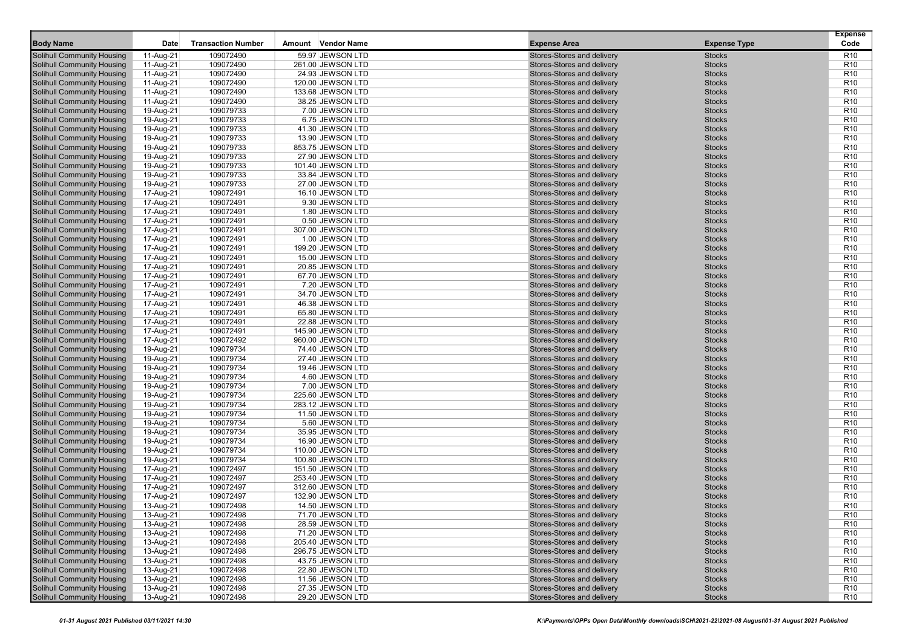|                                   |             |                           |                     |                            |                     | <b>Expense</b>  |
|-----------------------------------|-------------|---------------------------|---------------------|----------------------------|---------------------|-----------------|
| <b>Body Name</b>                  | <b>Date</b> | <b>Transaction Number</b> | Amount Vendor Name  | <b>Expense Area</b>        | <b>Expense Type</b> | Code            |
| <b>Solihull Community Housing</b> | 11-Aug-21   | 109072490                 | 59.97 JEWSON LTD    | Stores-Stores and delivery | <b>Stocks</b>       | R <sub>10</sub> |
| <b>Solihull Community Housing</b> | 11-Aug-21   | 109072490                 | 261.00 JEWSON LTD   | Stores-Stores and delivery | <b>Stocks</b>       | R <sub>10</sub> |
| <b>Solihull Community Housing</b> | 11-Aug-21   | 109072490                 | 24.93 JEWSON LTD    | Stores-Stores and delivery | <b>Stocks</b>       | R <sub>10</sub> |
| <b>Solihull Community Housing</b> | 11-Aug-21   | 109072490                 | 120.00 JEWSON LTD   | Stores-Stores and delivery | <b>Stocks</b>       | R <sub>10</sub> |
| <b>Solihull Community Housing</b> | 11-Aug-21   | 109072490                 | 133.68 JEWSON LTD   | Stores-Stores and delivery | <b>Stocks</b>       | R <sub>10</sub> |
| <b>Solihull Community Housing</b> | 11-Aug-21   | 109072490                 | 38.25 JEWSON LTD    | Stores-Stores and delivery | <b>Stocks</b>       | R <sub>10</sub> |
| <b>Solihull Community Housing</b> | 19-Aug-21   | 109079733                 | 7.00 JEWSON LTD     | Stores-Stores and delivery | <b>Stocks</b>       | R <sub>10</sub> |
| <b>Solihull Community Housing</b> | 19-Aug-21   | 109079733                 | 6.75 JEWSON LTD     | Stores-Stores and delivery | <b>Stocks</b>       | R <sub>10</sub> |
| <b>Solihull Community Housing</b> | 19-Aug-21   | 109079733                 | 41.30 JEWSON LTD    | Stores-Stores and delivery | <b>Stocks</b>       | R <sub>10</sub> |
| <b>Solihull Community Housing</b> | 19-Aug-21   | 109079733                 | 13.90 JEWSON LTD    | Stores-Stores and delivery | <b>Stocks</b>       | R <sub>10</sub> |
| <b>Solihull Community Housing</b> | 19-Aug-21   | 109079733                 | 853.75 JEWSON LTD   | Stores-Stores and delivery | <b>Stocks</b>       | R <sub>10</sub> |
| <b>Solihull Community Housing</b> | 19-Aug-21   | 109079733                 | 27.90 JEWSON LTD    | Stores-Stores and delivery | <b>Stocks</b>       | R <sub>10</sub> |
| <b>Solihull Community Housing</b> | 19-Aug-21   | 109079733                 | 101.40 JEWSON LTD   | Stores-Stores and delivery | <b>Stocks</b>       | R <sub>10</sub> |
| <b>Solihull Community Housing</b> | 19-Aug-21   | 109079733                 | 33.84 JEWSON LTD    | Stores-Stores and delivery | <b>Stocks</b>       | R <sub>10</sub> |
| <b>Solihull Community Housing</b> | 19-Aug-21   | 109079733                 | 27.00 JEWSON LTD    | Stores-Stores and delivery | <b>Stocks</b>       | R <sub>10</sub> |
| <b>Solihull Community Housing</b> | 17-Aug-21   | 109072491                 | 16.10 JEWSON LTD    | Stores-Stores and delivery | <b>Stocks</b>       | R <sub>10</sub> |
| <b>Solihull Community Housing</b> | 17-Aug-21   | 109072491                 | 9.30 JEWSON LTD     | Stores-Stores and delivery | <b>Stocks</b>       | R <sub>10</sub> |
| <b>Solihull Community Housing</b> | 17-Aug-21   | 109072491                 | 1.80 JEWSON LTD     | Stores-Stores and delivery | <b>Stocks</b>       | R <sub>10</sub> |
| <b>Solihull Community Housing</b> | 17-Aug-21   | 109072491                 | 0.50 JEWSON LTD     | Stores-Stores and delivery | <b>Stocks</b>       | R <sub>10</sub> |
| <b>Solihull Community Housing</b> | 17-Aug-21   | 109072491                 | 307.00 JEWSON LTD   | Stores-Stores and delivery | <b>Stocks</b>       | R <sub>10</sub> |
| <b>Solihull Community Housing</b> | 17-Aug-21   | 109072491                 | 1.00 JEWSON LTD     | Stores-Stores and delivery | <b>Stocks</b>       | R <sub>10</sub> |
| <b>Solihull Community Housing</b> | 17-Aug-21   | 109072491                 | 199.20 JEWSON LTD   | Stores-Stores and delivery | <b>Stocks</b>       | R <sub>10</sub> |
| Solihull Community Housing        | 17-Aug-21   | 109072491                 | 15.00 JEWSON LTD    | Stores-Stores and delivery | <b>Stocks</b>       | R <sub>10</sub> |
| <b>Solihull Community Housing</b> | 17-Aug-21   | 109072491                 | 20.85 JEWSON LTD    | Stores-Stores and delivery | <b>Stocks</b>       | R <sub>10</sub> |
| Solihull Community Housing        | 17-Aug-21   | 109072491                 | 67.70 JEWSON LTD    | Stores-Stores and delivery | <b>Stocks</b>       | R <sub>10</sub> |
| <b>Solihull Community Housing</b> | 17-Aug-21   | 109072491                 | 7.20 JEWSON LTD     | Stores-Stores and delivery | <b>Stocks</b>       | R <sub>10</sub> |
| <b>Solihull Community Housing</b> | 17-Aug-21   | 109072491                 | 34.70 JEWSON LTD    | Stores-Stores and delivery | <b>Stocks</b>       | R <sub>10</sub> |
| <b>Solihull Community Housing</b> | 17-Aug-21   | 109072491                 | 46.38 JEWSON LTD    | Stores-Stores and delivery | <b>Stocks</b>       | R <sub>10</sub> |
| <b>Solihull Community Housing</b> | 17-Aug-21   | 109072491                 | 65.80 JEWSON LTD    | Stores-Stores and delivery | <b>Stocks</b>       | R <sub>10</sub> |
| <b>Solihull Community Housing</b> | 17-Aug-21   | 109072491                 | 22.88 JEWSON LTD    | Stores-Stores and delivery | <b>Stocks</b>       | R <sub>10</sub> |
| <b>Solihull Community Housing</b> | 17-Aug-21   | 109072491                 | 145.90 JEWSON LTD   | Stores-Stores and delivery | <b>Stocks</b>       | R <sub>10</sub> |
| <b>Solihull Community Housing</b> | 17-Aug-21   | 109072492                 | 960.00 JEWSON LTD   | Stores-Stores and delivery | <b>Stocks</b>       | R <sub>10</sub> |
| <b>Solihull Community Housing</b> | 19-Aug-21   | 109079734                 | 74.40 JEWSON LTD    | Stores-Stores and delivery | <b>Stocks</b>       | R <sub>10</sub> |
| <b>Solihull Community Housing</b> | 19-Aug-21   | 109079734                 | 27.40 JEWSON LTD    | Stores-Stores and delivery | <b>Stocks</b>       | R <sub>10</sub> |
| <b>Solihull Community Housing</b> | 19-Aug-21   | 109079734                 | 19.46 JEWSON LTD    | Stores-Stores and delivery | <b>Stocks</b>       | R <sub>10</sub> |
| <b>Solihull Community Housing</b> | 19-Aug-21   | 109079734                 | 4.60 JEWSON LTD     | Stores-Stores and delivery | <b>Stocks</b>       | R <sub>10</sub> |
| <b>Solihull Community Housing</b> | 19-Aug-21   | 109079734                 | 7.00 JEWSON LTD     | Stores-Stores and delivery | <b>Stocks</b>       | R <sub>10</sub> |
| <b>Solihull Community Housing</b> | 19-Aug-21   | 109079734                 | 225.60 JEWSON LTD   | Stores-Stores and delivery | <b>Stocks</b>       | R <sub>10</sub> |
| <b>Solihull Community Housing</b> | 19-Aug-21   | 109079734                 | 283.12 JEWSON LTD   | Stores-Stores and delivery | <b>Stocks</b>       | R <sub>10</sub> |
| <b>Solihull Community Housing</b> | 19-Aug-21   | 109079734                 | 11.50 JEWSON LTD    | Stores-Stores and delivery | <b>Stocks</b>       | R <sub>10</sub> |
| <b>Solihull Community Housing</b> | 19-Aug-21   | 109079734                 | 5.60 JEWSON LTD     | Stores-Stores and delivery | <b>Stocks</b>       | R <sub>10</sub> |
| <b>Solihull Community Housing</b> | 19-Aug-21   | 109079734                 | 35.95 JEWSON LTD    | Stores-Stores and delivery | <b>Stocks</b>       | R <sub>10</sub> |
| <b>Solihull Community Housing</b> | 19-Aug-21   | 109079734                 | 16.90 JEWSON LTD    | Stores-Stores and delivery | <b>Stocks</b>       | R <sub>10</sub> |
| Solihull Community Housing        | 19-Aug-21   | 109079734                 | 110.00 JEWSON LTD   | Stores-Stores and delivery | <b>Stocks</b>       | R <sub>10</sub> |
| <b>Solihull Community Housing</b> | 19-Aug-21   | 109079734                 | 100.80 JEWSON LTD   | Stores-Stores and delivery | <b>Stocks</b>       | R <sub>10</sub> |
| <b>Solihull Community Housing</b> | 17-Aug-21   | 109072497                 | 151.50 JEWSON LTD   | Stores-Stores and delivery | <b>Stocks</b>       | R <sub>10</sub> |
| <b>Solihull Community Housing</b> | 17-Aug-21   | 109072497                 | 253.40 JEWSON LTD   | Stores-Stores and delivery | <b>Stocks</b>       | R <sub>10</sub> |
| <b>Solihull Community Housing</b> | 17-Aug-21   | 109072497                 | 312.60 JEWSON LTD   | Stores-Stores and delivery | <b>Stocks</b>       | R <sub>10</sub> |
| <b>Solihull Community Housing</b> | 17-Aug-21   | 109072497                 | 132.90 JEWSON LTD   | Stores-Stores and delivery | <b>Stocks</b>       | R <sub>10</sub> |
| <b>Solihull Community Housing</b> | 13-Aug-21   | 109072498                 | 14.50 JEWSON LTD    | Stores-Stores and delivery | <b>Stocks</b>       | R <sub>10</sub> |
| Solihull Community Housing        | 13-Aug-21   | 109072498                 | $(1.70)$ JEWSON LTD | Stores-Stores and delivery | <b>Stocks</b>       | R <sub>10</sub> |
| <b>Solihull Community Housing</b> | 13-Aug-21   | 109072498                 | 28.59 JEWSON LTD    | Stores-Stores and delivery | <b>Stocks</b>       | R <sub>10</sub> |
| <b>Solihull Community Housing</b> | 13-Aug-21   | 109072498                 | 71.20 JEWSON LTD    | Stores-Stores and delivery | <b>Stocks</b>       | R <sub>10</sub> |
| <b>Solihull Community Housing</b> | 13-Aug-21   | 109072498                 | 205.40 JEWSON LTD   | Stores-Stores and delivery | <b>Stocks</b>       | R <sub>10</sub> |
| <b>Solihull Community Housing</b> | 13-Aug-21   | 109072498                 | 296.75 JEWSON LTD   | Stores-Stores and delivery | <b>Stocks</b>       | R <sub>10</sub> |
| <b>Solihull Community Housing</b> | 13-Aug-21   | 109072498                 | 43.75 JEWSON LTD    | Stores-Stores and delivery | <b>Stocks</b>       | R <sub>10</sub> |
| Solihull Community Housing        | 13-Aug-21   | 109072498                 | 22.80 JEWSON LTD    | Stores-Stores and delivery | <b>Stocks</b>       | R <sub>10</sub> |
| Solihull Community Housing        | 13-Aug-21   | 109072498                 | 11.56 JEWSON LTD    | Stores-Stores and delivery | <b>Stocks</b>       | R <sub>10</sub> |
| <b>Solihull Community Housing</b> | 13-Aug-21   | 109072498                 | 27.35 JEWSON LTD    | Stores-Stores and delivery | <b>Stocks</b>       | R <sub>10</sub> |
| <b>Solihull Community Housing</b> | 13-Aug-21   | 109072498                 | 29.20 JEWSON LTD    | Stores-Stores and delivery | <b>Stocks</b>       | R <sub>10</sub> |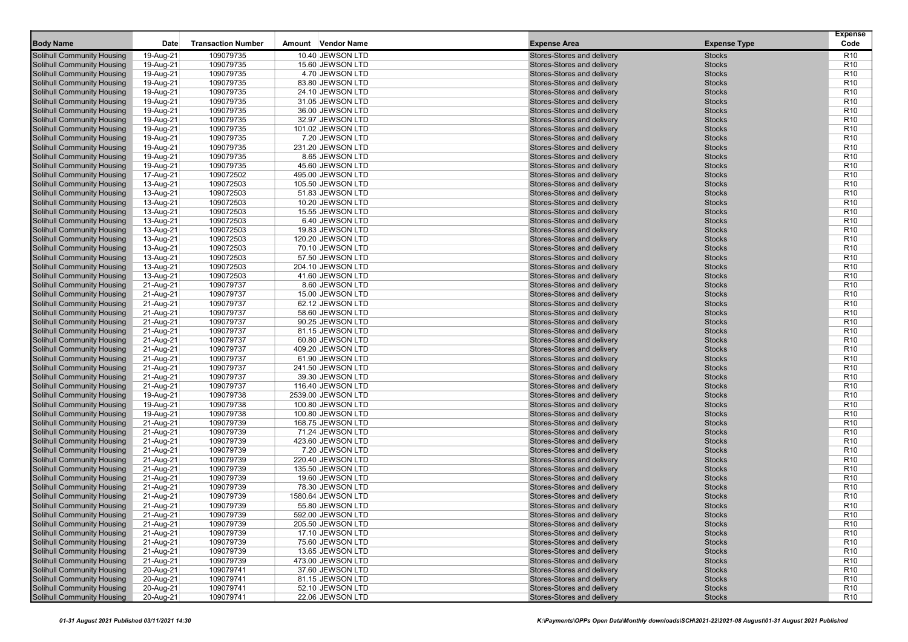|                                                                        |                        |                           |                                        |                                                          |                                | <b>Expense</b>                     |
|------------------------------------------------------------------------|------------------------|---------------------------|----------------------------------------|----------------------------------------------------------|--------------------------------|------------------------------------|
| <b>Body Name</b>                                                       | <b>Date</b>            | <b>Transaction Number</b> | Amount Vendor Name                     | <b>Expense Area</b>                                      | <b>Expense Type</b>            | Code                               |
| <b>Solihull Community Housing</b>                                      | 19-Aug-21              | 109079735                 | 10.40 JEWSON LTD                       | Stores-Stores and delivery                               | <b>Stocks</b>                  | R <sub>10</sub>                    |
| <b>Solihull Community Housing</b>                                      | 19-Aug-21              | 109079735                 | 15.60 JEWSON LTD                       | Stores-Stores and delivery                               | <b>Stocks</b>                  | R <sub>10</sub>                    |
| <b>Solihull Community Housing</b>                                      | 19-Aug-21              | 109079735                 | 4.70 JEWSON LTD                        | Stores-Stores and delivery                               | <b>Stocks</b>                  | R <sub>10</sub>                    |
| <b>Solihull Community Housing</b>                                      | 19-Aug-21              | 109079735                 | 83.80 JEWSON LTD                       | Stores-Stores and delivery                               | <b>Stocks</b>                  | R <sub>10</sub>                    |
| <b>Solihull Community Housing</b>                                      | 19-Aug-21              | 109079735                 | 24.10 JEWSON LTD                       | Stores-Stores and delivery                               | <b>Stocks</b>                  | R <sub>10</sub>                    |
| <b>Solihull Community Housing</b>                                      | 19-Aug-21              | 109079735                 | 31.05 JEWSON LTD                       | Stores-Stores and delivery                               | <b>Stocks</b>                  | R <sub>10</sub>                    |
| <b>Solihull Community Housing</b>                                      | 19-Aug-21              | 109079735                 | 36.00 JEWSON LTD                       | Stores-Stores and delivery                               | <b>Stocks</b>                  | R <sub>10</sub>                    |
| <b>Solihull Community Housing</b>                                      | 19-Aug-21              | 109079735                 | 32.97 JEWSON LTD                       | Stores-Stores and delivery                               | <b>Stocks</b>                  | R <sub>10</sub>                    |
| <b>Solihull Community Housing</b>                                      | 19-Aug-21              | 109079735                 | 101.02 JEWSON LTD                      | Stores-Stores and delivery                               | <b>Stocks</b>                  | R <sub>10</sub>                    |
| <b>Solihull Community Housing</b>                                      | 19-Aug-21              | 109079735                 | 7.20 JEWSON LTD                        | Stores-Stores and delivery                               | <b>Stocks</b>                  | R <sub>10</sub>                    |
| <b>Solihull Community Housing</b>                                      | 19-Aug-21              | 109079735                 | 231.20 JEWSON LTD                      | Stores-Stores and delivery                               | <b>Stocks</b>                  | R <sub>10</sub>                    |
| <b>Solihull Community Housing</b>                                      | 19-Aug-21              | 109079735                 | 8.65 JEWSON LTD                        | Stores-Stores and delivery                               | <b>Stocks</b>                  | R <sub>10</sub>                    |
| <b>Solihull Community Housing</b>                                      | 19-Aug-21              | 109079735                 | 45.60 JEWSON LTD                       | Stores-Stores and delivery                               | <b>Stocks</b>                  | R <sub>10</sub>                    |
| <b>Solihull Community Housing</b>                                      | 17-Aug-21              | 109072502                 | 495.00 JEWSON LTD                      | Stores-Stores and delivery                               | <b>Stocks</b>                  | R <sub>10</sub>                    |
| <b>Solihull Community Housing</b>                                      | 13-Aug-21              | 109072503                 | 105.50 JEWSON LTD                      | Stores-Stores and delivery                               | <b>Stocks</b>                  | R <sub>10</sub>                    |
| <b>Solihull Community Housing</b>                                      | 13-Aug-21              | 109072503                 | 51.83 JEWSON LTD                       | Stores-Stores and delivery                               | <b>Stocks</b>                  | R <sub>10</sub>                    |
| <b>Solihull Community Housing</b>                                      | 13-Aug-21              | 109072503                 | 10.20 JEWSON LTD                       | Stores-Stores and delivery                               | <b>Stocks</b>                  | R <sub>10</sub>                    |
| <b>Solihull Community Housing</b>                                      | 13-Aug-21              | 109072503                 | 15.55 JEWSON LTD                       | Stores-Stores and delivery                               | <b>Stocks</b>                  | R <sub>10</sub>                    |
| <b>Solihull Community Housing</b>                                      | 13-Aug-21              | 109072503                 | 6.40 JEWSON LTD                        | Stores-Stores and delivery                               | <b>Stocks</b>                  | R <sub>10</sub>                    |
| <b>Solihull Community Housing</b>                                      | 13-Aug-21              | 109072503                 | 19.83 JEWSON LTD                       | Stores-Stores and delivery                               | <b>Stocks</b>                  | R <sub>10</sub>                    |
| <b>Solihull Community Housing</b>                                      | 13-Aug-21              | 109072503                 | 120.20 JEWSON LTD                      | Stores-Stores and delivery                               | <b>Stocks</b>                  | R <sub>10</sub>                    |
| <b>Solihull Community Housing</b>                                      | 13-Aug-21              | 109072503                 | 70.10 JEWSON LTD                       | Stores-Stores and delivery                               | <b>Stocks</b>                  | R <sub>10</sub>                    |
| Solihull Community Housing                                             | 13-Aug-21              | 109072503                 | 57.50 JEWSON LTD                       | Stores-Stores and delivery                               | <b>Stocks</b>                  | R <sub>10</sub>                    |
| <b>Solihull Community Housing</b>                                      | 13-Aug-21              | 109072503                 | 204.10 JEWSON LTD                      | Stores-Stores and delivery                               | <b>Stocks</b>                  | R <sub>10</sub>                    |
| <b>Solihull Community Housing</b>                                      | 13-Aug-21              | 109072503                 | 41.60 JEWSON LTD                       | Stores-Stores and delivery                               | <b>Stocks</b>                  | R <sub>10</sub>                    |
| <b>Solihull Community Housing</b>                                      | 21-Aug-21              | 109079737                 | 8.60 JEWSON LTD                        | Stores-Stores and delivery                               | <b>Stocks</b>                  | R <sub>10</sub>                    |
| <b>Solihull Community Housing</b>                                      | 21-Aug-21              | 109079737                 | 15.00 JEWSON LTD                       | Stores-Stores and delivery                               | <b>Stocks</b>                  | R <sub>10</sub>                    |
| <b>Solihull Community Housing</b>                                      | 21-Aug-21              | 109079737                 | 62.12 JEWSON LTD                       | Stores-Stores and delivery                               | <b>Stocks</b>                  | R <sub>10</sub>                    |
| <b>Solihull Community Housing</b>                                      | 21-Aug-21              | 109079737                 | 58.60 JEWSON LTD                       | Stores-Stores and delivery                               | <b>Stocks</b>                  | R <sub>10</sub>                    |
| <b>Solihull Community Housing</b>                                      | 21-Aug-21              | 109079737                 | 90.25 JEWSON LTD                       | Stores-Stores and delivery                               | <b>Stocks</b>                  | R <sub>10</sub>                    |
| <b>Solihull Community Housing</b>                                      | 21-Aug-21              | 109079737                 | 81.15 JEWSON LTD                       | Stores-Stores and delivery                               | <b>Stocks</b>                  | R <sub>10</sub>                    |
| <b>Solihull Community Housing</b>                                      | 21-Aug-21              | 109079737                 | 60.80 JEWSON LTD                       | Stores-Stores and delivery                               | <b>Stocks</b>                  | R <sub>10</sub>                    |
| <b>Solihull Community Housing</b>                                      | 21-Aug-21              | 109079737                 | 409.20 JEWSON LTD                      | Stores-Stores and delivery                               | <b>Stocks</b>                  | R <sub>10</sub>                    |
| <b>Solihull Community Housing</b>                                      | 21-Aug-21              | 109079737                 | 61.90 JEWSON LTD                       | Stores-Stores and delivery                               | <b>Stocks</b>                  | R <sub>10</sub>                    |
| <b>Solihull Community Housing</b>                                      | 21-Aug-21              | 109079737                 | 241.50 JEWSON LTD                      | Stores-Stores and delivery                               | <b>Stocks</b>                  | R <sub>10</sub>                    |
| <b>Solihull Community Housing</b>                                      | 21-Aug-21              | 109079737                 | 39.30 JEWSON LTD                       | Stores-Stores and delivery                               | <b>Stocks</b>                  | R <sub>10</sub>                    |
| <b>Solihull Community Housing</b>                                      | 21-Aug-21              | 109079737                 | 116.40 JEWSON LTD                      | Stores-Stores and delivery                               | <b>Stocks</b>                  | R <sub>10</sub>                    |
| <b>Solihull Community Housing</b>                                      | 19-Aug-21              | 109079738                 | 2539.00 JEWSON LTD                     | Stores-Stores and delivery                               | <b>Stocks</b>                  | R <sub>10</sub>                    |
| <b>Solihull Community Housing</b>                                      | 19-Aug-21              | 109079738                 | 100.80 JEWSON LTD                      | Stores-Stores and delivery                               | <b>Stocks</b>                  | R <sub>10</sub>                    |
| <b>Solihull Community Housing</b>                                      | 19-Aug-21              | 109079738                 | 100.80 JEWSON LTD                      | Stores-Stores and delivery                               | <b>Stocks</b>                  | R <sub>10</sub>                    |
| <b>Solihull Community Housing</b>                                      | 21-Aug-21              | 109079739                 | 168.75 JEWSON LTD                      | Stores-Stores and delivery                               | <b>Stocks</b>                  | R <sub>10</sub>                    |
| <b>Solihull Community Housing</b>                                      | 21-Aug-21              | 109079739                 | 71.24 JEWSON LTD                       | Stores-Stores and delivery                               | <b>Stocks</b>                  | R <sub>10</sub>                    |
| <b>Solihull Community Housing</b><br>Solihull Community Housing        | 21-Aug-21              | 109079739                 | 423.60 JEWSON LTD                      | Stores-Stores and delivery<br>Stores-Stores and delivery | <b>Stocks</b><br><b>Stocks</b> | R <sub>10</sub><br>R <sub>10</sub> |
|                                                                        | 21-Aug-21              | 109079739                 | 7.20 JEWSON LTD                        | Stores-Stores and delivery                               |                                | R <sub>10</sub>                    |
| <b>Solihull Community Housing</b>                                      | 21-Aug-21              | 109079739                 | 220.40 JEWSON LTD<br>135.50 JEWSON LTD |                                                          | <b>Stocks</b>                  | R <sub>10</sub>                    |
| <b>Solihull Community Housing</b><br><b>Solihull Community Housing</b> | 21-Aug-21              | 109079739<br>109079739    | 19.60 JEWSON LTD                       | Stores-Stores and delivery<br>Stores-Stores and delivery | <b>Stocks</b><br><b>Stocks</b> | R <sub>10</sub>                    |
| <b>Solihull Community Housing</b>                                      | 21-Aug-21<br>21-Aug-21 | 109079739                 | 78.30 JEWSON LTD                       | Stores-Stores and delivery                               | <b>Stocks</b>                  | R <sub>10</sub>                    |
| <b>Solihull Community Housing</b>                                      | 21-Aug-21              | 109079739                 | 1580.64 JEWSON LTD                     | Stores-Stores and delivery                               | <b>Stocks</b>                  | R <sub>10</sub>                    |
| <b>Solihull Community Housing</b>                                      | 21-Aug-21              | 109079739                 | 55.80 JEWSON LTD                       | Stores-Stores and delivery                               | <b>Stocks</b>                  | R <sub>10</sub>                    |
|                                                                        | 21-Aug-21              |                           | 592.00 JEWSON LTD                      |                                                          | <b>Stocks</b>                  | R <sub>10</sub>                    |
| Solihull Community Housing<br><b>Solihull Community Housing</b>        | 21-Aug-21              | 109079739<br>109079739    | 205.50 JEWSON LTD                      | Stores-Stores and delivery<br>Stores-Stores and delivery | <b>Stocks</b>                  | R <sub>10</sub>                    |
| <b>Solihull Community Housing</b>                                      | 21-Aug-21              | 109079739                 | 17.10 JEWSON LTD                       | Stores-Stores and delivery                               | <b>Stocks</b>                  | R <sub>10</sub>                    |
| Solihull Community Housing                                             | 21-Aug-21              | 109079739                 | 75.60 JEWSON LTD                       | Stores-Stores and delivery                               | <b>Stocks</b>                  | R <sub>10</sub>                    |
| <b>Solihull Community Housing</b>                                      | 21-Aug-21              | 109079739                 | 13.65 JEWSON LTD                       | Stores-Stores and delivery                               | <b>Stocks</b>                  | R <sub>10</sub>                    |
| <b>Solihull Community Housing</b>                                      | 21-Aug-21              | 109079739                 | 473.00 JEWSON LTD                      | Stores-Stores and delivery                               | <b>Stocks</b>                  | R <sub>10</sub>                    |
| <b>Solihull Community Housing</b>                                      | 20-Aug-21              | 109079741                 | 37.60 JEWSON LTD                       | Stores-Stores and delivery                               | <b>Stocks</b>                  | R <sub>10</sub>                    |
| <b>Solihull Community Housing</b>                                      | 20-Aug-21              | 109079741                 | 81.15 JEWSON LTD                       | Stores-Stores and delivery                               | <b>Stocks</b>                  | R <sub>10</sub>                    |
| <b>Solihull Community Housing</b>                                      | 20-Aug-21              | 109079741                 | 52.10 JEWSON LTD                       | Stores-Stores and delivery                               | <b>Stocks</b>                  | R <sub>10</sub>                    |
| <b>Solihull Community Housing</b>                                      | 20-Aug-21              | 109079741                 | 22.06 JEWSON LTD                       | Stores-Stores and delivery                               | <b>Stocks</b>                  | R <sub>10</sub>                    |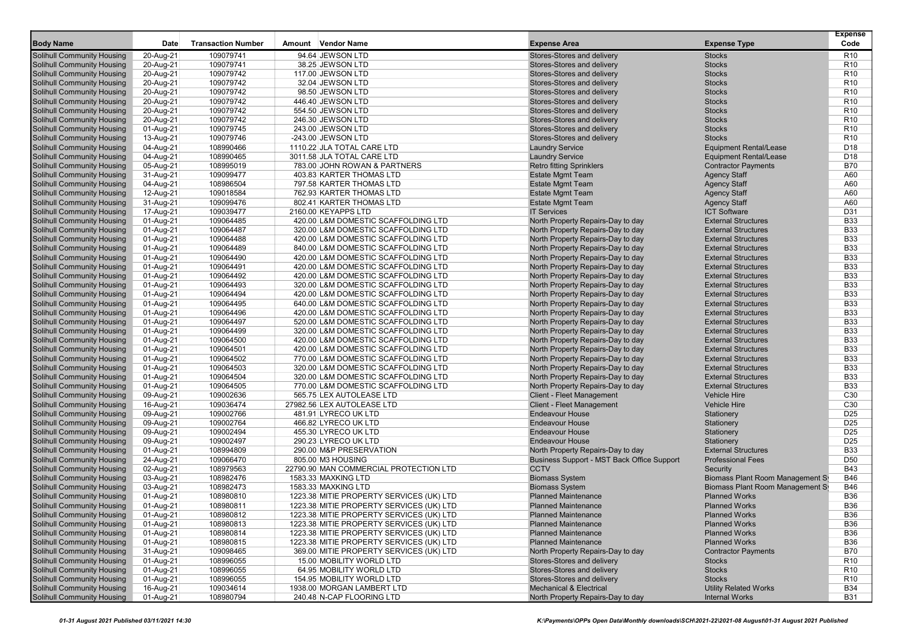|                                                                        |                        | <b>Transaction Number</b> | Amount Vendor Name                                                         |                                                                        |                                                   | <b>Expense</b><br>Code             |
|------------------------------------------------------------------------|------------------------|---------------------------|----------------------------------------------------------------------------|------------------------------------------------------------------------|---------------------------------------------------|------------------------------------|
| <b>Body Name</b>                                                       | Date                   |                           |                                                                            | <b>Expense Area</b>                                                    | <b>Expense Type</b>                               |                                    |
| <b>Solihull Community Housing</b>                                      | 20-Aug-21              | 109079741                 | 94.64 JEWSON LTD                                                           | Stores-Stores and delivery                                             | <b>Stocks</b>                                     | R <sub>10</sub>                    |
| <b>Solihull Community Housing</b>                                      | 20-Aug-21              | 109079741                 | 38.25 JEWSON LTD                                                           | Stores-Stores and delivery                                             | <b>Stocks</b>                                     | R <sub>10</sub>                    |
| <b>Solihull Community Housing</b>                                      | 20-Aug-21              | 109079742                 | 117.00 JEWSON LTD                                                          | Stores-Stores and delivery                                             | <b>Stocks</b>                                     | R <sub>10</sub>                    |
| <b>Solihull Community Housing</b>                                      | 20-Aug-21              | 109079742                 | 32.04 JEWSON LTD                                                           | Stores-Stores and delivery                                             | <b>Stocks</b>                                     | R <sub>10</sub>                    |
| <b>Solihull Community Housing</b>                                      | 20-Aug-21              | 109079742                 | 98.50 JEWSON LTD                                                           | Stores-Stores and delivery                                             | <b>Stocks</b>                                     | R <sub>10</sub>                    |
| <b>Solihull Community Housing</b>                                      | 20-Aug-21              | 109079742                 | 446.40 JEWSON LTD                                                          | Stores-Stores and delivery                                             | <b>Stocks</b>                                     | R <sub>10</sub>                    |
| <b>Solihull Community Housing</b>                                      | 20-Aug-21              | 109079742                 | 554.50 JEWSON LTD                                                          | Stores-Stores and delivery                                             | <b>Stocks</b>                                     | R <sub>10</sub>                    |
| <b>Solihull Community Housing</b>                                      | 20-Aug-21              | 109079742                 | 246.30 JEWSON LTD                                                          | Stores-Stores and delivery                                             | <b>Stocks</b>                                     | R <sub>10</sub>                    |
| <b>Solihull Community Housing</b>                                      | 01-Aug-21              | 109079745<br>109079746    | 243.00 JEWSON LTD                                                          | Stores-Stores and delivery                                             | <b>Stocks</b>                                     | R <sub>10</sub>                    |
| <b>Solihull Community Housing</b>                                      | 13-Aug-21              |                           | -243.00 JEWSON LTD                                                         | Stores-Stores and delivery                                             | <b>Stocks</b><br><b>Equipment Rental/Lease</b>    | R <sub>10</sub>                    |
| <b>Solihull Community Housing</b><br><b>Solihull Community Housing</b> | 04-Aug-21              | 108990466                 | 1110.22 JLA TOTAL CARE LTD                                                 | <b>Laundry Service</b>                                                 | <b>Equipment Rental/Lease</b>                     | D <sub>18</sub><br>D <sub>18</sub> |
| <b>Solihull Community Housing</b>                                      | 04-Aug-21              | 108990465<br>108995019    | 3011.58 JLA TOTAL CARE LTD                                                 | <b>Laundry Service</b>                                                 |                                                   | <b>B70</b>                         |
| <b>Solihull Community Housing</b>                                      | 05-Aug-21              | 109099477                 | 783.00 JOHN ROWAN & PARTNERS<br>403.83 KARTER THOMAS LTD                   | <b>Retro fitting Sprinklers</b><br><b>Estate Mgmt Team</b>             | <b>Contractor Payments</b><br><b>Agency Staff</b> | A60                                |
|                                                                        | 31-Aug-21              | 108986504                 | 797.58 KARTER THOMAS LTD                                                   | <b>Estate Mgmt Team</b>                                                | <b>Agency Staff</b>                               | A60                                |
| <b>Solihull Community Housing</b>                                      | 04-Aug-21              |                           | 762.93 KARTER THOMAS LTD                                                   |                                                                        |                                                   | A60                                |
| <b>Solihull Community Housing</b>                                      | 12-Aug-21              | 109018584<br>109099476    |                                                                            | <b>Estate Mgmt Team</b>                                                | <b>Agency Staff</b>                               |                                    |
| <b>Solihull Community Housing</b>                                      | 31-Aug-21              |                           | 802.41 KARTER THOMAS LTD                                                   | <b>Estate Mgmt Team</b><br><b>IT Services</b>                          | <b>Agency Staff</b><br><b>ICT Software</b>        | A60<br>D31                         |
| <b>Solihull Community Housing</b>                                      | 17-Aug-21              | 109039477<br>109064485    | 2160.00 KEYAPPS LTD<br>420.00 L&M DOMESTIC SCAFFOLDING LTD                 | North Property Repairs-Day to day                                      | <b>External Structures</b>                        | <b>B33</b>                         |
| <b>Solihull Community Housing</b><br><b>Solihull Community Housing</b> | 01-Aug-21              | 109064487                 | 320.00 L&M DOMESTIC SCAFFOLDING LTD                                        |                                                                        | <b>External Structures</b>                        | <b>B33</b>                         |
|                                                                        | 01-Aug-21              |                           |                                                                            | North Property Repairs-Day to day<br>North Property Repairs-Day to day | <b>External Structures</b>                        | <b>B33</b>                         |
| <b>Solihull Community Housing</b>                                      | 01-Aug-21              | 109064488<br>109064489    | 420.00 L&M DOMESTIC SCAFFOLDING LTD                                        | North Property Repairs-Day to day                                      | <b>External Structures</b>                        | <b>B33</b>                         |
| <b>Solihull Community Housing</b><br><b>Solihull Community Housing</b> | 01-Aug-21              | 109064490                 | 840.00 L&M DOMESTIC SCAFFOLDING LTD<br>420.00 L&M DOMESTIC SCAFFOLDING LTD | North Property Repairs-Day to day                                      | <b>External Structures</b>                        | <b>B33</b>                         |
|                                                                        | 01-Aug-21              |                           |                                                                            | North Property Repairs-Day to day                                      | <b>External Structures</b>                        | <b>B33</b>                         |
| <b>Solihull Community Housing</b><br><b>Solihull Community Housing</b> | 01-Aug-21              | 109064491<br>109064492    | 420.00 L&M DOMESTIC SCAFFOLDING LTD<br>420.00 L&M DOMESTIC SCAFFOLDING LTD |                                                                        | <b>External Structures</b>                        | <b>B33</b>                         |
| <b>Solihull Community Housing</b>                                      | 01-Aug-21              | 109064493                 | 320.00 L&M DOMESTIC SCAFFOLDING LTD                                        | North Property Repairs-Day to day<br>North Property Repairs-Day to day | <b>External Structures</b>                        | <b>B33</b>                         |
| <b>Solihull Community Housing</b>                                      | 01-Aug-21              | 109064494                 | 420.00 L&M DOMESTIC SCAFFOLDING LTD                                        | North Property Repairs-Day to day                                      | <b>External Structures</b>                        | <b>B33</b>                         |
|                                                                        | 01-Aug-21              | 109064495                 | 640.00 L&M DOMESTIC SCAFFOLDING LTD                                        | North Property Repairs-Day to day                                      | <b>External Structures</b>                        | <b>B33</b>                         |
| <b>Solihull Community Housing</b><br><b>Solihull Community Housing</b> | 01-Aug-21<br>01-Aug-21 | 109064496                 | 420.00 L&M DOMESTIC SCAFFOLDING LTD                                        | North Property Repairs-Day to day                                      | <b>External Structures</b>                        | <b>B33</b>                         |
| <b>Solihull Community Housing</b>                                      | 01-Aug-21              | 109064497                 | 520.00 L&M DOMESTIC SCAFFOLDING LTD                                        | North Property Repairs-Day to day                                      | <b>External Structures</b>                        | <b>B33</b>                         |
| <b>Solihull Community Housing</b>                                      |                        | 109064499                 | 320.00 L&M DOMESTIC SCAFFOLDING LTD                                        | North Property Repairs-Day to day                                      | <b>External Structures</b>                        | <b>B33</b>                         |
| <b>Solihull Community Housing</b>                                      | 01-Aug-21<br>01-Aug-21 | 109064500                 | 420.00 L&M DOMESTIC SCAFFOLDING LTD                                        | North Property Repairs-Day to day                                      | <b>External Structures</b>                        | <b>B33</b>                         |
| <b>Solihull Community Housing</b>                                      | 01-Aug-21              | 109064501                 | 420.00 L&M DOMESTIC SCAFFOLDING LTD                                        | North Property Repairs-Day to day                                      | <b>External Structures</b>                        | <b>B33</b>                         |
| <b>Solihull Community Housing</b>                                      | 01-Aug-21              | 109064502                 | 770.00 L&M DOMESTIC SCAFFOLDING LTD                                        | North Property Repairs-Day to day                                      | <b>External Structures</b>                        | <b>B33</b>                         |
| <b>Solihull Community Housing</b>                                      | 01-Aug-21              | 109064503                 | 320.00 L&M DOMESTIC SCAFFOLDING LTD                                        | North Property Repairs-Day to day                                      | <b>External Structures</b>                        | <b>B33</b>                         |
| <b>Solihull Community Housing</b>                                      | 01-Aug-21              | 109064504                 | 320.00 L&M DOMESTIC SCAFFOLDING LTD                                        | North Property Repairs-Day to day                                      | <b>External Structures</b>                        | <b>B33</b>                         |
| <b>Solihull Community Housing</b>                                      | 01-Aug-21              | 109064505                 | 770.00 L&M DOMESTIC SCAFFOLDING LTD                                        | North Property Repairs-Day to day                                      | <b>External Structures</b>                        | <b>B33</b>                         |
| <b>Solihull Community Housing</b>                                      | 09-Aug-21              | 109002636                 | 565.75 LEX AUTOLEASE LTD                                                   | <b>Client - Fleet Management</b>                                       | <b>Vehicle Hire</b>                               | C <sub>30</sub>                    |
| <b>Solihull Community Housing</b>                                      | 16-Aug-21              | 109036474                 | 27982.56 LEX AUTOLEASE LTD                                                 | <b>Client - Fleet Management</b>                                       | <b>Vehicle Hire</b>                               | C <sub>30</sub>                    |
| <b>Solihull Community Housing</b>                                      | 09-Aug-21              | 109002766                 | 481.91 LYRECO UK LTD                                                       | <b>Endeavour House</b>                                                 | Stationery                                        | D <sub>25</sub>                    |
| <b>Solihull Community Housing</b>                                      | 09-Aug-21              | 109002764                 | 466.82 LYRECO UK LTD                                                       | <b>Endeavour House</b>                                                 | Stationery                                        | D <sub>25</sub>                    |
| <b>Solihull Community Housing</b>                                      | 09-Aug-21              | 109002494                 | 455.30 LYRECO UK LTD                                                       | <b>Endeavour House</b>                                                 | Stationery                                        | D <sub>25</sub>                    |
| <b>Solihull Community Housing</b>                                      | 09-Aug-21              | 109002497                 | 290.23 LYRECO UK LTD                                                       | <b>Endeavour House</b>                                                 | Stationery                                        | D <sub>25</sub>                    |
| <b>Solihull Community Housing</b>                                      | 01-Aug-21              | 108994809                 | 290.00 M&P PRESERVATION                                                    | North Property Repairs-Day to day                                      | <b>External Structures</b>                        | <b>B33</b>                         |
| <b>Solihull Community Housing</b>                                      | 24-Aug-21              | 109066470                 | 805.00 M3 HOUSING                                                          | Business Support - MST Back Office Support                             | <b>Professional Fees</b>                          | D <sub>50</sub>                    |
| <b>Solihull Community Housing</b>                                      | 02-Aug-21              | 108979563                 | 22790.90 MAN COMMERCIAL PROTECTION LTD                                     | <b>CCTV</b>                                                            | Security                                          | <b>B43</b>                         |
| <b>Solihull Community Housing</b>                                      | 03-Aug-21              | 108982476                 | 1583.33 MAXKING LTD                                                        | <b>Biomass System</b>                                                  | Biomass Plant Room Management Sy                  | <b>B46</b>                         |
| <b>Solihull Community Housing</b>                                      | 03-Aug-21              | 108982473                 | 1583.33 MAXKING LTD                                                        | <b>Biomass System</b>                                                  | Biomass Plant Room Management S                   | <b>B46</b>                         |
| <b>Solihull Community Housing</b>                                      | 01-Aug-21              | 108980810                 | 1223.38 MITIE PROPERTY SERVICES (UK) LTD                                   | <b>Planned Maintenance</b>                                             | <b>Planned Works</b>                              | <b>B36</b>                         |
| <b>Solihull Community Housing</b>                                      | 01-Aug-21              | 108980811                 | 1223.38 MITIE PROPERTY SERVICES (UK) LTD                                   | <b>Planned Maintenance</b>                                             | <b>Planned Works</b>                              | <b>B36</b>                         |
| <b>Solihull Community Housing</b>                                      | 01-Aug-21              | 108980812                 | 1223.38 MITIE PROPERTY SERVICES (UK) LTD                                   | <b>Planned Maintenance</b>                                             | <b>Planned Works</b>                              | <b>B36</b>                         |
| <b>Solihull Community Housing</b>                                      | 01-Aug-21              | 108980813                 | 1223.38 MITIE PROPERTY SERVICES (UK) LTD                                   | <b>Planned Maintenance</b>                                             | <b>Planned Works</b>                              | <b>B36</b>                         |
| <b>Solihull Community Housing</b>                                      | 01-Aug-21              | 108980814                 | 1223.38 MITIE PROPERTY SERVICES (UK) LTD                                   | <b>Planned Maintenance</b>                                             | <b>Planned Works</b>                              | <b>B36</b>                         |
| <b>Solihull Community Housing</b>                                      | 01-Aug-21              | 108980815                 | 1223.38 MITIE PROPERTY SERVICES (UK) LTD                                   | <b>Planned Maintenance</b>                                             | <b>Planned Works</b>                              | <b>B36</b>                         |
| <b>Solihull Community Housing</b>                                      | 31-Aug-21              | 109098465                 | 369.00 MITIE PROPERTY SERVICES (UK) LTD                                    | North Property Repairs-Day to day                                      | <b>Contractor Payments</b>                        | B70                                |
| <b>Solihull Community Housing</b>                                      | 01-Aug-21              | 108996055                 | 15.00 MOBILITY WORLD LTD                                                   | Stores-Stores and delivery                                             | <b>Stocks</b>                                     | R <sub>10</sub>                    |
| <b>Solihull Community Housing</b>                                      | 01-Aug-21              | 108996055                 | 64.95 MOBILITY WORLD LTD                                                   | Stores-Stores and delivery                                             | <b>Stocks</b>                                     | R <sub>10</sub>                    |
| <b>Solihull Community Housing</b>                                      | 01-Aug-21              | 108996055                 | 154.95 MOBILITY WORLD LTD                                                  | Stores-Stores and delivery                                             | <b>Stocks</b>                                     | R <sub>10</sub>                    |
| <b>Solihull Community Housing</b>                                      | 16-Aug-21              | 109034614                 | 1938.00 MORGAN LAMBERT LTD                                                 | <b>Mechanical &amp; Electrical</b>                                     | <b>Utility Related Works</b>                      | <b>B34</b>                         |
| <b>Solihull Community Housing</b>                                      | 01-Aug-21              | 108980794                 | 240.48 N-CAP FLOORING LTD                                                  | North Property Repairs-Day to day                                      | <b>Internal Works</b>                             | <b>B31</b>                         |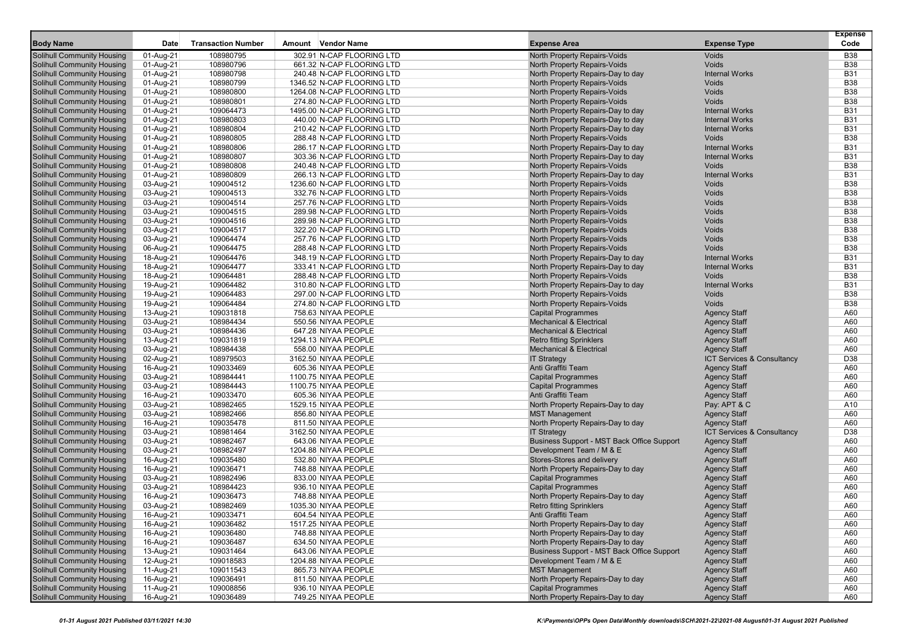|                                   |           |                           |                            |                                            |                            | <b>Expense</b> |
|-----------------------------------|-----------|---------------------------|----------------------------|--------------------------------------------|----------------------------|----------------|
| <b>Body Name</b>                  | Date      | <b>Transaction Number</b> | Amount Vendor Name         | <b>Expense Area</b>                        | <b>Expense Type</b>        | Code           |
| <b>Solihull Community Housing</b> | 01-Aug-21 | 108980795                 | 302.91 N-CAP FLOORING LTD  | North Property Repairs-Voids               | Voids                      | <b>B38</b>     |
| <b>Solihull Community Housing</b> | 01-Aug-21 | 108980796                 | 661.32 N-CAP FLOORING LTD  | North Property Repairs-Voids               | Voids                      | <b>B38</b>     |
| <b>Solihull Community Housing</b> | 01-Aug-21 | 108980798                 | 240.48 N-CAP FLOORING LTD  | North Property Repairs-Day to day          | <b>Internal Works</b>      | <b>B31</b>     |
| <b>Solihull Community Housing</b> | 01-Aug-21 | 108980799                 | 1346.52 N-CAP FLOORING LTD | North Property Repairs-Voids               | Voids                      | <b>B38</b>     |
| Solihull Community Housing        | 01-Aug-21 | 108980800                 | 1264.08 N-CAP FLOORING LTD | North Property Repairs-Voids               | Voids                      | <b>B38</b>     |
| <b>Solihull Community Housing</b> | 01-Aug-21 | 108980801                 | 274.80 N-CAP FLOORING LTD  | North Property Repairs-Voids               | Voids                      | <b>B38</b>     |
| <b>Solihull Community Housing</b> | 01-Aug-21 | 109064473                 | 1495.00 N-CAP FLOORING LTD | North Property Repairs-Day to day          | <b>Internal Works</b>      | <b>B31</b>     |
| <b>Solihull Community Housing</b> | 01-Aug-21 | 108980803                 | 440.00 N-CAP FLOORING LTD  | North Property Repairs-Day to day          | <b>Internal Works</b>      | <b>B31</b>     |
| <b>Solihull Community Housing</b> | 01-Aug-21 | 108980804                 | 210.42 N-CAP FLOORING LTD  | North Property Repairs-Day to day          | <b>Internal Works</b>      | <b>B31</b>     |
| <b>Solihull Community Housing</b> | 01-Aug-21 | 108980805                 | 288.48 N-CAP FLOORING LTD  | North Property Repairs-Voids               | Voids                      | <b>B38</b>     |
| Solihull Community Housing        | 01-Aug-21 | 108980806                 | 286.17 N-CAP FLOORING LTD  | North Property Repairs-Day to day          | <b>Internal Works</b>      | <b>B31</b>     |
| <b>Solihull Community Housing</b> | 01-Aug-21 | 108980807                 | 303.36 N-CAP FLOORING LTD  | North Property Repairs-Day to day          | <b>Internal Works</b>      | <b>B31</b>     |
| <b>Solihull Community Housing</b> | 01-Aug-21 | 108980808                 | 240.48 N-CAP FLOORING LTD  | North Property Repairs-Voids               | Voids                      | <b>B38</b>     |
| <b>Solihull Community Housing</b> | 01-Aug-21 | 108980809                 | 266.13 N-CAP FLOORING LTD  | North Property Repairs-Day to day          | <b>Internal Works</b>      | <b>B31</b>     |
| <b>Solihull Community Housing</b> | 03-Aug-21 | 109004512                 | 1236.60 N-CAP FLOORING LTD | North Property Repairs-Voids               | Voids                      | <b>B38</b>     |
| <b>Solihull Community Housing</b> | 03-Aug-21 | 109004513                 | 332.76 N-CAP FLOORING LTD  | North Property Repairs-Voids               | Voids                      | <b>B38</b>     |
| <b>Solihull Community Housing</b> | 03-Aug-21 | 109004514                 | 257.76 N-CAP FLOORING LTD  | North Property Repairs-Voids               | Voids                      | <b>B38</b>     |
| <b>Solihull Community Housing</b> | 03-Aug-21 | 109004515                 | 289.98 N-CAP FLOORING LTD  | North Property Repairs-Voids               | Voids                      | <b>B38</b>     |
| <b>Solihull Community Housing</b> |           | 109004516                 | 289.98 N-CAP FLOORING LTD  | North Property Repairs-Voids               | Voids                      | <b>B38</b>     |
|                                   | 03-Aug-21 |                           |                            |                                            | Voids                      | <b>B38</b>     |
| <b>Solihull Community Housing</b> | 03-Aug-21 | 109004517                 | 322.20 N-CAP FLOORING LTD  | North Property Repairs-Voids               | Voids                      |                |
| <b>Solihull Community Housing</b> | 03-Aug-21 | 109064474                 | 257.76 N-CAP FLOORING LTD  | North Property Repairs-Voids               |                            | <b>B38</b>     |
| <b>Solihull Community Housing</b> | 06-Aug-21 | 109064475                 | 288.48 N-CAP FLOORING LTD  | North Property Repairs-Voids               | Voids                      | <b>B38</b>     |
| <b>Solihull Community Housing</b> | 18-Aug-21 | 109064476                 | 348.19 N-CAP FLOORING LTD  | North Property Repairs-Day to day          | <b>Internal Works</b>      | <b>B31</b>     |
| <b>Solihull Community Housing</b> | 18-Aug-21 | 109064477                 | 333.41 N-CAP FLOORING LTD  | North Property Repairs-Day to day          | <b>Internal Works</b>      | <b>B31</b>     |
| <b>Solihull Community Housing</b> | 18-Aug-21 | 109064481                 | 288.48 N-CAP FLOORING LTD  | <b>North Property Repairs-Voids</b>        | Voids                      | <b>B38</b>     |
| <b>Solihull Community Housing</b> | 19-Aug-21 | 109064482                 | 310.80 N-CAP FLOORING LTD  | North Property Repairs-Day to day          | <b>Internal Works</b>      | <b>B31</b>     |
| <b>Solihull Community Housing</b> | 19-Aug-21 | 109064483                 | 297.00 N-CAP FLOORING LTD  | North Property Repairs-Voids               | Voids                      | <b>B38</b>     |
| <b>Solihull Community Housing</b> | 19-Aug-21 | 109064484                 | 274.80 N-CAP FLOORING LTD  | North Property Repairs-Voids               | Voids                      | <b>B38</b>     |
| <b>Solihull Community Housing</b> | 13-Aug-21 | 109031818                 | 758.63 NIYAA PEOPLE        | <b>Capital Programmes</b>                  | <b>Agency Staff</b>        | A60            |
| <b>Solihull Community Housing</b> | 03-Aug-21 | 108984434                 | 550.56 NIYAA PEOPLE        | <b>Mechanical &amp; Electrical</b>         | <b>Agency Staff</b>        | A60            |
| <b>Solihull Community Housing</b> | 03-Aug-21 | 108984436                 | 647.28 NIYAA PEOPLE        | <b>Mechanical &amp; Electrical</b>         | <b>Agency Staff</b>        | A60            |
| <b>Solihull Community Housing</b> | 13-Aug-21 | 109031819                 | 1294.13 NIYAA PEOPLE       | <b>Retro fitting Sprinklers</b>            | <b>Agency Staff</b>        | A60            |
| <b>Solihull Community Housing</b> | 03-Aug-21 | 108984438                 | 558.00 NIYAA PEOPLE        | <b>Mechanical &amp; Electrical</b>         | <b>Agency Staff</b>        | A60            |
| <b>Solihull Community Housing</b> | 02-Aug-21 | 108979503                 | 3162.50 NIYAA PEOPLE       | <b>IT Strategy</b>                         | ICT Services & Consultancy | D38            |
| <b>Solihull Community Housing</b> | 16-Aug-21 | 109033469                 | 605.36 NIYAA PEOPLE        | Anti Graffiti Team                         | <b>Agency Staff</b>        | A60            |
| <b>Solihull Community Housing</b> | 03-Aug-21 | 108984441                 | 1100.75 NIYAA PEOPLE       | <b>Capital Programmes</b>                  | <b>Agency Staff</b>        | A60            |
| <b>Solihull Community Housing</b> | 03-Aug-21 | 108984443                 | 1100.75 NIYAA PEOPLE       | <b>Capital Programmes</b>                  | <b>Agency Staff</b>        | A60            |
| <b>Solihull Community Housing</b> | 16-Aug-21 | 109033470                 | 605.36 NIYAA PEOPLE        | Anti Graffiti Team                         | <b>Agency Staff</b>        | A60            |
| <b>Solihull Community Housing</b> | 03-Aug-21 | 108982465                 | 1529.15 NIYAA PEOPLE       | North Property Repairs-Day to day          | Pay: APT & C               | A10            |
| <b>Solihull Community Housing</b> | 03-Aug-21 | 108982466                 | 856.80 NIYAA PEOPLE        | <b>MST Management</b>                      | <b>Agency Staff</b>        | A60            |
| <b>Solihull Community Housing</b> | 16-Aug-21 | 109035478                 | 811.50 NIYAA PEOPLE        | North Property Repairs-Day to day          | <b>Agency Staff</b>        | A60            |
| <b>Solihull Community Housing</b> | 03-Aug-21 | 108981464                 | 3162.50 NIYAA PEOPLE       | <b>IT Strategy</b>                         | ICT Services & Consultancy | D38            |
| <b>Solihull Community Housing</b> | 03-Aug-21 | 108982467                 | 643.06 NIYAA PEOPLE        | Business Support - MST Back Office Support | <b>Agency Staff</b>        | A60            |
| <b>Solihull Community Housing</b> | 03-Aug-21 | 108982497                 | 1204.88 NIYAA PEOPLE       | Development Team / M & E                   | <b>Agency Staff</b>        | A60            |
| <b>Solihull Community Housing</b> | 16-Aug-21 | 109035480                 | 532.80 NIYAA PEOPLE        | Stores-Stores and delivery                 | <b>Agency Staff</b>        | A60            |
| <b>Solihull Community Housing</b> | 16-Aug-21 | 109036471                 | 748.88 NIYAA PEOPLE        | North Property Repairs-Day to day          | <b>Agency Staff</b>        | A60            |
| <b>Solihull Community Housing</b> | 03-Aug-21 | 108982496                 | 833.00 NIYAA PEOPLE        | <b>Capital Programmes</b>                  | <b>Agency Staff</b>        | A60            |
| <b>Solihull Community Housing</b> | 03-Aug-21 | 108984423                 | 936.10 NIYAA PEOPLE        | <b>Capital Programmes</b>                  | <b>Agency Staff</b>        | A60            |
| Solihull Community Housing        | 16-Aug-21 | 109036473                 | 748.88 NIYAA PEOPLE        | North Property Repairs-Day to day          | <b>Agency Staff</b>        | A60            |
| <b>Solihull Community Housing</b> | 03-Aug-21 | 108982469                 | 1035.30 NIYAA PEOPLE       | <b>Retro fitting Sprinklers</b>            | <b>Agency Staff</b>        | A60            |
| <b>Solihull Community Housing</b> | 16-Aug-21 | 109033471                 | 604.54 NIYAA PEOPLE        | Anti Graffiti Team                         | <b>Agency Staff</b>        | A60            |
| <b>Solihull Community Housing</b> | 16-Aug-21 | 109036482                 | 1517.25 NIYAA PEOPLE       | North Property Repairs-Day to day          | <b>Agency Staff</b>        | A60            |
| <b>Solihull Community Housing</b> | 16-Aug-21 | 109036480                 | 748.88 NIYAA PEOPLE        | North Property Repairs-Day to day          | <b>Agency Staff</b>        | A60            |
| <b>Solihull Community Housing</b> | 16-Aug-21 | 109036487                 | 634.50 NIYAA PEOPLE        | North Property Repairs-Day to day          | <b>Agency Staff</b>        | A60            |
| Solihull Community Housing        | 13-Aug-21 | 109031464                 | 643.06 NIYAA PEOPLE        | Business Support - MST Back Office Support | <b>Agency Staff</b>        | A60            |
| <b>Solihull Community Housing</b> | 12-Aug-21 | 109018583                 | 1204.88 NIYAA PEOPLE       | Development Team / M & E                   | <b>Agency Staff</b>        | A60            |
| <b>Solihull Community Housing</b> | 11-Aug-21 | 109011543                 | 865.73 NIYAA PEOPLE        | <b>MST Management</b>                      | <b>Agency Staff</b>        | A60            |
| Solihull Community Housing        | 16-Aug-21 | 109036491                 | 811.50 NIYAA PEOPLE        | North Property Repairs-Day to day          | <b>Agency Staff</b>        | A60            |
| <b>Solihull Community Housing</b> | 11-Aug-21 | 109008856                 | 936.10 NIYAA PEOPLE        | <b>Capital Programmes</b>                  | <b>Agency Staff</b>        | A60            |
| <b>Solihull Community Housing</b> | 16-Aug-21 | 109036489                 | 749.25 NIYAA PEOPLE        | North Property Repairs-Day to day          | <b>Agency Staff</b>        | A60            |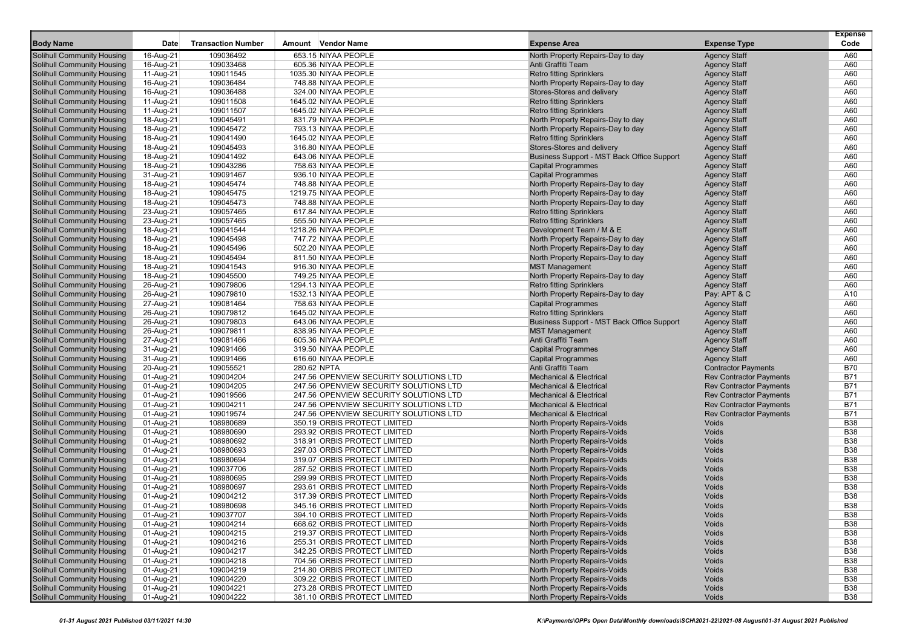|                                                                 |                        |                           |                                        |                                                 |                                                              | <b>Expense</b>    |
|-----------------------------------------------------------------|------------------------|---------------------------|----------------------------------------|-------------------------------------------------|--------------------------------------------------------------|-------------------|
| <b>Body Name</b>                                                | Date                   | <b>Transaction Number</b> | Amount Vendor Name                     | Expense Area                                    | <b>Expense Type</b>                                          | Code              |
| Solihull Community Housing                                      | 16-Aug-21              | 109036492                 | 653.15 NIYAA PEOPLE                    | North Property Repairs-Day to day               | <b>Agency Staff</b>                                          | A60               |
| Solihull Community Housing                                      | 16-Aug-21              | 109033468                 | 605.36 NIYAA PEOPLE                    | Anti Graffiti Team                              | <b>Agency Staff</b>                                          | A60               |
| Solihull Community Housing                                      | 11-Aug-21              | 109011545                 | 1035.30 NIYAA PEOPLE                   | <b>Retro fitting Sprinklers</b>                 | <b>Agency Staff</b>                                          | A60               |
| Solihull Community Housing                                      | 16-Aug-21              | 109036484                 | 748.88 NIYAA PEOPLE                    | North Property Repairs-Day to day               | <b>Agency Staff</b>                                          | A60               |
| Solihull Community Housing                                      | 16-Aug-21              | 109036488                 | 324.00 NIYAA PEOPLE                    | Stores-Stores and delivery                      | <b>Agency Staff</b>                                          | A60               |
| Solihull Community Housing                                      | 11-Aug-21              | 109011508                 | 1645.02 NIYAA PEOPLE                   | <b>Retro fitting Sprinklers</b>                 | <b>Agency Staff</b>                                          | A60               |
| Solihull Community Housing                                      | 11-Aug-21              | 109011507                 | 1645.02 NIYAA PEOPLE                   | <b>Retro fitting Sprinklers</b>                 | <b>Agency Staff</b>                                          | A60               |
| Solihull Community Housing                                      | 18-Aug-21              | 109045491                 | 831.79 NIYAA PEOPLE                    | North Property Repairs-Day to day               | <b>Agency Staff</b>                                          | A60               |
| Solihull Community Housing                                      | 18-Aug-21              | 109045472                 | 793.13 NIYAA PEOPLE                    | North Property Repairs-Day to day               | <b>Agency Staff</b>                                          | A60               |
| Solihull Community Housing                                      | 18-Aug-21              | 109041490                 | 1645.02 NIYAA PEOPLE                   | <b>Retro fitting Sprinklers</b>                 | <b>Agency Staff</b>                                          | A60               |
| Solihull Community Housing                                      | 18-Aug-21              | 109045493                 | 316.80 NIYAA PEOPLE                    | Stores-Stores and delivery                      | <b>Agency Staff</b>                                          | A60               |
| <b>Solihull Community Housing</b>                               | 18-Aug-21              | 109041492                 | 643.06 NIYAA PEOPLE                    | Business Support - MST Back Office Support      | <b>Agency Staff</b>                                          | A60               |
| Solihull Community Housing                                      | 18-Aug-21              | 109043286                 | 758.63 NIYAA PEOPLE                    | <b>Capital Programmes</b>                       | <b>Agency Staff</b>                                          | A60               |
| Solihull Community Housing                                      | 31-Aug-21              | 109091467                 | 936.10 NIYAA PEOPLE                    | <b>Capital Programmes</b>                       | <b>Agency Staff</b>                                          | A60               |
| Solihull Community Housing                                      | 18-Aug-21              | 109045474                 | 748.88 NIYAA PEOPLE                    | North Property Repairs-Day to day               | <b>Agency Staff</b>                                          | A60               |
| Solihull Community Housing                                      | 18-Aug-21              | 109045475                 | 1219.75 NIYAA PEOPLE                   | North Property Repairs-Day to day               | <b>Agency Staff</b>                                          | A60               |
| Solihull Community Housing                                      | 18-Aug-21              | 109045473                 | 748.88 NIYAA PEOPLE                    | North Property Repairs-Day to day               | <b>Agency Staff</b>                                          | A60               |
| Solihull Community Housing                                      | 23-Aug-21              | 109057465                 | 617.84 NIYAA PEOPLE                    | <b>Retro fitting Sprinklers</b>                 | <b>Agency Staff</b>                                          | A60               |
| <b>Solihull Community Housing</b>                               | 23-Aug-21              | 109057465                 | 555.50 NIYAA PEOPLE                    | <b>Retro fitting Sprinklers</b>                 | <b>Agency Staff</b>                                          | A60               |
| Solihull Community Housing                                      | 18-Aug-21              | 109041544                 | 1218.26 NIYAA PEOPLE                   | Development Team / M & E                        | <b>Agency Staff</b>                                          | A60               |
| Solihull Community Housing                                      | 18-Aug-21              | 109045498                 | 747.72 NIYAA PEOPLE                    | North Property Repairs-Day to day               | <b>Agency Staff</b>                                          | A60               |
| Solihull Community Housing                                      | 18-Aug-21              | 109045496                 | 502.20 NIYAA PEOPLE                    | North Property Repairs-Day to day               | <b>Agency Staff</b>                                          | A60               |
| Solihull Community Housing                                      | 18-Aug-21              | 109045494                 | 811.50 NIYAA PEOPLE                    | North Property Repairs-Day to day               | <b>Agency Staff</b>                                          | A60               |
| Solihull Community Housing                                      | 18-Aug-21              | 109041543                 | 916.30 NIYAA PEOPLE                    | <b>MST Management</b>                           | <b>Agency Staff</b>                                          | A60               |
| <b>Solihull Community Housing</b>                               | 18-Aug-21              | 109045500                 | 749.25 NIYAA PEOPLE                    | North Property Repairs-Day to day               | <b>Agency Staff</b>                                          | A60               |
| Solihull Community Housing                                      | 26-Aug-21              | 109079806                 | 1294.13 NIYAA PEOPLE                   | <b>Retro fitting Sprinklers</b>                 | <b>Agency Staff</b>                                          | A60               |
| <b>Solihull Community Housing</b>                               | 26-Aug-21              | 109079810                 | 1532.13 NIYAA PEOPLE                   | North Property Repairs-Day to day               | Pay: APT & C                                                 | A10               |
| Solihull Community Housing                                      | 27-Aug-21              | 109081464                 | 758.63 NIYAA PEOPLE                    | <b>Capital Programmes</b>                       | <b>Agency Staff</b>                                          | A60               |
| Solihull Community Housing                                      | 26-Aug-21              | 109079812                 | 1645.02 NIYAA PEOPLE                   | <b>Retro fitting Sprinklers</b>                 | <b>Agency Staff</b>                                          | A60               |
| Solihull Community Housing                                      | 26-Aug-21              | 109079803                 | 643.06 NIYAA PEOPLE                    | Business Support - MST Back Office Support      | <b>Agency Staff</b>                                          | A60               |
| <b>Solihull Community Housing</b>                               | 26-Aug-21              | 109079811                 | 838.95 NIYAA PEOPLE                    | <b>MST Management</b>                           | <b>Agency Staff</b>                                          | A60               |
| Solihull Community Housing                                      | 27-Aug-21              | 109081466                 | 605.36 NIYAA PEOPLE                    | Anti Graffiti Team                              | <b>Agency Staff</b>                                          | A60               |
| <b>Solihull Community Housing</b>                               | 31-Aug-21              | 109091466                 | 319.50 NIYAA PEOPLE                    | <b>Capital Programmes</b>                       | <b>Agency Staff</b>                                          | A60               |
| Solihull Community Housing<br><b>Solihull Community Housing</b> | 31-Aug-21              | 109091466                 | 616.60 NIYAA PEOPLE<br>280.62 NPTA     | <b>Capital Programmes</b><br>Anti Graffiti Team | <b>Agency Staff</b>                                          | A60<br><b>B70</b> |
| <b>Solihull Community Housing</b>                               | 20-Aug-21              | 109055521<br>109004204    | 247.56 OPENVIEW SECURITY SOLUTIONS LTD | <b>Mechanical &amp; Electrical</b>              | <b>Contractor Payments</b><br><b>Rev Contractor Payments</b> | <b>B71</b>        |
| <b>Solihull Community Housing</b>                               | 01-Aug-21<br>01-Aug-21 | 109004205                 | 247.56 OPENVIEW SECURITY SOLUTIONS LTD | Mechanical & Electrical                         | <b>Rev Contractor Payments</b>                               | <b>B71</b>        |
| Solihull Community Housing                                      | 01-Aug-21              | 109019566                 | 247.56 OPENVIEW SECURITY SOLUTIONS LTD | <b>Mechanical &amp; Electrical</b>              | <b>Rev Contractor Payments</b>                               | <b>B71</b>        |
| Solihull Community Housing                                      | 01-Aug-21              | 109004211                 | 247.56 OPENVIEW SECURITY SOLUTIONS LTD | <b>Mechanical &amp; Electrical</b>              | <b>Rev Contractor Payments</b>                               | <b>B71</b>        |
| Solihull Community Housing                                      | 01-Aug-21              | 109019574                 | 247.56 OPENVIEW SECURITY SOLUTIONS LTD | <b>Mechanical &amp; Electrical</b>              | <b>Rev Contractor Payments</b>                               | <b>B71</b>        |
| Solihull Community Housing                                      | 01-Aug-21              | 108980689                 | 350.19 ORBIS PROTECT LIMITED           | North Property Repairs-Voids                    | Voids                                                        | <b>B38</b>        |
| Solihull Community Housing                                      | 01-Aug-21              | 108980690                 | 293.92 ORBIS PROTECT LIMITED           | North Property Repairs-Voids                    | Voids                                                        | <b>B38</b>        |
| Solihull Community Housing                                      | 01-Aug-21              | 108980692                 | 318.91 ORBIS PROTECT LIMITED           | North Property Repairs-Voids                    | Voids                                                        | <b>B38</b>        |
| Solihull Community Housing                                      | 01-Aug-21              | 108980693                 | 297.03 ORBIS PROTECT LIMITED           | North Property Repairs-Voids                    | Voids                                                        | <b>B38</b>        |
| Solihull Community Housing                                      | 01-Aug-21              | 108980694                 | 319.07 ORBIS PROTECT LIMITED           | North Property Repairs-Voids                    | Voids                                                        | <b>B38</b>        |
| <b>Solihull Community Housing</b>                               | 01-Aug-21              | 109037706                 | 287.52 ORBIS PROTECT LIMITED           | <b>North Property Repairs-Voids</b>             | Voids                                                        | <b>B38</b>        |
| Solihull Community Housing                                      | 01-Aug-21              | 108980695                 | 299.99 ORBIS PROTECT LIMITED           | North Property Repairs-Voids                    | Voids                                                        | <b>B38</b>        |
| Solihull Community Housing                                      | 01-Aug-21              | 108980697                 | 293.61 ORBIS PROTECT LIMITED           | <b>North Property Repairs-Voids</b>             | Voids                                                        | <b>B38</b>        |
| Solihull Community Housing                                      | 01-Aug-21              | 109004212                 | 317.39 ORBIS PROTECT LIMITED           | <b>North Property Repairs-Voids</b>             | Voids                                                        | <b>B38</b>        |
| <b>Solihull Community Housing</b>                               | 01-Aug-21              | 108980698                 | 345.16 ORBIS PROTECT LIMITED           | North Property Repairs-Voids                    | Voids                                                        | <b>B38</b>        |
| Solihull Community Housing                                      | 01-Aug-21              | 109037707                 | 394.10 ORBIS PROTECT LIMITED           | North Property Repairs-Voids                    | Voids                                                        | <b>B38</b>        |
| Solihull Community Housing                                      | 01-Aug-21              | 109004214                 | 668.62 ORBIS PROTECT LIMITED           | North Property Repairs-Voids                    | Voids                                                        | <b>B38</b>        |
| Solihull Community Housing                                      | 01-Aug-21              | 109004215                 | 219.37 ORBIS PROTECT LIMITED           | North Property Repairs-Voids                    | Voids                                                        | <b>B38</b>        |
| <b>Solihull Community Housing</b>                               | 01-Aug-21              | 109004216                 | 255.31 ORBIS PROTECT LIMITED           | North Property Repairs-Voids                    | Voids                                                        | <b>B38</b>        |
| <b>Solihull Community Housing</b>                               | 01-Aug-21              | 109004217                 | 342.25 ORBIS PROTECT LIMITED           | North Property Repairs-Voids                    | Voids                                                        | <b>B38</b>        |
| <b>Solihull Community Housing</b>                               | 01-Aug-21              | 109004218                 | 704.56 ORBIS PROTECT LIMITED           | North Property Repairs-Voids                    | Voids                                                        | <b>B38</b>        |
| <b>Solihull Community Housing</b>                               | 01-Aug-21              | 109004219                 | 214.80 ORBIS PROTECT LIMITED           | North Property Repairs-Voids                    | Voids                                                        | <b>B38</b>        |
| Solihull Community Housing                                      | 01-Aug-21              | 109004220                 | 309.22 ORBIS PROTECT LIMITED           | North Property Repairs-Voids                    | Voids                                                        | <b>B38</b>        |
| <b>Solihull Community Housing</b>                               | 01-Aug-21              | 109004221                 | 273.28 ORBIS PROTECT LIMITED           | North Property Repairs-Voids                    | Voids                                                        | <b>B38</b>        |
| <b>Solihull Community Housing</b>                               | 01-Aug-21              | 109004222                 | 381.10 ORBIS PROTECT LIMITED           | North Property Repairs-Voids                    | Voids                                                        | <b>B38</b>        |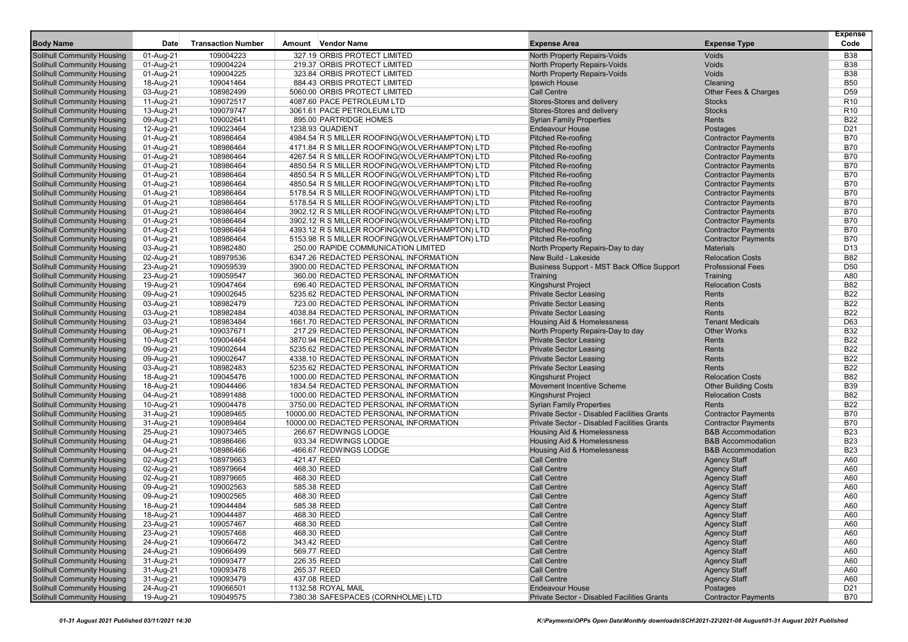|                                                                        |                        |                           |                                               |                                                                     |                                                              | <b>Expense</b>           |
|------------------------------------------------------------------------|------------------------|---------------------------|-----------------------------------------------|---------------------------------------------------------------------|--------------------------------------------------------------|--------------------------|
| <b>Body Name</b>                                                       | Date                   | <b>Transaction Number</b> | Amount Vendor Name                            | <b>Expense Area</b>                                                 | <b>Expense Type</b>                                          | Code                     |
| <b>Solihull Community Housing</b>                                      | 01-Aug-21              | 109004223                 | 327.19 ORBIS PROTECT LIMITED                  | North Property Repairs-Voids                                        | Voids                                                        | <b>B38</b>               |
| Solihull Community Housing                                             | 01-Aug-21              | 109004224                 | 219.37 ORBIS PROTECT LIMITED                  | North Property Repairs-Voids                                        | Voids                                                        | <b>B38</b>               |
| <b>Solihull Community Housing</b>                                      | 01-Aug-21              | 109004225                 | 323.84 ORBIS PROTECT LIMITED                  | North Property Repairs-Voids                                        | Voids                                                        | <b>B38</b>               |
| <b>Solihull Community Housing</b>                                      | 18-Aug-21              | 109041464                 | 884.43 ORBIS PROTECT LIMITED                  | Ipswich House                                                       | Cleaning                                                     | <b>B50</b>               |
| <b>Solihull Community Housing</b>                                      | 03-Aug-21              | 108982499                 | 5060.00 ORBIS PROTECT LIMITED                 | Call Centre                                                         | Other Fees & Charges                                         | D <sub>59</sub>          |
| <b>Solihull Community Housing</b>                                      | 11-Aug-21              | 109072517                 | 4087.60 PACE PETROLEUM LTD                    | Stores-Stores and delivery                                          | <b>Stocks</b>                                                | R <sub>10</sub>          |
| <b>Solihull Community Housing</b>                                      | 13-Aug-21              | 109079747                 | 3061.61 PACE PETROLEUM LTD                    | Stores-Stores and delivery                                          | <b>Stocks</b>                                                | R <sub>10</sub>          |
| <b>Solihull Community Housing</b>                                      | 09-Aug-21              | 109002641                 | 895.00 PARTRIDGE HOMES                        | <b>Syrian Family Properties</b>                                     | Rents                                                        | <b>B22</b>               |
| <b>Solihull Community Housing</b>                                      | 12-Aug-21              | 109023464                 | 1238.93 QUADIENT                              | <b>Endeavour House</b>                                              | Postages                                                     | D <sub>21</sub>          |
| <b>Solihull Community Housing</b>                                      | 01-Aug-21              | 108986464                 | 4984.54 R S MILLER ROOFING(WOLVERHAMPTON) LTD | <b>Pitched Re-roofing</b>                                           | <b>Contractor Payments</b>                                   | <b>B70</b>               |
| Solihull Community Housing                                             | 01-Aug-21              | 108986464                 | 4171.84 R S MILLER ROOFING(WOLVERHAMPTON) LTD | <b>Pitched Re-roofing</b>                                           | <b>Contractor Payments</b>                                   | <b>B70</b>               |
| <b>Solihull Community Housing</b>                                      | 01-Aug-21              | 108986464                 | 4267.54 R S MILLER ROOFING(WOLVERHAMPTON) LTD | <b>Pitched Re-roofing</b>                                           | <b>Contractor Payments</b>                                   | <b>B70</b>               |
| <b>Solihull Community Housing</b>                                      | 01-Aug-21              | 108986464                 | 4850.54 R S MILLER ROOFING(WOLVERHAMPTON) LTD | Pitched Re-roofing                                                  | <b>Contractor Payments</b>                                   | <b>B70</b>               |
| <b>Solihull Community Housing</b>                                      | 01-Aug-21              | 108986464                 | 4850.54 R S MILLER ROOFING(WOLVERHAMPTON) LTD | <b>Pitched Re-roofing</b>                                           | <b>Contractor Payments</b>                                   | <b>B70</b>               |
| <b>Solihull Community Housing</b>                                      | 01-Aug-21              | 108986464                 | 4850.54 R S MILLER ROOFING(WOLVERHAMPTON) LTD | <b>Pitched Re-roofing</b>                                           | <b>Contractor Payments</b>                                   | <b>B70</b>               |
| <b>Solihull Community Housing</b>                                      | 01-Aug-21              | 108986464                 | 5178.54 R S MILLER ROOFING(WOLVERHAMPTON) LTD | <b>Pitched Re-roofing</b>                                           | <b>Contractor Payments</b>                                   | <b>B70</b>               |
| <b>Solihull Community Housing</b>                                      | 01-Aug-21              | 108986464                 | 5178.54 R S MILLER ROOFING(WOLVERHAMPTON) LTD | <b>Pitched Re-roofing</b>                                           | <b>Contractor Payments</b>                                   | <b>B70</b>               |
| <b>Solihull Community Housing</b>                                      | 01-Aug-21              | 108986464                 | 3902.12 R S MILLER ROOFING(WOLVERHAMPTON) LTD | <b>Pitched Re-roofing</b>                                           | <b>Contractor Payments</b>                                   | <b>B70</b>               |
| <b>Solihull Community Housing</b>                                      | 01-Aug-21              | 108986464                 | 3902.12 R S MILLER ROOFING(WOLVERHAMPTON) LTD | <b>Pitched Re-roofing</b>                                           | <b>Contractor Payments</b>                                   | <b>B70</b>               |
| <b>Solihull Community Housing</b>                                      | 01-Aug-21              | 108986464                 | 4393.12 R S MILLER ROOFING(WOLVERHAMPTON) LTD | <b>Pitched Re-roofing</b>                                           | <b>Contractor Payments</b>                                   | <b>B70</b>               |
| <b>Solihull Community Housing</b>                                      | 01-Aug-21              | 108986464                 | 5153.98 R S MILLER ROOFING(WOLVERHAMPTON) LTD | <b>Pitched Re-roofing</b>                                           | <b>Contractor Payments</b>                                   | <b>B70</b>               |
| <b>Solihull Community Housing</b>                                      | 03-Aug-21              | 108982480                 | 250.00 RAPIDE COMMUNICATION LIMITED           | North Property Repairs-Day to day                                   | <b>Materials</b>                                             | D <sub>13</sub>          |
| <b>Solihull Community Housing</b>                                      | 02-Aug-21              | 108979536                 | 6347.26 REDACTED PERSONAL INFORMATION         | New Build - Lakeside                                                | <b>Relocation Costs</b>                                      | <b>B82</b>               |
| <b>Solihull Community Housing</b>                                      | 23-Aug-21              | 109059539                 | 3900.00 REDACTED PERSONAL INFORMATION         | Business Support - MST Back Office Support                          | <b>Professional Fees</b>                                     | D <sub>50</sub>          |
| <b>Solihull Community Housing</b>                                      | 23-Aug-21              | 109059547                 | 360.00 REDACTED PERSONAL INFORMATION          | Training                                                            | Training                                                     | A80                      |
| <b>Solihull Community Housing</b>                                      | 19-Aug-21              | 109047464                 | 696.40 REDACTED PERSONAL INFORMATION          | Kingshurst Project                                                  | <b>Relocation Costs</b>                                      | <b>B82</b>               |
| <b>Solihull Community Housing</b>                                      | 09-Aug-21              | 109002645                 | 5235.62 REDACTED PERSONAL INFORMATION         | <b>Private Sector Leasing</b>                                       | Rents                                                        | <b>B22</b>               |
| <b>Solihull Community Housing</b>                                      | 03-Aug-21              | 108982479                 | 723.00 REDACTED PERSONAL INFORMATION          | <b>Private Sector Leasing</b>                                       | Rents                                                        | <b>B22</b>               |
| <b>Solihull Community Housing</b>                                      | 03-Aug-21              | 108982484                 | 4038.84 REDACTED PERSONAL INFORMATION         | <b>Private Sector Leasing</b>                                       | Rents                                                        | <b>B22</b>               |
| <b>Solihull Community Housing</b>                                      | 03-Aug-21              | 108983484                 | 1661.70 REDACTED PERSONAL INFORMATION         | <b>Housing Aid &amp; Homelessness</b>                               | <b>Tenant Medicals</b>                                       | D63                      |
| <b>Solihull Community Housing</b>                                      | 06-Aug-21              | 109037671                 | 217.29 REDACTED PERSONAL INFORMATION          | North Property Repairs-Day to day                                   | <b>Other Works</b>                                           | <b>B32</b>               |
| <b>Solihull Community Housing</b>                                      | 10-Aug-21              | 109004464                 | 3870.94 REDACTED PERSONAL INFORMATION         | <b>Private Sector Leasing</b>                                       | Rents                                                        | <b>B22</b>               |
| <b>Solihull Community Housing</b>                                      | 09-Aug-21              | 109002644                 | 5235.62 REDACTED PERSONAL INFORMATION         | <b>Private Sector Leasing</b>                                       | Rents                                                        | <b>B22</b>               |
| <b>Solihull Community Housing</b>                                      | 09-Aug-21              | 109002647                 | 4338.10 REDACTED PERSONAL INFORMATION         | <b>Private Sector Leasing</b>                                       | Rents                                                        | <b>B22</b>               |
| <b>Solihull Community Housing</b>                                      | 03-Aug-21              | 108982483                 | 5235.62 REDACTED PERSONAL INFORMATION         | <b>Private Sector Leasing</b>                                       | Rents                                                        | <b>B22</b>               |
| <b>Solihull Community Housing</b>                                      | 18-Aug-21              | 109045476                 | 1000.00 REDACTED PERSONAL INFORMATION         | <b>Kingshurst Project</b>                                           | <b>Relocation Costs</b>                                      | <b>B82</b>               |
| <b>Solihull Community Housing</b>                                      | 18-Aug-21              | 109044466                 | 1834.54 REDACTED PERSONAL INFORMATION         | <b>Movement Incentive Scheme</b>                                    | <b>Other Building Costs</b>                                  | <b>B39</b>               |
| <b>Solihull Community Housing</b>                                      | 04-Aug-21              | 108991488                 | 1000.00 REDACTED PERSONAL INFORMATION         | <b>Kingshurst Project</b>                                           | <b>Relocation Costs</b>                                      | <b>B82</b>               |
| <b>Solihull Community Housing</b>                                      | 10-Aug-21              | 109004478                 | 3750.00 REDACTED PERSONAL INFORMATION         | <b>Syrian Family Properties</b>                                     | Rents                                                        | <b>B22</b>               |
| <b>Solihull Community Housing</b>                                      | 31-Aug-21              | 109089465                 | 10000.00 REDACTED PERSONAL INFORMATION        | Private Sector - Disabled Facilities Grants                         | <b>Contractor Payments</b>                                   | <b>B70</b>               |
| <b>Solihull Community Housing</b>                                      | 31-Aug-21              | 109089464                 | 10000.00 REDACTED PERSONAL INFORMATION        | Private Sector - Disabled Facilities Grants                         | <b>Contractor Payments</b>                                   | <b>B70</b>               |
| <b>Solihull Community Housing</b>                                      | 25-Aug-21              | 109073465                 | 266.67 REDWINGS LODGE                         | Housing Aid & Homelessness                                          | <b>B&amp;B Accommodation</b><br><b>B&amp;B Accommodation</b> | <b>B23</b><br><b>B23</b> |
| <b>Solihull Community Housing</b><br><b>Solihull Community Housing</b> | 04-Aug-21              | 108986466                 | 933.34 REDWINGS LODGE                         | Housing Aid & Homelessness<br><b>Housing Aid &amp; Homelessness</b> |                                                              |                          |
|                                                                        | 04-Aug-21              | 108986466                 | -466.67 REDWINGS LODGE<br>421.47 REED         | <b>Call Centre</b>                                                  | <b>B&amp;B Accommodation</b>                                 | <b>B23</b><br>A60        |
| <b>Solihull Community Housing</b><br><b>Solihull Community Housing</b> | 02-Aug-21              | 108979663<br>108979664    | 468.30 REED                                   | <b>Call Centre</b>                                                  | <b>Agency Staff</b><br><b>Agency Staff</b>                   | A60                      |
| <b>Solihull Community Housing</b>                                      | 02-Aug-21<br>02-Aug-21 | 108979665                 | 468.30 REED                                   | Call Centre                                                         | <b>Agency Staff</b>                                          | A60                      |
| <b>Solihull Community Housing</b>                                      | 09-Aug-21              | 109002563                 | 585.38 REED                                   | <b>Call Centre</b>                                                  | <b>Agency Staff</b>                                          | A60                      |
| <b>Solihull Community Housing</b>                                      | 09-Aug-21              | 109002565                 | 468.30 REED                                   | <b>Call Centre</b>                                                  | <b>Agency Staff</b>                                          | A60                      |
| <b>Solihull Community Housing</b>                                      | 18-Aug-21              | 109044484                 | 585.38 REED                                   | <b>Call Centre</b>                                                  | <b>Agency Staff</b>                                          | A60                      |
| <b>Solihull Community Housing</b>                                      | 18-Aug-21              | 109044487                 | 468.30 REED                                   | Call Centre                                                         | <b>Agency Staff</b>                                          | A60                      |
| <b>Solihull Community Housing</b>                                      | 23-Aug-21              | 109057467                 | 468.30 REED                                   | Call Centre                                                         | <b>Agency Staff</b>                                          | A60                      |
| <b>Solihull Community Housing</b>                                      | 23-Aug-21              | 109057468                 | 468.30 REED                                   | Call Centre                                                         | <b>Agency Staff</b>                                          | A60                      |
| <b>Solihull Community Housing</b>                                      | 24-Aug-21              | 109066472                 | 343.42 REED                                   | Call Centre                                                         | <b>Agency Staff</b>                                          | A60                      |
| <b>Solihull Community Housing</b>                                      | 24-Aug-21              | 109066499                 | 569.77 REED                                   | <b>Call Centre</b>                                                  | <b>Agency Staff</b>                                          | A60                      |
| <b>Solihull Community Housing</b>                                      | 31-Aug-21              | 109093477                 | 226.35 REED                                   | Call Centre                                                         | <b>Agency Staff</b>                                          | A60                      |
| Solihull Community Housing                                             | 31-Aug-21              | 109093478                 | 265.37 REED                                   | Call Centre                                                         | <b>Agency Staff</b>                                          | A60                      |
| Solihull Community Housing                                             | 31-Aug-21              | 109093479                 | 437.08 REED                                   | <b>Call Centre</b>                                                  | <b>Agency Staff</b>                                          | A60                      |
| <b>Solihull Community Housing</b>                                      | 24-Aug-21              | 109066501                 | 1132.58 ROYAL MAIL                            | <b>Endeavour House</b>                                              | Postages                                                     | D <sub>21</sub>          |
| <b>Solihull Community Housing</b>                                      | 19-Aug-21              | 109049575                 | 7380.38 SAFESPACES (CORNHOLME) LTD            | Private Sector - Disabled Facilities Grants                         | <b>Contractor Payments</b>                                   | <b>B70</b>               |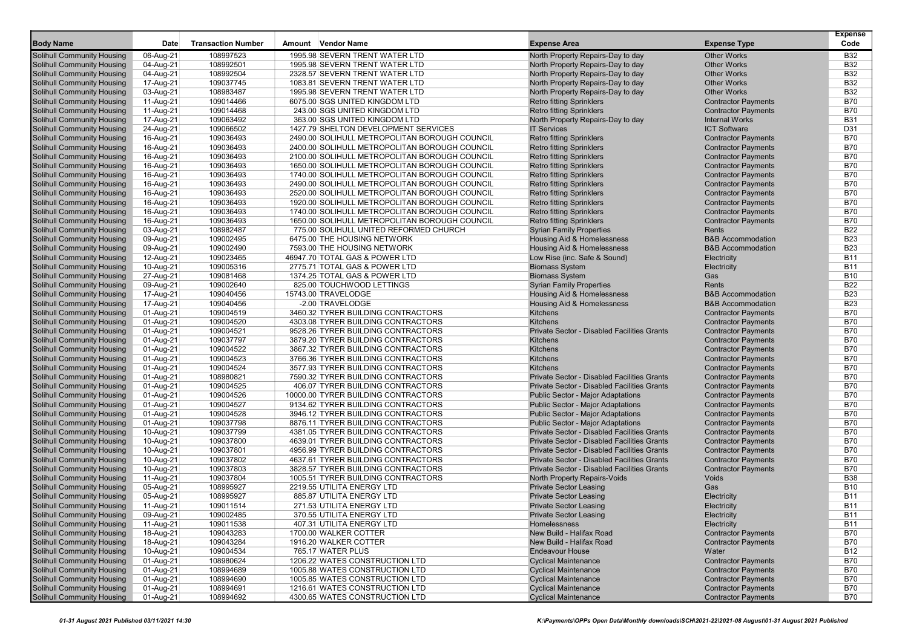| <b>Body Name</b>                                                       | Date                   | <b>Transaction Number</b> | Amount Vendor Name                                                       | <b>Expense Area</b>                                                                     | <b>Expense Type</b>                                      | <b>Expense</b><br>Code   |
|------------------------------------------------------------------------|------------------------|---------------------------|--------------------------------------------------------------------------|-----------------------------------------------------------------------------------------|----------------------------------------------------------|--------------------------|
|                                                                        |                        |                           |                                                                          |                                                                                         |                                                          |                          |
| <b>Solihull Community Housing</b>                                      | 06-Aug-21              | 108997523                 | 1995.98 SEVERN TRENT WATER LTD                                           | North Property Repairs-Day to day                                                       | <b>Other Works</b>                                       | <b>B32</b>               |
| <b>Solihull Community Housing</b><br><b>Solihull Community Housing</b> | 04-Aug-21<br>04-Aug-21 | 108992501<br>108992504    | 1995.98 SEVERN TRENT WATER LTD<br>2328.57 SEVERN TRENT WATER LTD         | North Property Repairs-Day to day<br>North Property Repairs-Day to day                  | <b>Other Works</b><br><b>Other Works</b>                 | <b>B32</b><br><b>B32</b> |
| <b>Solihull Community Housing</b>                                      | 17-Aug-21              | 109037745                 | 1083.81 SEVERN TRENT WATER LTD                                           | North Property Repairs-Day to day                                                       | <b>Other Works</b>                                       | <b>B32</b>               |
| <b>Solihull Community Housing</b>                                      | 03-Aug-21              | 108983487                 | 1995.98 SEVERN TRENT WATER LTD                                           | North Property Repairs-Day to day                                                       | <b>Other Works</b>                                       | <b>B32</b>               |
| <b>Solihull Community Housing</b>                                      | 11-Aug-21              | 109014466                 | 6075.00 SGS UNITED KINGDOM LTD                                           | <b>Retro fitting Sprinklers</b>                                                         | <b>Contractor Payments</b>                               | <b>B70</b>               |
| <b>Solihull Community Housing</b>                                      | 11-Aug-21              | 109014468                 | 243.00 SGS UNITED KINGDOM LTD                                            | <b>Retro fitting Sprinklers</b>                                                         | <b>Contractor Payments</b>                               | <b>B70</b>               |
| <b>Solihull Community Housing</b>                                      | 17-Aug-21              | 109063492                 | 363.00 SGS UNITED KINGDOM LTD                                            | North Property Repairs-Day to day                                                       | <b>Internal Works</b>                                    | <b>B31</b>               |
| <b>Solihull Community Housing</b>                                      | 24-Aug-21              | 109066502                 | 1427.79 SHELTON DEVELOPMENT SERVICES                                     | <b>IT Services</b>                                                                      | <b>ICT Software</b>                                      | D31                      |
| <b>Solihull Community Housing</b>                                      | 16-Aug-21              | 109036493                 | 2490.00 SOLIHULL METROPOLITAN BOROUGH COUNCIL                            | <b>Retro fitting Sprinklers</b>                                                         | <b>Contractor Payments</b>                               | <b>B70</b>               |
| <b>Solihull Community Housing</b>                                      | 16-Aug-21              | 109036493                 | 2400.00 SOLIHULL METROPOLITAN BOROUGH COUNCIL                            | <b>Retro fitting Sprinklers</b>                                                         | <b>Contractor Payments</b>                               | <b>B70</b>               |
| <b>Solihull Community Housing</b>                                      | 16-Aug-21              | 109036493                 | 2100.00 SOLIHULL METROPOLITAN BOROUGH COUNCIL                            | <b>Retro fitting Sprinklers</b>                                                         | <b>Contractor Payments</b>                               | <b>B70</b>               |
| <b>Solihull Community Housing</b>                                      | 16-Aug-21              | 109036493                 | 1650.00 SOLIHULL METROPOLITAN BOROUGH COUNCIL                            | <b>Retro fitting Sprinklers</b>                                                         | <b>Contractor Payments</b>                               | <b>B70</b>               |
| <b>Solihull Community Housing</b>                                      | 16-Aug-21              | 109036493                 | 1740.00 SOLIHULL METROPOLITAN BOROUGH COUNCIL                            | <b>Retro fitting Sprinklers</b>                                                         | <b>Contractor Payments</b>                               | <b>B70</b>               |
| <b>Solihull Community Housing</b>                                      | 16-Aug-21              | 109036493                 | 2490.00 SOLIHULL METROPOLITAN BOROUGH COUNCIL                            | <b>Retro fitting Sprinklers</b>                                                         | <b>Contractor Payments</b>                               | <b>B70</b>               |
| <b>Solihull Community Housing</b>                                      | 16-Aug-21              | 109036493                 | 2520.00 SOLIHULL METROPOLITAN BOROUGH COUNCIL                            | <b>Retro fitting Sprinklers</b>                                                         | <b>Contractor Payments</b>                               | <b>B70</b>               |
| <b>Solihull Community Housing</b>                                      | 16-Aug-21              | 109036493                 | 1920.00 SOLIHULL METROPOLITAN BOROUGH COUNCIL                            | <b>Retro fitting Sprinklers</b>                                                         | <b>Contractor Payments</b>                               | <b>B70</b>               |
| <b>Solihull Community Housing</b>                                      | 16-Aug-21              | 109036493                 | 1740.00 SOLIHULL METROPOLITAN BOROUGH COUNCIL                            | <b>Retro fitting Sprinklers</b>                                                         | <b>Contractor Payments</b>                               | <b>B70</b>               |
| <b>Solihull Community Housing</b>                                      | 16-Aug-21              | 109036493                 | 1650.00 SOLIHULL METROPOLITAN BOROUGH COUNCIL                            | <b>Retro fitting Sprinklers</b>                                                         | <b>Contractor Payments</b>                               | <b>B70</b>               |
| <b>Solihull Community Housing</b>                                      | 03-Aug-21              | 108982487                 | 775.00 SOLIHULL UNITED REFORMED CHURCH                                   | <b>Syrian Family Properties</b>                                                         | Rents                                                    | <b>B22</b>               |
| <b>Solihull Community Housing</b>                                      | 09-Aug-21              | 109002495                 | 6475.00 THE HOUSING NETWORK                                              | <b>Housing Aid &amp; Homelessness</b>                                                   | <b>B&amp;B</b> Accommodation                             | <b>B23</b>               |
| <b>Solihull Community Housing</b>                                      | 09-Aug-21              | 109002490                 | 7593.00 THE HOUSING NETWORK                                              | Housing Aid & Homelessness                                                              | <b>B&amp;B Accommodation</b>                             | <b>B23</b>               |
| <b>Solihull Community Housing</b>                                      | 12-Aug-21              | 109023465                 | 46947.70 TOTAL GAS & POWER LTD                                           | Low Rise (inc. Safe & Sound)                                                            | Electricity                                              | <b>B11</b>               |
| <b>Solihull Community Housing</b>                                      | 10-Aug-21              | 109005316                 | 2775.71 TOTAL GAS & POWER LTD                                            | <b>Biomass System</b>                                                                   | Electricity                                              | <b>B11</b>               |
| <b>Solihull Community Housing</b>                                      | 27-Aug-21              | 109081468                 | 1374.25 TOTAL GAS & POWER LTD                                            | <b>Biomass System</b>                                                                   | Gas                                                      | <b>B10</b>               |
| <b>Solihull Community Housing</b>                                      | 09-Aug-21              | 109002640                 | 825.00 TOUCHWOOD LETTINGS                                                | <b>Syrian Family Properties</b>                                                         | Rents                                                    | B22                      |
| <b>Solihull Community Housing</b>                                      | 17-Aug-21              | 109040456                 | 15743.00 TRAVELODGE                                                      | <b>Housing Aid &amp; Homelessness</b>                                                   | <b>B&amp;B</b> Accommodation                             | <b>B23</b>               |
| <b>Solihull Community Housing</b>                                      | 17-Aug-21              | 109040456                 | -2.00 TRAVELODGE                                                         | Housing Aid & Homelessness                                                              | <b>B&amp;B Accommodation</b>                             | <b>B23</b>               |
| <b>Solihull Community Housing</b>                                      | 01-Aug-21              | 109004519                 | 3460.32 TYRER BUILDING CONTRACTORS                                       | Kitchens                                                                                | <b>Contractor Payments</b>                               | <b>B70</b>               |
| <b>Solihull Community Housing</b>                                      | 01-Aug-21              | 109004520                 | 4303.08 TYRER BUILDING CONTRACTORS                                       | <b>Kitchens</b>                                                                         | <b>Contractor Payments</b>                               | <b>B70</b>               |
| <b>Solihull Community Housing</b>                                      | 01-Aug-21              | 109004521                 | 9528.26 TYRER BUILDING CONTRACTORS                                       | <b>Private Sector - Disabled Facilities Grants</b>                                      | <b>Contractor Payments</b>                               | <b>B70</b>               |
| <b>Solihull Community Housing</b>                                      | 01-Aug-21              | 109037797                 | 3879.20 TYRER BUILDING CONTRACTORS                                       | Kitchens                                                                                | <b>Contractor Payments</b>                               | <b>B70</b>               |
| <b>Solihull Community Housing</b>                                      | 01-Aug-21              | 109004522                 | 3867.32 TYRER BUILDING CONTRACTORS                                       | Kitchens                                                                                | <b>Contractor Payments</b>                               | <b>B70</b>               |
| <b>Solihull Community Housing</b>                                      | 01-Aug-21              | 109004523                 | 3766.36 TYRER BUILDING CONTRACTORS                                       | Kitchens                                                                                | <b>Contractor Payments</b>                               | <b>B70</b>               |
| <b>Solihull Community Housing</b>                                      | 01-Aug-21              | 109004524                 | 3577.93 TYRER BUILDING CONTRACTORS                                       | Kitchens                                                                                | <b>Contractor Payments</b>                               | <b>B70</b>               |
| <b>Solihull Community Housing</b>                                      | 01-Aug-21              | 108980821                 | 7590.32 TYRER BUILDING CONTRACTORS                                       | Private Sector - Disabled Facilities Grants                                             | <b>Contractor Payments</b>                               | <b>B70</b>               |
| <b>Solihull Community Housing</b>                                      | 01-Aug-21              | 109004525                 | 406.07 TYRER BUILDING CONTRACTORS                                        | Private Sector - Disabled Facilities Grants                                             | <b>Contractor Payments</b>                               | <b>B70</b>               |
| <b>Solihull Community Housing</b>                                      | 01-Aug-21              | 109004526                 | 10000.00 TYRER BUILDING CONTRACTORS                                      | <b>Public Sector - Major Adaptations</b>                                                | <b>Contractor Payments</b>                               | <b>B70</b>               |
| <b>Solihull Community Housing</b>                                      | 01-Aug-21              | 109004527                 | 9134.62 TYRER BUILDING CONTRACTORS                                       | Public Sector - Major Adaptations                                                       | <b>Contractor Payments</b>                               | <b>B70</b><br><b>B70</b> |
| <b>Solihull Community Housing</b>                                      | 01-Aug-21              | 109004528                 | 3946.12 TYRER BUILDING CONTRACTORS                                       | Public Sector - Major Adaptations                                                       | <b>Contractor Payments</b>                               |                          |
| <b>Solihull Community Housing</b>                                      | 01-Aug-21              | 109037798                 | 8876.11 TYRER BUILDING CONTRACTORS                                       | <b>Public Sector - Major Adaptations</b><br>Private Sector - Disabled Facilities Grants | <b>Contractor Payments</b>                               | <b>B70</b><br><b>B70</b> |
| <b>Solihull Community Housing</b><br><b>Solihull Community Housing</b> | 10-Aug-21              | 109037799<br>109037800    | 4381.05 TYRER BUILDING CONTRACTORS<br>4639.01 TYRER BUILDING CONTRACTORS | Private Sector - Disabled Facilities Grants                                             | <b>Contractor Payments</b><br><b>Contractor Payments</b> | <b>B70</b>               |
| <b>Solihull Community Housing</b>                                      | 10-Aug-21<br>10-Aug-21 | 109037801                 | 4956.99 TYRER BUILDING CONTRACTORS                                       | Private Sector - Disabled Facilities Grants                                             | <b>Contractor Payments</b>                               | <b>B70</b>               |
| <b>Solihull Community Housing</b>                                      | 10-Aug-21              | 109037802                 | 4637.61 TYRER BUILDING CONTRACTORS                                       | Private Sector - Disabled Facilities Grants                                             | <b>Contractor Payments</b>                               | <b>B70</b>               |
| <b>Solihull Community Housing</b>                                      | 10-Aug-21              | 109037803                 | 3828.57 TYRER BUILDING CONTRACTORS                                       | Private Sector - Disabled Facilities Grants                                             | <b>Contractor Payments</b>                               | <b>B70</b>               |
| <b>Solihull Community Housing</b>                                      | 11-Aug-21              | 109037804                 | 1005.51 TYRER BUILDING CONTRACTORS                                       | North Property Repairs-Voids                                                            | Voids                                                    | <b>B38</b>               |
| <b>Solihull Community Housing</b>                                      | 05-Aug-21              | 108995927                 | 2219.55 UTILITA ENERGY LTD                                               | <b>Private Sector Leasing</b>                                                           | Gas                                                      | <b>B10</b>               |
| <b>Solihull Community Housing</b>                                      | 05-Aug-21              | 108995927                 | 885.87 UTILITA ENERGY LTD                                                | <b>Private Sector Leasing</b>                                                           | Electricity                                              | <b>B11</b>               |
| <b>Solihull Community Housing</b>                                      | 11-Aug-21              | 109011514                 | 271.53 UTILITA ENERGY LTD                                                | <b>Private Sector Leasing</b>                                                           | Electricity                                              | <b>B11</b>               |
| <b>Solihull Community Housing</b>                                      | 09-Aug-21              | 109002485                 | 370.55 UTILITA ENERGY LTD                                                | <b>Private Sector Leasing</b>                                                           | Electricity                                              | <b>B11</b>               |
| <b>Solihull Community Housing</b>                                      | 11-Aug-21              | 109011538                 | 407.31 UTILITA ENERGY LTD                                                | Homelessness                                                                            | Electricity                                              | <b>B11</b>               |
| <b>Solihull Community Housing</b>                                      | 18-Aug-21              | 109043283                 | 1700.00 WALKER COTTER                                                    | New Build - Halifax Road                                                                | <b>Contractor Payments</b>                               | B70                      |
| <b>Solihull Community Housing</b>                                      | 18-Aug-21              | 109043284                 | 1916.20 WALKER COTTER                                                    | New Build - Halifax Road                                                                | <b>Contractor Payments</b>                               | B70                      |
| <b>Solihull Community Housing</b>                                      | 10-Aug-21              | 109004534                 | 765.17 WATER PLUS                                                        | <b>Endeavour House</b>                                                                  | Water                                                    | <b>B12</b>               |
| <b>Solihull Community Housing</b>                                      | 01-Aug-21              | 108980624                 | 1206.22 WATES CONSTRUCTION LTD                                           | <b>Cyclical Maintenance</b>                                                             | <b>Contractor Payments</b>                               | <b>B70</b>               |
| <b>Solihull Community Housing</b>                                      | 01-Aug-21              | 108994689                 | 1005.88 WATES CONSTRUCTION LTD                                           | <b>Cyclical Maintenance</b>                                                             | <b>Contractor Payments</b>                               | B70                      |
| <b>Solihull Community Housing</b>                                      | 01-Aug-21              | 108994690                 | 1005.85 WATES CONSTRUCTION LTD                                           | <b>Cyclical Maintenance</b>                                                             | <b>Contractor Payments</b>                               | <b>B70</b>               |
| <b>Solihull Community Housing</b>                                      | 01-Aug-21              | 108994691                 | 1216.61 WATES CONSTRUCTION LTD                                           | <b>Cyclical Maintenance</b>                                                             | <b>Contractor Payments</b>                               | <b>B70</b>               |
| <b>Solihull Community Housing</b>                                      | 01-Aug-21              | 108994692                 | 4300.65 WATES CONSTRUCTION LTD                                           | <b>Cyclical Maintenance</b>                                                             | <b>Contractor Payments</b>                               | <b>B70</b>               |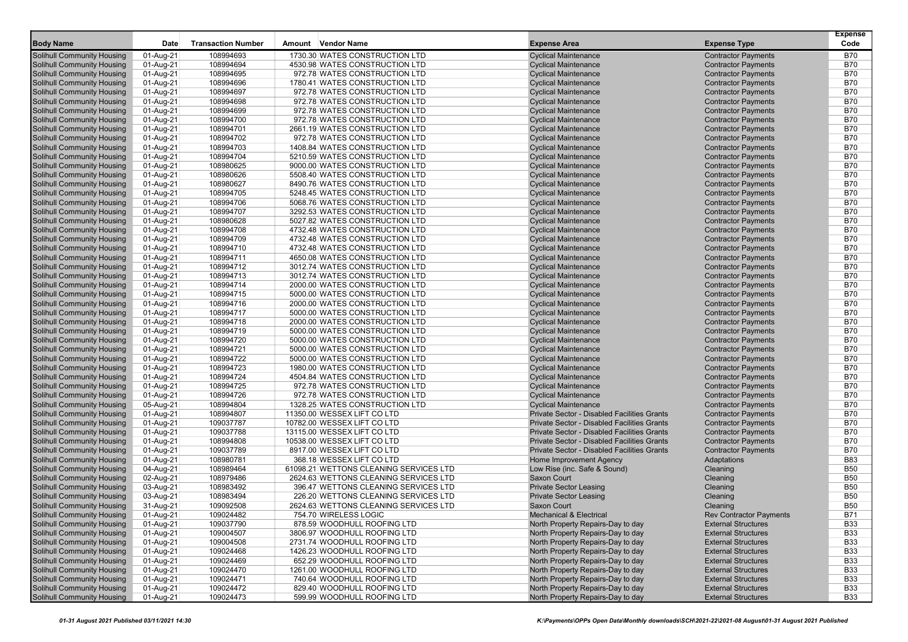|                                                                        |                        |                           |                                                                  |                                                                                            |                                                          | <b>Expense</b>           |
|------------------------------------------------------------------------|------------------------|---------------------------|------------------------------------------------------------------|--------------------------------------------------------------------------------------------|----------------------------------------------------------|--------------------------|
| <b>Body Name</b>                                                       | Date                   | <b>Transaction Number</b> | Amount Vendor Name                                               | <b>Expense Area</b>                                                                        | <b>Expense Type</b>                                      | Code                     |
| <b>Solihull Community Housing</b>                                      | 01-Aug-21              | 108994693                 | 1730.30 WATES CONSTRUCTION LTD                                   | <b>Cyclical Maintenance</b>                                                                | <b>Contractor Payments</b>                               | B70                      |
| Solihull Community Housing                                             | 01-Aug-21              | 108994694                 | 4530.98 WATES CONSTRUCTION LTD                                   | <b>Cyclical Maintenance</b>                                                                | <b>Contractor Payments</b>                               | <b>B70</b>               |
| Solihull Community Housing                                             | 01-Aug-21              | 108994695                 | 972.78 WATES CONSTRUCTION LTD                                    | <b>Cyclical Maintenance</b>                                                                | <b>Contractor Payments</b>                               | B70                      |
| Solihull Community Housing                                             | 01-Aug-21              | 108994696                 | 1780.41 WATES CONSTRUCTION LTD                                   | <b>Cyclical Maintenance</b>                                                                | <b>Contractor Payments</b>                               | <b>B70</b>               |
| Solihull Community Housing                                             | 01-Aug-21              | 108994697                 | 972.78 WATES CONSTRUCTION LTD                                    | <b>Cyclical Maintenance</b>                                                                | <b>Contractor Payments</b>                               | <b>B70</b>               |
| Solihull Community Housing                                             | 01-Aug-21              | 108994698                 | 972.78 WATES CONSTRUCTION LTD                                    | <b>Cyclical Maintenance</b>                                                                | <b>Contractor Payments</b>                               | <b>B70</b>               |
| Solihull Community Housing                                             | 01-Aug-21              | 108994699                 | 972.78 WATES CONSTRUCTION LTD                                    | <b>Cyclical Maintenance</b>                                                                | <b>Contractor Payments</b>                               | <b>B70</b>               |
| Solihull Community Housing                                             | 01-Aug-21              | 108994700                 | 972.78 WATES CONSTRUCTION LTD                                    | <b>Cyclical Maintenance</b>                                                                | <b>Contractor Payments</b>                               | <b>B70</b>               |
| Solihull Community Housing                                             | 01-Aug-21              | 108994701                 | 2661.19 WATES CONSTRUCTION LTD                                   | <b>Cyclical Maintenance</b>                                                                | <b>Contractor Payments</b>                               | <b>B70</b>               |
| Solihull Community Housing                                             | 01-Aug-21              | 108994702                 | 972.78 WATES CONSTRUCTION LTD<br>1408.84 WATES CONSTRUCTION LTD  | <b>Cyclical Maintenance</b><br><b>Cyclical Maintenance</b>                                 | <b>Contractor Payments</b>                               | <b>B70</b><br><b>B70</b> |
| <b>Solihull Community Housing</b><br><b>Solihull Community Housing</b> | 01-Aug-21              | 108994703                 |                                                                  | <b>Cyclical Maintenance</b>                                                                | <b>Contractor Payments</b>                               | <b>B70</b>               |
| Solihull Community Housing                                             | 01-Aug-21              | 108994704<br>108980625    | 5210.59 WATES CONSTRUCTION LTD<br>9000.00 WATES CONSTRUCTION LTD | <b>Cyclical Maintenance</b>                                                                | <b>Contractor Payments</b><br><b>Contractor Payments</b> | <b>B70</b>               |
| Solihull Community Housing                                             | 01-Aug-21<br>01-Aug-21 | 108980626                 | 5508.40 WATES CONSTRUCTION LTD                                   | <b>Cyclical Maintenance</b>                                                                | <b>Contractor Payments</b>                               | <b>B70</b>               |
| Solihull Community Housing                                             | 01-Aug-21              | 108980627                 | 8490.76 WATES CONSTRUCTION LTD                                   | <b>Cyclical Maintenance</b>                                                                | <b>Contractor Payments</b>                               | <b>B70</b>               |
| Solihull Community Housing                                             | 01-Aug-21              | 108994705                 | 5248.45 WATES CONSTRUCTION LTD                                   | <b>Cyclical Maintenance</b>                                                                | <b>Contractor Payments</b>                               | <b>B70</b>               |
| Solihull Community Housing                                             | 01-Aug-21              | 108994706                 | 5068.76 WATES CONSTRUCTION LTD                                   | <b>Cyclical Maintenance</b>                                                                | <b>Contractor Payments</b>                               | <b>B70</b>               |
| <b>Solihull Community Housing</b>                                      | 01-Aug-21              | 108994707                 | 3292.53 WATES CONSTRUCTION LTD                                   | <b>Cyclical Maintenance</b>                                                                | <b>Contractor Payments</b>                               | <b>B70</b>               |
| <b>Solihull Community Housing</b>                                      | 01-Aug-21              | 108980628                 | 5027.82 WATES CONSTRUCTION LTD                                   | <b>Cyclical Maintenance</b>                                                                | <b>Contractor Payments</b>                               | <b>B70</b>               |
| Solihull Community Housing                                             | 01-Aug-21              | 108994708                 | 4732.48 WATES CONSTRUCTION LTD                                   | <b>Cyclical Maintenance</b>                                                                | <b>Contractor Payments</b>                               | <b>B70</b>               |
| Solihull Community Housing                                             | 01-Aug-21              | 108994709                 | 4732.48 WATES CONSTRUCTION LTD                                   | <b>Cyclical Maintenance</b>                                                                | <b>Contractor Payments</b>                               | <b>B70</b>               |
| Solihull Community Housing                                             | 01-Aug-21              | 108994710                 | 4732.48 WATES CONSTRUCTION LTD                                   | <b>Cyclical Maintenance</b>                                                                | <b>Contractor Payments</b>                               | <b>B70</b>               |
| Solihull Community Housing                                             | 01-Aug-21              | 108994711                 | 4650.08 WATES CONSTRUCTION LTD                                   | <b>Cyclical Maintenance</b>                                                                | <b>Contractor Payments</b>                               | <b>B70</b>               |
| Solihull Community Housing                                             | 01-Aug-21              | 108994712                 | 3012.74 WATES CONSTRUCTION LTD                                   | <b>Cyclical Maintenance</b>                                                                | <b>Contractor Payments</b>                               | <b>B70</b>               |
| <b>Solihull Community Housing</b>                                      | 01-Aug-21              | 108994713                 | 3012.74 WATES CONSTRUCTION LTD                                   | <b>Cyclical Maintenance</b>                                                                | <b>Contractor Payments</b>                               | <b>B70</b>               |
| Solihull Community Housing                                             | 01-Aug-21              | 108994714                 | 2000.00 WATES CONSTRUCTION LTD                                   | <b>Cyclical Maintenance</b>                                                                | <b>Contractor Payments</b>                               | <b>B70</b>               |
| Solihull Community Housing                                             | 01-Aug-21              | 108994715                 | 5000.00 WATES CONSTRUCTION LTD                                   | <b>Cyclical Maintenance</b>                                                                | <b>Contractor Payments</b>                               | <b>B70</b>               |
| Solihull Community Housing                                             | 01-Aug-21              | 108994716                 | 2000.00 WATES CONSTRUCTION LTD                                   | <b>Cyclical Maintenance</b>                                                                | <b>Contractor Payments</b>                               | <b>B70</b>               |
| <b>Solihull Community Housing</b>                                      | 01-Aug-21              | 108994717                 | 5000.00 WATES CONSTRUCTION LTD                                   | <b>Cyclical Maintenance</b>                                                                | <b>Contractor Payments</b>                               | <b>B70</b>               |
| Solihull Community Housing                                             | 01-Aug-21              | 108994718                 | 2000.00 WATES CONSTRUCTION LTD                                   | <b>Cyclical Maintenance</b>                                                                | <b>Contractor Payments</b>                               | <b>B70</b>               |
| <b>Solihull Community Housing</b>                                      | 01-Aug-21              | 108994719                 | 5000.00 WATES CONSTRUCTION LTD                                   | <b>Cyclical Maintenance</b>                                                                | <b>Contractor Payments</b>                               | <b>B70</b>               |
| Solihull Community Housing                                             | 01-Aug-21              | 108994720                 | 5000.00 WATES CONSTRUCTION LTD                                   | <b>Cyclical Maintenance</b>                                                                | <b>Contractor Payments</b>                               | <b>B70</b>               |
| Solihull Community Housing                                             | 01-Aug-21              | 108994721                 | 5000.00 WATES CONSTRUCTION LTD                                   | <b>Cyclical Maintenance</b>                                                                | <b>Contractor Payments</b>                               | <b>B70</b>               |
| Solihull Community Housing                                             | 01-Aug-21              | 108994722                 | 5000.00 WATES CONSTRUCTION LTD                                   | <b>Cyclical Maintenance</b>                                                                | <b>Contractor Payments</b>                               | <b>B70</b>               |
| Solihull Community Housing                                             | 01-Aug-21              | 108994723                 | 1980.00 WATES CONSTRUCTION LTD                                   | <b>Cyclical Maintenance</b>                                                                | <b>Contractor Payments</b>                               | <b>B70</b>               |
| <b>Solihull Community Housing</b>                                      | 01-Aug-21              | 108994724                 | 4504.84 WATES CONSTRUCTION LTD                                   | <b>Cyclical Maintenance</b>                                                                | <b>Contractor Payments</b>                               | <b>B70</b>               |
| <b>Solihull Community Housing</b>                                      | 01-Aug-21              | 108994725                 | 972.78 WATES CONSTRUCTION LTD                                    | <b>Cyclical Maintenance</b>                                                                | <b>Contractor Payments</b>                               | <b>B70</b>               |
| <b>Solihull Community Housing</b>                                      | 01-Aug-21              | 108994726                 | 972.78 WATES CONSTRUCTION LTD                                    | <b>Cyclical Maintenance</b>                                                                | <b>Contractor Payments</b>                               | <b>B70</b>               |
| Solihull Community Housing                                             | 05-Aug-21              | 108994804                 | 1328.25 WATES CONSTRUCTION LTD                                   | <b>Cyclical Maintenance</b>                                                                | <b>Contractor Payments</b>                               | <b>B70</b>               |
| Solihull Community Housing                                             | 01-Aug-21              | 108994807                 | 11350.00 WESSEX LIFT CO LTD                                      | Private Sector - Disabled Facilities Grants                                                | <b>Contractor Payments</b>                               | <b>B70</b>               |
| Solihull Community Housing                                             | 01-Aug-21              | 109037787                 | 10782.00 WESSEX LIFT CO LTD                                      | Private Sector - Disabled Facilities Grants                                                | <b>Contractor Payments</b>                               | <b>B70</b>               |
| Solihull Community Housing                                             | 01-Aug-21              | 109037788                 | 13115.00 WESSEX LIFT CO LTD                                      | Private Sector - Disabled Facilities Grants                                                | <b>Contractor Payments</b>                               | <b>B70</b><br><b>B70</b> |
| Solihull Community Housing<br>Solihull Community Housing               | 01-Aug-21              | 108994808<br>109037789    | 10538.00 WESSEX LIFT CO LTD<br>8917.00 WESSEX LIFT CO LTD        | Private Sector - Disabled Facilities Grants<br>Private Sector - Disabled Facilities Grants | <b>Contractor Payments</b><br><b>Contractor Payments</b> | <b>B70</b>               |
| Solihull Community Housing                                             | 01-Aug-21<br>01-Aug-21 | 108980781                 | 368.18 WESSEX LIFT CO LTD                                        | Home Improvement Agency                                                                    | Adaptations                                              | <b>B83</b>               |
| <b>Solihull Community Housing</b>                                      | 04-Aug-21              | 108989464                 | 61098.21 WETTONS CLEANING SERVICES LTD                           | Low Rise (inc. Safe & Sound)                                                               | Cleaning                                                 | <b>B50</b>               |
| Solihull Community Housing                                             | 02-Aug-21              | 108979486                 | 2624.63 WETTONS CLEANING SERVICES LTD                            | Saxon Court                                                                                | Cleaning                                                 | <b>B50</b>               |
| Solihull Community Housing                                             | 03-Aug-21              | 108983492                 | 396.47 WETTONS CLEANING SERVICES LTD                             | <b>Private Sector Leasing</b>                                                              | Cleaning                                                 | <b>B50</b>               |
| Solihull Community Housing                                             | 03-Aug-21              | 108983494                 | 226.20 WETTONS CLEANING SERVICES LTD                             | <b>Private Sector Leasing</b>                                                              | Cleaning                                                 | <b>B50</b>               |
| <b>Solihull Community Housing</b>                                      | 31-Aug-21              | 109092508                 | 2624.63 WETTONS CLEANING SERVICES LTD                            | Saxon Court                                                                                | Cleaning                                                 | <b>B50</b>               |
| Solihull Community Housing                                             | 01-Aug-21              | 109024482                 | 754.70 WIRELESS LOGIC                                            | Mechanical & Electrical                                                                    | <b>Rev Contractor Payments</b>                           | <b>B71</b>               |
| Solihull Community Housing                                             | 01-Aug-21              | 109037790                 | 878.59 WOODHULL ROOFING LTD                                      | North Property Repairs-Day to day                                                          | <b>External Structures</b>                               | <b>B33</b>               |
| <b>Solihull Community Housing</b>                                      | 01-Aug-21              | 109004507                 | 3806.97 WOODHULL ROOFING LTD                                     | North Property Repairs-Day to day                                                          | <b>External Structures</b>                               | <b>B33</b>               |
| <b>Solihull Community Housing</b>                                      | 01-Aug-21              | 109004508                 | 2731.74 WOODHULL ROOFING LTD                                     | North Property Repairs-Day to day                                                          | <b>External Structures</b>                               | <b>B33</b>               |
| <b>Solihull Community Housing</b>                                      | 01-Aug-21              | 109024468                 | 1426.23 WOODHULL ROOFING LTD                                     | North Property Repairs-Day to day                                                          | <b>External Structures</b>                               | <b>B33</b>               |
| <b>Solihull Community Housing</b>                                      | 01-Aug-21              | 109024469                 | 652.29 WOODHULL ROOFING LTD                                      | North Property Repairs-Day to day                                                          | <b>External Structures</b>                               | <b>B33</b>               |
| <b>Solihull Community Housing</b>                                      | 01-Aug-21              | 109024470                 | 1261.00 WOODHULL ROOFING LTD                                     | North Property Repairs-Day to day                                                          | <b>External Structures</b>                               | <b>B33</b>               |
| Solihull Community Housing                                             | 01-Aug-21              | 109024471                 | 740.64 WOODHULL ROOFING LTD                                      | North Property Repairs-Day to day                                                          | <b>External Structures</b>                               | <b>B33</b>               |
| <b>Solihull Community Housing</b>                                      | 01-Aug-21              | 109024472                 | 829.40 WOODHULL ROOFING LTD                                      | North Property Repairs-Day to day                                                          | <b>External Structures</b>                               | <b>B33</b>               |
| <b>Solihull Community Housing</b>                                      | $01-Aug-21$            | 109024473                 | 599.99 WOODHULL ROOFING LTD                                      | North Property Repairs-Day to day                                                          | <b>External Structures</b>                               | <b>B33</b>               |